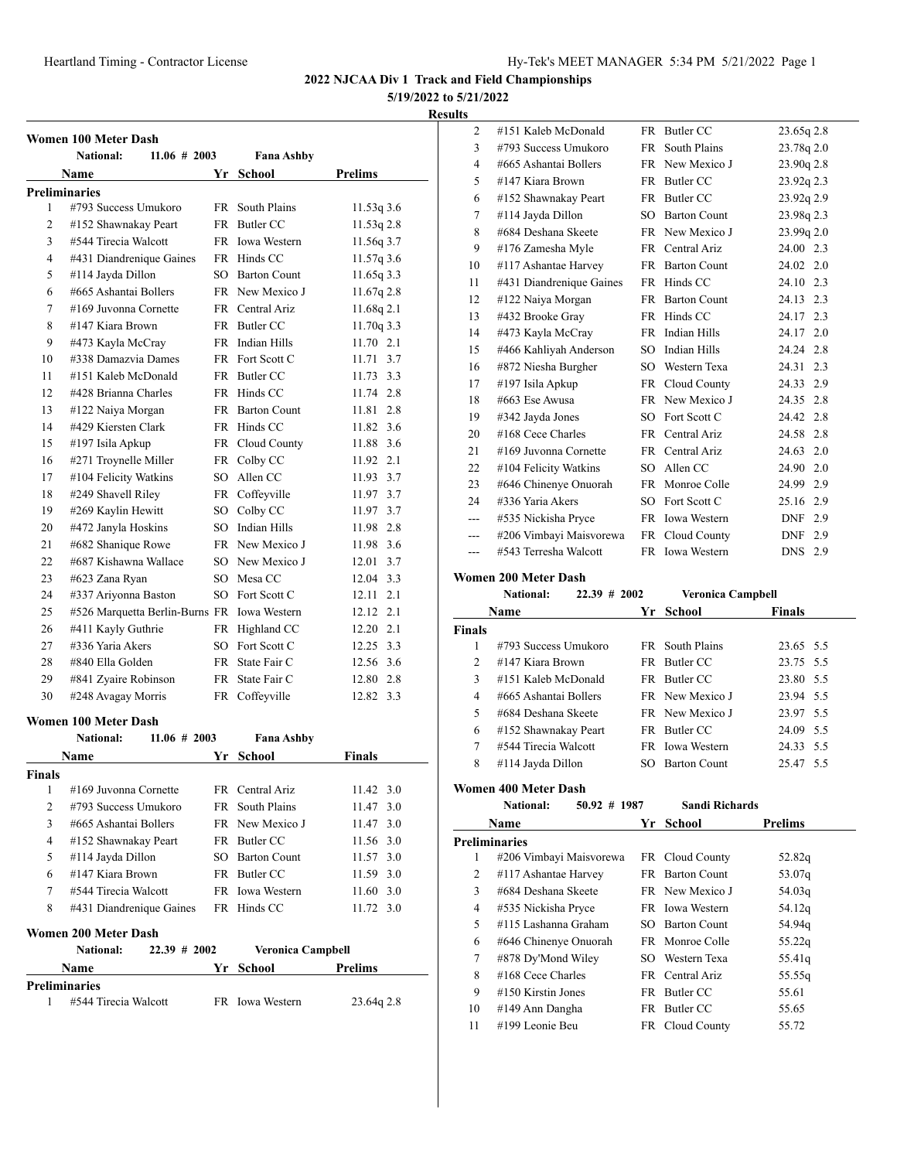# **5/19/2022 to 5/21/2022**

#### **Results**

|                | <b>Women 100 Meter Dash</b>                 |                   |                |
|----------------|---------------------------------------------|-------------------|----------------|
|                | <b>National:</b><br>$11.06 \# 2003$         | <b>Fana Ashby</b> |                |
|                | Name                                        | Yr School         | <b>Prelims</b> |
|                | <b>Preliminaries</b>                        |                   |                |
| 1              | #793 Success Umukoro                        | FR South Plains   | 11.53q3.6      |
| $\overline{2}$ | #152 Shawnakay Peart                        | FR Butler CC      | $11.53q$ 2.8   |
| 3              | #544 Tirecia Walcott                        | FR Iowa Western   | 11.56q 3.7     |
| 4              | #431 Diandrenique Gaines                    | FR Hinds CC       | 11.57q 3.6     |
| 5              | #114 Jayda Dillon                           | SO Barton Count   | 11.65q33.3     |
| 6              | #665 Ashantai Bollers                       | FR New Mexico J   | 11.67q 2.8     |
| 7              | #169 Juvonna Cornette                       | FR Central Ariz   | 11.68q 2.1     |
| 8              | #147 Kiara Brown                            | FR Butler CC      | 11.70q 3.3     |
| 9              | #473 Kayla McCray                           | FR Indian Hills   | 11.70 2.1      |
| 10             | #338 Damazvia Dames                         | FR Fort Scott C   | 11.71<br>3.7   |
| 11             | #151 Kaleb McDonald                         | FR Butler CC      | 3.3<br>11.73   |
| 12             | #428 Brianna Charles                        | FR Hinds CC       | 11.74 2.8      |
| 13             | #122 Naiya Morgan                           | FR Barton Count   | 11.81 2.8      |
| 14             | #429 Kiersten Clark                         | FR Hinds CC       | 11.82, 3.6     |
| 15             | #197 Isila Apkup                            | FR Cloud County   | 11.88 3.6      |
| 16             | #271 Troynelle Miller                       | FR Colby CC       | 11.92 2.1      |
| 17             | #104 Felicity Watkins                       | SO Allen CC       | 11.93 3.7      |
| 18             | #249 Shavell Riley                          | FR Coffeyville    | 11.97 3.7      |
| 19             | #269 Kaylin Hewitt                          | SO Colby CC       | 11.97 3.7      |
| 20             | #472 Janyla Hoskins                         | SO Indian Hills   | 11.98 2.8      |
| 21             | #682 Shanique Rowe                          | FR New Mexico J   | 11.98 3.6      |
| 22             | #687 Kishawna Wallace                       | SO New Mexico J   | 12.01 3.7      |
| 23             | #623 Zana Ryan                              | SO Mesa CC        | 12.04 3.3      |
| 24             | #337 Ariyonna Baston                        | SO Fort Scott C   | 12.11 2.1      |
| 25             | #526 Marquetta Berlin-Burns FR Iowa Western |                   | 12.12 2.1      |
| 26             | #411 Kayly Guthrie                          | FR Highland CC    | 12.20 2.1      |
| 27             | #336 Yaria Akers                            | SO Fort Scott C   | 12.25 3.3      |
| 28             | #840 Ella Golden                            | FR State Fair C   | 12.56 3.6      |
| 29             | #841 Zyaire Robinson                        | FR State Fair C   | 12.80 2.8      |
| 30             | #248 Avagay Morris                          | FR Coffeyville    | 12.82 3.3      |
|                | Women 100 Meter Dash                        |                   |                |
|                | National:<br>$11.06 \# 2003$                | <b>Fana Ashby</b> |                |
|                | Name                                        | Yr School         | Finals         |

|               | гуание                              | YГ   | эспоог                   | г шагу            |
|---------------|-------------------------------------|------|--------------------------|-------------------|
| <b>Finals</b> |                                     |      |                          |                   |
| 1             | #169 Juvonna Cornette               |      | FR Central Ariz          | $11.42 \quad 3.0$ |
| 2             | #793 Success Umukoro                | FR - | South Plains             | 11.47 3.0         |
| 3             | #665 Ashantai Bollers               |      | FR New Mexico J          | 11.47, 3.0        |
| 4             | #152 Shawnakay Peart                |      | FR Butler CC             | 11.56 3.0         |
| 5             | #114 Jayda Dillon                   | SO.  | <b>Barton Count</b>      | 11.57, 3.0        |
| 6             | #147 Kiara Brown                    |      | FR Butler CC             | $11.59$ 3.0       |
| 7             | #544 Tirecia Walcott                |      | <b>FR</b> Iowa Western   | 11.60, 3.0        |
| 8             | #431 Diandrenique Gaines            |      | FR Hinds CC              | $11.72 \quad 3.0$ |
|               | Women 200 Meter Dash                |      |                          |                   |
|               | <b>National:</b><br>$22.39 \# 2002$ |      | <b>Veronica Campbell</b> |                   |
|               | Name                                | Yr.  | School                   | <b>Prelims</b>    |
|               | <b>Preliminaries</b>                |      |                          |                   |
| 1             | #544 Tirecia Walcott                |      | FR Iowa Western          | 23.64q 2.8        |
|               |                                     |      |                          |                   |

| ĽS             |                          |           |                     |                   |
|----------------|--------------------------|-----------|---------------------|-------------------|
| $\overline{c}$ | #151 Kaleb McDonald      |           | FR Butler CC        | 23.65q 2.8        |
| 3              | #793 Success Umukoro     | <b>FR</b> | South Plains        | 23.78q 2.0        |
| $\overline{4}$ | #665 Ashantai Bollers    | FR        | New Mexico J        | 23.90q 2.8        |
| 5              | #147 Kiara Brown         | <b>FR</b> | Butler CC           | 23.92q 2.3        |
| 6              | #152 Shawnakay Peart     | FR        | Butler CC           | 23.92q 2.9        |
| 7              | #114 Jayda Dillon        | SO.       | <b>Barton Count</b> | 23.98q 2.3        |
| 8              | #684 Deshana Skeete      |           | FR New Mexico J     | 23.99q 2.0        |
| 9              | #176 Zamesha Myle        |           | FR Central Ariz     | 24.00 2.3         |
| 10             | #117 Ashantae Harvey     | FR        | <b>Barton Count</b> | 24.02 2.0         |
| 11             | #431 Diandrenique Gaines | FR        | Hinds CC            | 24.10 2.3         |
| 12             | #122 Naiya Morgan        | FR        | <b>Barton Count</b> | 24.13 2.3         |
| 13             | #432 Brooke Gray         | FR        | Hinds CC            | 24.17 2.3         |
| 14             | #473 Kayla McCray        |           | FR Indian Hills     | 24.17 2.0         |
| 15             | #466 Kahliyah Anderson   | SO        | Indian Hills        | 24.24 2.8         |
| 16             | #872 Niesha Burgher      | SO.       | Western Texa        | 2.3<br>24.31      |
| 17             | #197 Isila Apkup         | FR        | Cloud County        | 24.33 2.9         |
| 18             | #663 Ese Awusa           | FR.       | New Mexico J        | 24.35 2.8         |
| 19             | #342 Jayda Jones         | SO.       | Fort Scott C        | 2.8<br>24.42      |
| 20             | #168 Cece Charles        |           | FR Central Ariz     | 2.8<br>24.58      |
| 21             | #169 Juvonna Cornette    |           | FR Central Ariz     | 24.63 2.0         |
| 22             | #104 Felicity Watkins    | SO        | Allen CC            | 2.0<br>24.90      |
| 23             | #646 Chinenye Onuorah    | FR        | Monroe Colle        | 2.9<br>24.99      |
| 24             | #336 Yaria Akers         | SO.       | Fort Scott C        | 25.16<br>2.9      |
| ---            | #535 Nickisha Pryce      |           | FR Iowa Western     | 2.9<br>DNF        |
|                | #206 Vimbayi Maisvorewa  |           | FR Cloud County     | <b>DNF</b><br>2.9 |
| ---            | #543 Terresha Walcott    | FR        | <b>Iowa Western</b> | <b>DNS</b><br>2.9 |

**Women 200 Meter Dash**

|               | <b>National:</b>      | $22.39$ # 2002 | <b>Veronica Campbell</b> |               |  |
|---------------|-----------------------|----------------|--------------------------|---------------|--|
|               | Name                  |                | Yr School                | <b>Finals</b> |  |
| <b>Finals</b> |                       |                |                          |               |  |
|               | #793 Success Umukoro  |                | FR South Plains          | 23.65 5.5     |  |
| $\mathcal{P}$ | $#147$ Kiara Brown    |                | FR Butler CC             | 23.75 5.5     |  |
| $\mathbf{3}$  | #151 Kaleb McDonald   |                | FR Butler CC             | 23.80 5.5     |  |
| 4             | #665 Ashantai Bollers |                | FR New Mexico J          | 23.94 5.5     |  |
| 5             | #684 Deshana Skeete   |                | <b>FR</b> New Mexico J   | 23.97 5.5     |  |
| 6             | #152 Shawnakay Peart  |                | FR Butler CC             | 24.09 5.5     |  |
| 7             | #544 Tirecia Walcott  |                | FR Iowa Western          | 24.33 5.5     |  |
| 8             | #114 Jayda Dillon     | SO.            | <b>Barton Count</b>      | 25.47 5.5     |  |
|               |                       |                |                          |               |  |

**Women 400 Meter Dash**

**National: 50.92 # 1987 Sandi Richards**

|    | Name                    | Yr   | <b>School</b>       | <b>Prelims</b> |  |
|----|-------------------------|------|---------------------|----------------|--|
|    | <b>Preliminaries</b>    |      |                     |                |  |
| 1  | #206 Vimbayi Maisvorewa |      | FR Cloud County     | 52.82q         |  |
| 2  | #117 Ashantae Harvey    | FR   | <b>Barton Count</b> | 53.07g         |  |
| 3  | #684 Deshana Skeete     |      | FR New Mexico J     | 54.03q         |  |
| 4  | #535 Nickisha Pryce     |      | FR Iowa Western     | 54.12g         |  |
| 5  | #115 Lashanna Graham    | SO - | <b>Barton Count</b> | 54.94g         |  |
| 6  | #646 Chinenye Onuorah   |      | FR Monroe Colle     | 55.22q         |  |
| 7  | #878 Dy'Mond Wiley      |      | SO Western Texa     | 55.41g         |  |
| 8  | $#168$ Cece Charles     |      | FR Central Ariz     | 55.55g         |  |
| 9  | $\#150$ Kirstin Jones   | FR   | Butler CC           | 55.61          |  |
| 10 | #149 Ann Dangha         | FR   | Butler CC           | 55.65          |  |
| 11 | #199 Leonie Beu         |      | FR Cloud County     | 55.72          |  |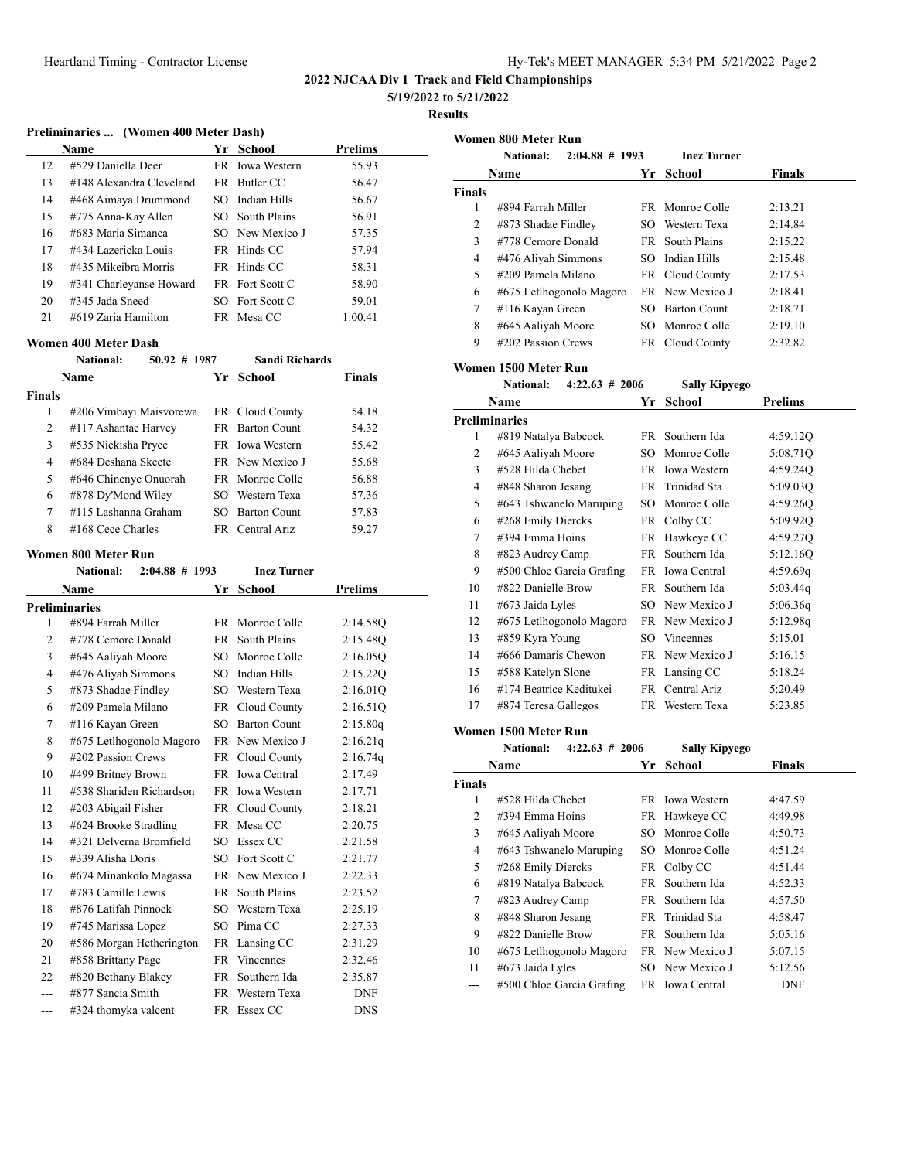# **5/19/2022 to 5/21/2022**

**Results**

**Women 800 Meter Run**

|               |                                                              |      |                       | 3/19/2022<br>R |
|---------------|--------------------------------------------------------------|------|-----------------------|----------------|
|               | Preliminaries  (Women 400 Meter Dash)                        |      |                       |                |
|               | Name                                                         |      | Yr School             | <b>Prelims</b> |
| 12            | #529 Daniella Deer                                           |      | FR Iowa Western       | 55.93          |
| 13            | #148 Alexandra Cleveland                                     |      | FR Butler CC          | 56.47          |
| 14            | #468 Aimaya Drummond                                         |      | SO Indian Hills       | 56.67          |
| 15            | #775 Anna-Kay Allen                                          |      | SO South Plains       | 56.91          |
| 16            | #683 Maria Simanca                                           |      | SO New Mexico J       | 57.35          |
| 17            | #434 Lazericka Louis                                         |      | FR Hinds CC           | 57.94          |
| 18            | #435 Mikeibra Morris                                         |      | FR Hinds CC           | 58.31          |
| 19            | #341 Charleyanse Howard                                      | FR   | Fort Scott C          | 58.90          |
| 20            | #345 Jada Sneed                                              | SO.  | Fort Scott C          | 59.01          |
| 21            | #619 Zaria Hamilton                                          |      | FR Mesa CC            | 1:00.41        |
|               | Women 400 Meter Dash                                         |      |                       |                |
|               | <b>National:</b><br>$50.92 \# 1987$                          |      | <b>Sandi Richards</b> |                |
|               | Name                                                         | Yr _ | School                | Finals         |
| <b>Finals</b> |                                                              |      |                       |                |
| 1             | #206 Vimbayi Maisvorewa                                      |      | FR Cloud County       | 54.18          |
| 2             | #117 Ashantae Harvey                                         |      | FR Barton Count       | 54.32          |
| 3             | #535 Nickisha Pryce                                          |      | FR Iowa Western       | 55.42          |
| 4             | #684 Deshana Skeete                                          |      | FR New Mexico J       | 55.68          |
| 5             | #646 Chinenye Onuorah                                        |      | FR Monroe Colle       | 56.88          |
| 6             | #878 Dy'Mond Wiley                                           |      | SO Western Texa       | 57.36          |
| 7             | #115 Lashanna Graham                                         | SО   | <b>Barton Count</b>   | 57.83          |
| 8             | #168 Cece Charles                                            |      | FR Central Ariz       | 59.27          |
|               |                                                              |      |                       |                |
|               | Women 800 Meter Run<br><b>National:</b><br>$2:04.88 \# 1993$ |      | <b>Inez Turner</b>    |                |
|               | Name                                                         | Yr   | School                | <b>Prelims</b> |
|               | <b>Preliminaries</b>                                         |      |                       |                |
| 1             | #894 Farrah Miller                                           |      | FR Monroe Colle       | 2:14.58Q       |
| 2             | #778 Cemore Donald                                           |      | FR South Plains       | 2:15.48Q       |
| 3             |                                                              |      | SO Monroe Colle       | 2:16.05Q       |
| 4             | #645 Aaliyah Moore<br>#476 Aliyah Simmons                    |      | SO Indian Hills       | 2:15.22Q       |
| 5             | #873 Shadae Findley                                          |      | SO Western Texa       |                |
| 6             | #209 Pamela Milano                                           |      | FR Cloud County       | 2:16.01Q       |
| 7             | #116 Kayan Green                                             |      | SO Barton Count       | 2:16.51Q       |
| 8             |                                                              |      | FR New Mexico J       | 2:15.80q       |
|               | #675 Letlhogonolo Magoro                                     |      |                       | 2:16.21q       |
| 9             | #202 Passion Crews                                           | FR   | Cloud County          | 2:16.74q       |
| 10            | #499 Britney Brown                                           | FR   | Iowa Central          | 2:17.49        |
| 11            | #538 Shariden Richardson                                     | FR   | Iowa Western          | 2:17.71        |
| 12            | #203 Abigail Fisher                                          | FR   | Cloud County          | 2:18.21        |
| 13            | #624 Brooke Stradling                                        | FR   | Mesa CC               | 2:20.75        |
| 14            | #321 Delverna Bromfield                                      | SO   | Essex CC              | 2:21.58        |
| 15            | #339 Alisha Doris                                            | SO   | Fort Scott C          | 2:21.77        |
| 16            | #674 Minankolo Magassa                                       | FR   | New Mexico J          | 2:22.33        |
| 17            | #783 Camille Lewis                                           | FR   | South Plains          | 2:23.52        |
| 18            | #876 Latifah Pinnock                                         | SO   | Western Texa          | 2:25.19        |
| 19            | #745 Marissa Lopez                                           | SO   | Pima CC               | 2:27.33        |
| 20            | #586 Morgan Hetherington                                     | FR   | Lansing CC            | 2:31.29        |

 #858 Brittany Page FR Vincennes 2:32.46 #820 Bethany Blakey FR Southern Ida 2:35.87 --- #877 Sancia Smith FR Western Texa DNF --- #324 thomyka valcent FR Essex CC DNS

|                | <b>National:</b>          | $2:04.88 \# 1993$ | <b>Inez Turner</b>   |                |
|----------------|---------------------------|-------------------|----------------------|----------------|
|                | Name                      |                   | Yr School            | Finals         |
| <b>Finals</b>  |                           |                   |                      |                |
| 1              | #894 Farrah Miller        | FR.               | Monroe Colle         | 2:13.21        |
| $\overline{c}$ | #873 Shadae Findley       |                   | SO Western Texa      | 2:14.84        |
| 3              | #778 Cemore Donald        |                   | FR South Plains      | 2:15.22        |
| 4              | #476 Aliyah Simmons       |                   | SO Indian Hills      | 2:15.48        |
| 5              | #209 Pamela Milano        |                   | FR Cloud County      | 2:17.53        |
| 6              | #675 Letlhogonolo Magoro  |                   | FR New Mexico J      | 2:18.41        |
| 7              | #116 Kayan Green          |                   | SO Barton Count      | 2:18.71        |
| 8              | #645 Aaliyah Moore        |                   | SO Monroe Colle      | 2:19.10        |
| 9              | #202 Passion Crews        |                   | FR Cloud County      | 2:32.82        |
|                | Women 1500 Meter Run      |                   |                      |                |
|                | National:                 | $4:22.63 \# 2006$ | <b>Sally Kipyego</b> |                |
|                | Name                      | Yr                | School               | <b>Prelims</b> |
|                | <b>Preliminaries</b>      |                   |                      |                |
| 1              | #819 Natalya Babcock      |                   | FR Southern Ida      | 4:59.12Q       |
| $\overline{c}$ | #645 Aaliyah Moore        |                   | SO Monroe Colle      | 5:08.71Q       |
| 3              | #528 Hilda Chebet         |                   | FR Iowa Western      | 4:59.24Q       |
| 4              | #848 Sharon Jesang        |                   | FR Trinidad Sta      | 5:09.03Q       |
| 5              | #643 Tshwanelo Maruping   |                   | SO Monroe Colle      | 4:59.26Q       |
| 6              | #268 Emily Diercks        |                   | FR Colby CC          | 5:09.92Q       |
| 7              | #394 Emma Hoins           |                   | FR Hawkeye CC        | 4:59.27Q       |
| 8              | #823 Audrey Camp          |                   | FR Southern Ida      | 5:12.16Q       |
| 9              | #500 Chloe Garcia Grafing |                   | FR Iowa Central      | 4:59.69q       |
| 10             | #822 Danielle Brow        |                   | FR Southern Ida      | 5:03.44q       |
| 11             | #673 Jaida Lyles          |                   | SO New Mexico J      | 5:06.36q       |
| 12             | #675 Letlhogonolo Magoro  |                   | FR New Mexico J      | 5:12.98q       |
| 13             | #859 Kyra Young           |                   | SO Vincennes         | 5:15.01        |
| 14             | #666 Damaris Chewon       |                   | FR New Mexico J      | 5:16.15        |
| 15             | #588 Katelyn Slone        |                   | FR Lansing CC        | 5:18.24        |
| 16             | #174 Beatrice Keditukei   |                   | FR Central Ariz      | 5:20.49        |
| 17             | #874 Teresa Gallegos      |                   | FR Western Texa      | 5:23.85        |
|                | Women 1500 Meter Run      |                   |                      |                |
|                | <b>National:</b>          | $4:22.63 \# 2006$ | <b>Sally Kipyego</b> |                |
|                | Name                      | Yr                | <b>School</b>        | <b>Finals</b>  |
| <b>Finals</b>  |                           |                   |                      |                |
| 1              | #528 Hilda Chebet         | FR                | Iowa Western         | 4:47.59        |

2 #394 Emma Hoins FR Hawkeye CC 4:49.98 #645 Aaliyah Moore SO Monroe Colle 4:50.73 #643 Tshwanelo Maruping SO Monroe Colle 4:51.24 #268 Emily Diercks FR Colby CC 4:51.44 #819 Natalya Babcock FR Southern Ida 4:52.33 #823 Audrey Camp FR Southern Ida 4:57.50 #848 Sharon Jesang FR Trinidad Sta 4:58.47 #822 Danielle Brow FR Southern Ida 5:05.16 #675 Letlhogonolo Magoro FR New Mexico J 5:07.15 11 #673 Jaida Lyles SO New Mexico J 5:12.56 --- #500 Chloe Garcia Grafing FR Iowa Central DNF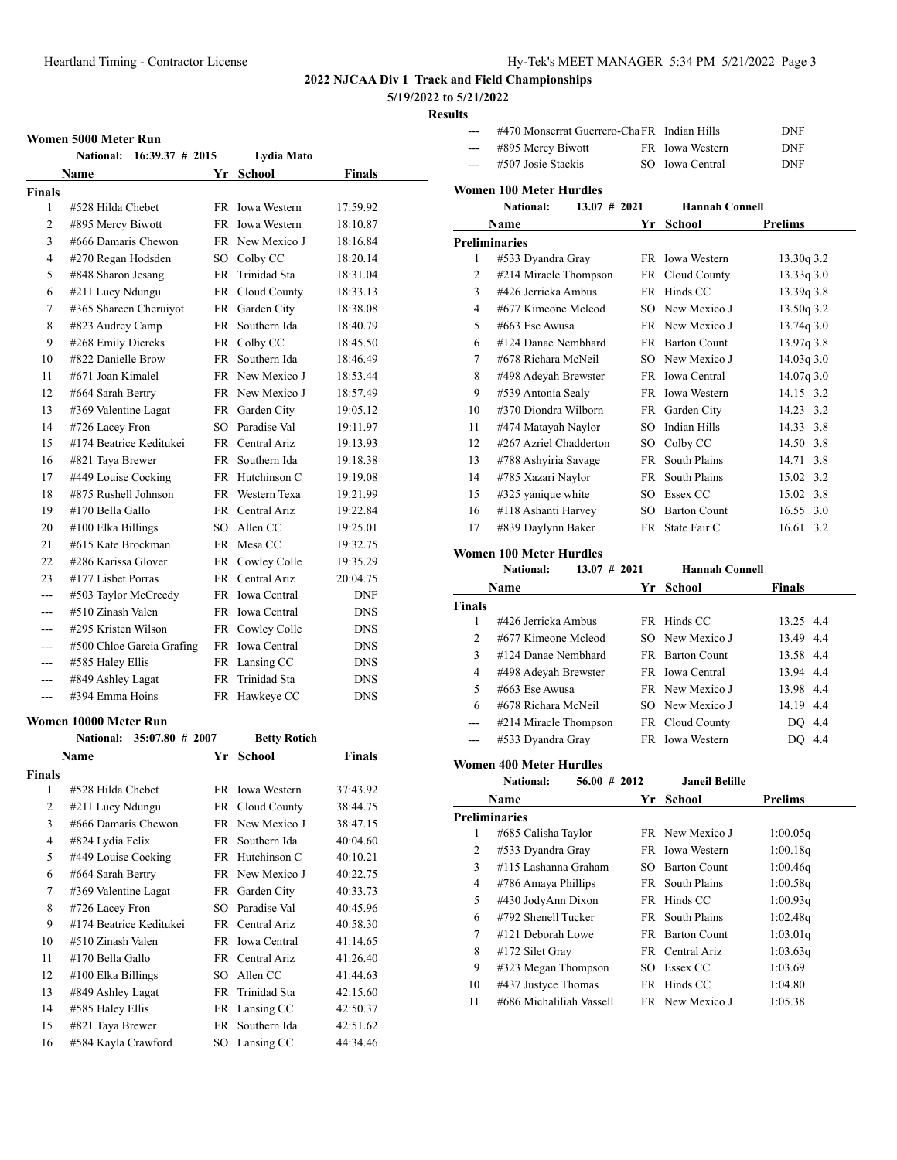# **5/19/2022 to 5/21/2022**

#### **Results**

|               | Women 5000 Meter Run                   |           |                     |               |
|---------------|----------------------------------------|-----------|---------------------|---------------|
|               | National:<br>$16:39.37 \# 2015$        |           | Lydia Mato          |               |
|               | Name                                   | Yr        | <b>School</b>       | <b>Finals</b> |
| <b>Finals</b> |                                        |           |                     |               |
| 1             | #528 Hilda Chebet                      | FR.       | <b>Iowa Western</b> | 17:59.92      |
| 2             | #895 Mercy Biwott                      | FR.       | <b>Iowa Western</b> | 18:10.87      |
| 3             | #666 Damaris Chewon                    | FR        | New Mexico J        | 18:16.84      |
| 4             | #270 Regan Hodsden                     | SO.       | Colby CC            | 18:20.14      |
| 5             | #848 Sharon Jesang                     | <b>FR</b> | Trinidad Sta        | 18:31.04      |
| 6             | #211 Lucy Ndungu                       |           | FR Cloud County     | 18:33.13      |
| 7             | #365 Shareen Cheruiyot                 |           | FR Garden City      | 18:38.08      |
| 8             | #823 Audrey Camp                       | FR -      | Southern Ida        | 18:40.79      |
| 9             | #268 Emily Diercks                     |           | FR Colby CC         | 18:45.50      |
| 10            | #822 Danielle Brow                     | FR -      | Southern Ida        | 18:46.49      |
| 11            | #671 Joan Kimalel                      |           | FR New Mexico J     | 18:53.44      |
| 12            | #664 Sarah Bertry                      |           | FR New Mexico J     | 18:57.49      |
| 13            | #369 Valentine Lagat                   | FR        | Garden City         | 19:05.12      |
| 14            | #726 Lacey Fron                        | SO.       | Paradise Val        | 19:11.97      |
| 15            | #174 Beatrice Keditukei                |           | FR Central Ariz     | 19:13.93      |
| 16            | #821 Taya Brewer                       | FR -      | Southern Ida        | 19:18.38      |
| 17            | #449 Louise Cocking                    |           | FR Hutchinson C     | 19:19.08      |
| 18            | #875 Rushell Johnson                   | FR 1      | Western Texa        | 19:21.99      |
| 19            | #170 Bella Gallo                       | FR -      | Central Ariz        | 19:22.84      |
| 20            | #100 Elka Billings                     | SO.       | Allen CC            | 19:25.01      |
| 21            | #615 Kate Brockman                     | FR        | Mesa CC             | 19:32.75      |
| 22            | #286 Karissa Glover                    | FR        | Cowley Colle        | 19:35.29      |
| 23            | #177 Lisbet Porras                     |           | FR Central Ariz     | 20:04.75      |
| ---           | #503 Taylor McCreedy                   |           | FR Iowa Central     | <b>DNF</b>    |
| ---           | #510 Zinash Valen                      |           | FR Iowa Central     | <b>DNS</b>    |
| ---           | #295 Kristen Wilson                    |           | FR Cowley Colle     | <b>DNS</b>    |
|               | #500 Chloe Garcia Grafing              |           | FR Iowa Central     | <b>DNS</b>    |
|               | #585 Haley Ellis                       |           | FR Lansing CC       | <b>DNS</b>    |
|               | #849 Ashley Lagat                      | FR -      | Trinidad Sta        | <b>DNS</b>    |
| ---           | #394 Emma Hoins                        | FR        | Hawkeye CC          | <b>DNS</b>    |
|               | Women 10000 Meter Run                  |           |                     |               |
|               | <b>National:</b><br>$35:07.80 \# 2007$ |           | <b>Betty Rotich</b> |               |

|                | <b>Name</b>             | Yr   | School              | Finals   |
|----------------|-------------------------|------|---------------------|----------|
| Finals         |                         |      |                     |          |
| 1              | #528 Hilda Chebet       | FR.  | <b>Iowa Western</b> | 37:43.92 |
| $\overline{2}$ | #211 Lucy Ndungu        |      | FR Cloud County     | 38:44.75 |
| 3              | #666 Damaris Chewon     | FR.  | New Mexico J        | 38:47.15 |
| 4              | #824 Lydia Felix        | FR.  | Southern Ida        | 40:04.60 |
| 5              | #449 Louise Cocking     | FR.  | Hutchinson C        | 40:10.21 |
| 6              | #664 Sarah Bertry       |      | FR New Mexico J     | 40:22.75 |
| 7              | #369 Valentine Lagat    |      | FR Garden City      | 40:33.73 |
| 8              | #726 Lacey Fron         | SO   | Paradise Val        | 40:45.96 |
| 9              | #174 Beatrice Keditukei |      | FR Central Ariz     | 40:58.30 |
| 10             | #510 Zinash Valen       | FR.  | <b>Iowa Central</b> | 41:14.65 |
| 11             | #170 Bella Gallo        | FR 1 | Central Ariz        | 41:26.40 |
| 12             | $\#100$ Elka Billings   | SO.  | Allen CC            | 41:44.63 |
| 13             | #849 Ashley Lagat       | FR   | Trinidad Sta        | 42:15.60 |
| 14             | #585 Haley Ellis        | FR   | Lansing CC          | 42:50.37 |
| 15             | #821 Taya Brewer        | FR   | Southern Ida        | 42:51.62 |
| 16             | #584 Kayla Crawford     |      | SO Lansing CC       | 44:34.46 |

| ---            | #470 Monserrat Guerrero-Cha FR Indian Hills     |        |                                | <b>DNF</b>         |
|----------------|-------------------------------------------------|--------|--------------------------------|--------------------|
| ---            | #895 Mercy Biwott                               |        | FR Iowa Western                | <b>DNF</b>         |
| ---            | #507 Josie Stackis                              |        | SO Iowa Central                | <b>DNF</b>         |
|                |                                                 |        |                                |                    |
|                | <b>Women 100 Meter Hurdles</b>                  |        |                                |                    |
|                | National:<br>$13.07 \# 2021$                    |        | <b>Hannah Connell</b>          |                    |
|                | Name                                            | Yr     | <b>School</b>                  | <b>Prelims</b>     |
|                | <b>Preliminaries</b>                            |        |                                |                    |
| 1              | #533 Dyandra Gray                               |        | FR Iowa Western                | 13.30q 3.2         |
| 2              | #214 Miracle Thompson                           |        | FR Cloud County                | 13.33q 3.0         |
| 3              | #426 Jerricka Ambus                             |        | FR Hinds CC                    | 13.39q 3.8         |
| 4              | #677 Kimeone Mcleod                             |        | SO New Mexico J                | 13.50q 3.2         |
| 5              | $#663$ Ese Awusa                                |        | FR New Mexico J                | 13.74q 3.0         |
| 6              | #124 Danae Nembhard                             |        | FR Barton Count                | 13.97q 3.8         |
| 7              | #678 Richara McNeil                             |        | SO New Mexico J                | 14.03q3.0          |
| 8              | #498 Adeyah Brewster                            |        | FR Iowa Central                | $14.07q$ 3.0       |
| 9              | #539 Antonia Sealy                              |        | FR Iowa Western                | 14.15 3.2          |
| 10             | #370 Diondra Wilborn                            |        | FR Garden City                 | 14.23 3.2          |
| 11             | #474 Matayah Naylor                             |        | SO Indian Hills                | 14.33 3.8          |
| 12             | #267 Azriel Chadderton                          |        | SO Colby CC                    | 14.50 3.8          |
| 13             | #788 Ashyiria Savage                            |        | FR South Plains                | 14.71 3.8          |
| 14             | #785 Xazari Naylor                              |        | FR South Plains                | 15.02 3.2          |
| 15             | #325 yanique white                              |        | SO Essex CC                    | 15.02 3.8          |
| 16             | #118 Ashanti Harvey                             |        | SO Barton Count                | 16.55, 3.0         |
| 17             | #839 Daylynn Baker                              |        | FR State Fair C                | 16.61 3.2          |
|                | Women 100 Meter Hurdles                         |        |                                |                    |
|                |                                                 |        |                                |                    |
|                | <b>National:</b><br>$13.07 \# 2021$             |        | <b>Hannah Connell</b>          |                    |
|                | <b>Name</b>                                     | Yr     | School                         | Finals             |
| <b>Finals</b>  |                                                 |        |                                |                    |
| 1              | #426 Jerricka Ambus                             |        | FR Hinds CC                    | 13.25 4.4          |
| 2              | #677 Kimeone Mcleod                             |        | SO New Mexico J                | 13.49 4.4          |
| 3              | #124 Danae Nembhard                             |        | FR Barton Count                | 13.58 4.4          |
| 4              | #498 Adeyah Brewster                            |        | FR Iowa Central                | 13.94 4.4          |
| 5              | #663 Ese Awusa                                  |        | FR New Mexico J                | 13.98 4.4          |
| 6              | #678 Richara McNeil                             |        | SO New Mexico J                | 14.19 4.4          |
|                | #214 Miracle Thompson                           |        | FR Cloud County                | DO 4.4             |
| ---            | #533 Dyandra Gray                               |        | FR Iowa Western                | DQ 4.4             |
|                |                                                 |        |                                |                    |
|                | <b>Women 400 Meter Hurdles</b>                  |        |                                |                    |
|                | <b>National:</b><br>$56.00 \# 2012$             |        | <b>Janeil Belille</b>          |                    |
|                | Name                                            |        | Yr School                      | <b>Prelims</b>     |
|                | <b>Preliminaries</b>                            |        |                                |                    |
| 1              | #685 Calisha Taylor                             |        | FR New Mexico J                | 1:00.05q           |
| 2              | #533 Dyandra Gray                               |        | FR Iowa Western                | 1:00.18q           |
| 3              | #115 Lashanna Graham                            | $SO^-$ | <b>Barton Count</b>            | 1:00.46q           |
| $\overline{4}$ | #786 Amaya Phillips                             | FR     | South Plains                   | 1:00.58q           |
| 5              | #430 JodyAnn Dixon                              |        | FR Hinds CC                    | 1:00.93q           |
| 6              | #792 Shenell Tucker                             | FR     | South Plains                   | 1:02.48q           |
| 7              | #121 Deborah Lowe                               |        | FR Barton Count                | 1:03.01q           |
| 8              | #172 Silet Gray                                 |        | FR Central Ariz                | 1:03.63q           |
| 9              | #323 Megan Thompson                             |        | SO Essex CC                    | 1:03.69            |
| 10<br>11       | #437 Justyce Thomas<br>#686 Michaliliah Vassell |        | FR Hinds CC<br>FR New Mexico J | 1:04.80<br>1:05.38 |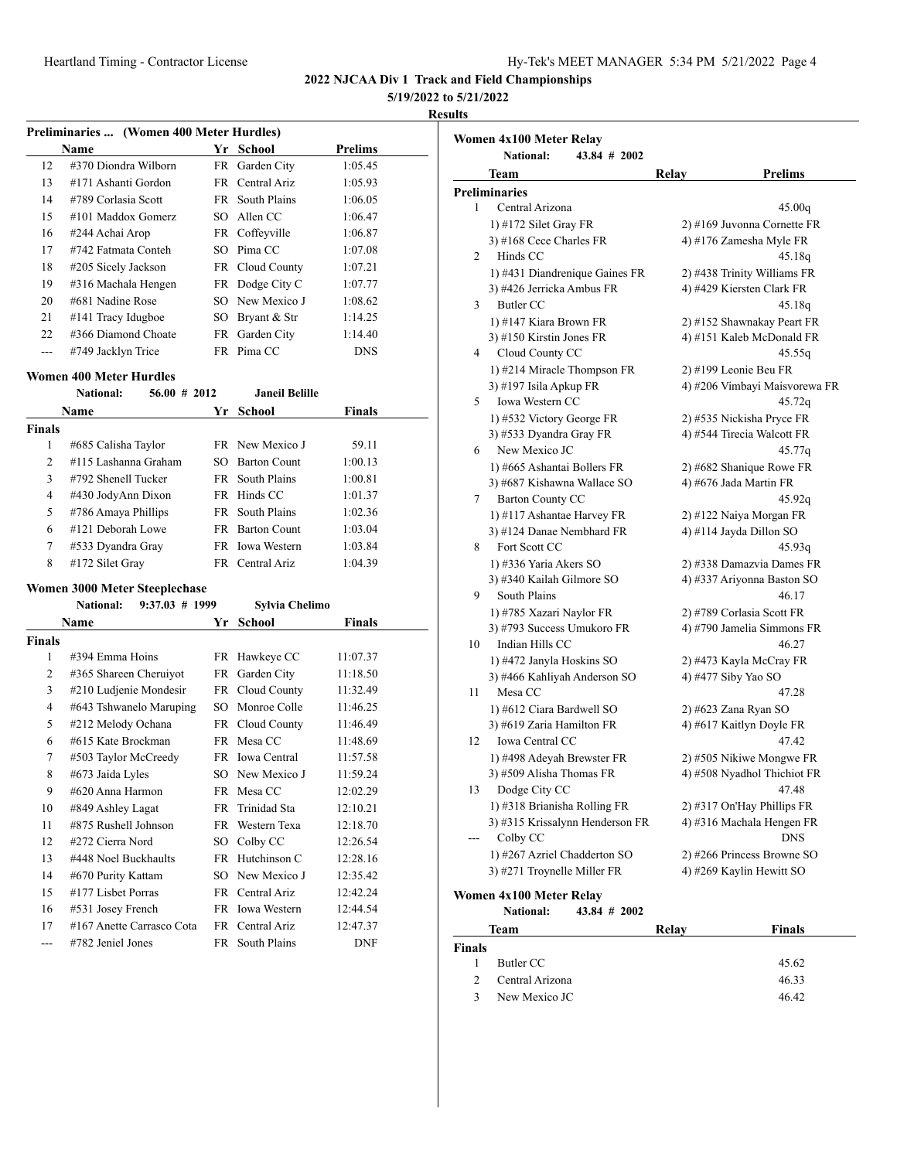| Iy-Tek's MEET MANAGER 5:34 PM 5/21/2022 Page 4 |  |  |  |
|------------------------------------------------|--|--|--|
|------------------------------------------------|--|--|--|

#### **5/19/2022 to 5/21/2022**

#### **Results**

| Preliminaries  (Women 400 Meter Hurdles) |                      |     |                 |                |  |
|------------------------------------------|----------------------|-----|-----------------|----------------|--|
|                                          | Name                 | Yr. | School          | <b>Prelims</b> |  |
| 12                                       | #370 Diondra Wilborn | FR  | Garden City     | 1:05.45        |  |
| 13                                       | #171 Ashanti Gordon  |     | FR Central Ariz | 1:05.93        |  |
| 14                                       | #789 Corlasia Scott  | FR. | South Plains    | 1:06.05        |  |
| 15                                       | #101 Maddox Gomerz   |     | SO Allen CC     | 1:06.47        |  |
| 16                                       | #244 Achai Arop      |     | FR Coffeyville  | 1:06.87        |  |
| 17                                       | #742 Fatmata Conteh  | SO. | Pima CC         | 1:07.08        |  |
| 18                                       | #205 Sicely Jackson  |     | FR Cloud County | 1:07.21        |  |
| 19                                       | #316 Machala Hengen  |     | FR Dodge City C | 1:07.77        |  |
| 20                                       | #681 Nadine Rose     |     | SO New Mexico J | 1:08.62        |  |
| 21                                       | #141 Tracy Idugboe   | SO. | Bryant & Str    | 1:14.25        |  |
| 22                                       | #366 Diamond Choate  | FR  | Garden City     | 1:14.40        |  |
| ---                                      | #749 Jacklyn Trice   | FR. | Pima CC         | <b>DNS</b>     |  |

#### **Women 400 Meter Hurdles**

|                | <b>National:</b>     | $56.00 \# 2012$ |     | <b>Janeil Belille</b> |         |  |
|----------------|----------------------|-----------------|-----|-----------------------|---------|--|
| Name           |                      |                 |     | Yr School             | Finals  |  |
| <b>Finals</b>  |                      |                 |     |                       |         |  |
| 1              | #685 Calisha Taylor  |                 |     | FR New Mexico J       | 59.11   |  |
| $\overline{2}$ | #115 Lashanna Graham |                 |     | SO Barton Count       | 1:00.13 |  |
| 3              | #792 Shenell Tucker  |                 |     | FR South Plains       | 1:00.81 |  |
| 4              | #430 JodyAnn Dixon   |                 |     | FR Hinds CC           | 1:01.37 |  |
| 5              | #786 Amaya Phillips  |                 |     | FR South Plains       | 1:02.36 |  |
| 6              | #121 Deborah Lowe    |                 | FR. | <b>Barton Count</b>   | 1:03.04 |  |
| 7              | #533 Dyandra Gray    |                 |     | FR Iowa Western       | 1:03.84 |  |
| 8              | #172 Silet Gray      |                 |     | FR Central Ariz       | 1:04.39 |  |

#### **Women 3000 Meter Steeplechase**

|                | $9:37.03$ # 1999<br><b>National:</b> |      | Sylvia Chelimo  |            |  |
|----------------|--------------------------------------|------|-----------------|------------|--|
|                | Name                                 | Yr   | School          | Finals     |  |
| <b>Finals</b>  |                                      |      |                 |            |  |
| 1              | #394 Emma Hoins                      |      | FR Hawkeye CC   | 11:07.37   |  |
| $\overline{2}$ | #365 Shareen Cheruiyot               |      | FR Garden City  | 11:18.50   |  |
| 3              | #210 Ludjenie Mondesir               |      | FR Cloud County | 11:32.49   |  |
| 4              | #643 Tshwanelo Maruping              | SO.  | Monroe Colle    | 11:46.25   |  |
| 5              | #212 Melody Ochana                   |      | FR Cloud County | 11:46.49   |  |
| 6              | #615 Kate Brockman                   |      | FR Mesa CC      | 11:48.69   |  |
| 7              | #503 Taylor McCreedy                 |      | FR Iowa Central | 11:57.58   |  |
| 8              | #673 Jaida Lyles                     |      | SO New Mexico J | 11:59.24   |  |
| 9              | #620 Anna Harmon                     |      | FR Mesa CC      | 12:02.29   |  |
| 10             | #849 Ashley Lagat                    | FR   | Trinidad Sta    | 12:10.21   |  |
| 11             | #875 Rushell Johnson                 |      | FR Western Texa | 12:18.70   |  |
| 12             | #272 Cierra Nord                     | SO   | Colby CC        | 12:26.54   |  |
| 13             | #448 Noel Buckhaults                 | FR   | Hutchinson C    | 12:28.16   |  |
| 14             | #670 Purity Kattam                   |      | SO New Mexico J | 12:35.42   |  |
| 15             | #177 Lisbet Porras                   | FR - | Central Ariz    | 12:42.24   |  |
| 16             | #531 Josey French                    |      | FR Iowa Western | 12:44.54   |  |
| 17             | #167 Anette Carrasco Cota            | FR - | Central Ariz    | 12:47.37   |  |
| ---            | #782 Jeniel Jones                    | FR   | South Plains    | <b>DNF</b> |  |

|     | Women 4x100 Meter Relay      |                                 |                             |                                         |  |
|-----|------------------------------|---------------------------------|-----------------------------|-----------------------------------------|--|
|     | <b>National:</b>             | $43.84 \# 2002$                 |                             |                                         |  |
|     | Team                         |                                 | Relay                       | Prelims                                 |  |
|     | <b>Preliminaries</b>         |                                 |                             |                                         |  |
| 1   | Central Arizona              |                                 |                             | 45.00q                                  |  |
|     | 1) #172 Silet Gray FR        |                                 | 2) #169 Juvonna Cornette FR |                                         |  |
|     | 3) #168 Cece Charles FR      |                                 |                             | 4) #176 Zamesha Myle FR                 |  |
| 2   | Hinds CC                     |                                 |                             | 45.18q                                  |  |
|     |                              | 1) #431 Diandrenique Gaines FR  |                             | 2) #438 Trinity Williams FR             |  |
|     | 3) #426 Jerricka Ambus FR    |                                 |                             | 4) #429 Kiersten Clark FR               |  |
| 3   | <b>Butler CC</b>             |                                 |                             | 45.18g                                  |  |
|     | 1) #147 Kiara Brown FR       |                                 |                             | 2) #152 Shawnakay Peart FR              |  |
|     | 3) #150 Kirstin Jones FR     |                                 |                             | 4) #151 Kaleb McDonald FR               |  |
| 4   | Cloud County CC              |                                 |                             | 45.55q                                  |  |
|     |                              | 1) #214 Miracle Thompson FR     |                             | 2) #199 Leonie Beu FR                   |  |
|     | 3) #197 Isila Apkup FR       |                                 |                             | 4) #206 Vimbayi Maisvorewa FR           |  |
| 5   | Iowa Western CC              |                                 |                             | 45.72q                                  |  |
|     | 1) #532 Victory George FR    |                                 |                             | 2) #535 Nickisha Pryce FR               |  |
|     | 3) #533 Dyandra Gray FR      |                                 |                             | 4) #544 Tirecia Walcott FR              |  |
| 6   | New Mexico JC                |                                 |                             | 45.77q                                  |  |
|     | 1) #665 Ashantai Bollers FR  |                                 |                             | 2) #682 Shanique Rowe FR                |  |
|     | 3) #687 Kishawna Wallace SO  |                                 |                             | 4) #676 Jada Martin FR                  |  |
| 7   | <b>Barton County CC</b>      |                                 |                             | 45.92q                                  |  |
|     | 1) #117 Ashantae Harvey FR   |                                 |                             | 2) #122 Naiya Morgan FR                 |  |
|     | 3) #124 Danae Nembhard FR    |                                 |                             | 4) #114 Jayda Dillon SO                 |  |
| 8   | Fort Scott CC                |                                 |                             | 45.93q                                  |  |
|     | 1) #336 Yaria Akers SO       |                                 |                             | 2) #338 Damazvia Dames FR               |  |
|     | 3) #340 Kailah Gilmore SO    |                                 |                             | 4) #337 Ariyonna Baston SO              |  |
| 9   | South Plains                 |                                 |                             | 46.17                                   |  |
|     | 1) #785 Xazari Naylor FR     |                                 |                             | 2) #789 Corlasia Scott FR               |  |
|     | 3) #793 Success Umukoro FR   |                                 |                             | 4) #790 Jamelia Simmons FR              |  |
| 10  | Indian Hills CC              |                                 |                             | 46.27                                   |  |
|     | 1) #472 Janyla Hoskins SO    |                                 |                             | 2) #473 Kayla McCray FR                 |  |
|     |                              | 3) #466 Kahliyah Anderson SO    |                             | 4) #477 Siby Yao SO                     |  |
| 11  | Mesa CC                      |                                 |                             | 47.28                                   |  |
|     | 1) #612 Ciara Bardwell SO    |                                 |                             | 2) #623 Zana Ryan SO                    |  |
|     | 3) #619 Zaria Hamilton FR    |                                 |                             | 4) #617 Kaitlyn Doyle FR                |  |
| 12  | Iowa Central CC              |                                 |                             | 47.42                                   |  |
|     | 1) #498 Adeyah Brewster FR   |                                 |                             | 2) #505 Nikiwe Mongwe FR                |  |
| 13  | 3) #509 Alisha Thomas FR     |                                 |                             | 4) #508 Nyadhol Thichiot FR<br>47.48    |  |
|     | Dodge City CC                |                                 |                             |                                         |  |
|     | 1) #318 Brianisha Rolling FR |                                 |                             | 2) #317 On'Hay Phillips FR              |  |
| --- |                              | 3) #315 Krissalynn Henderson FR |                             | 4) #316 Machala Hengen FR<br><b>DNS</b> |  |
|     | Colby CC                     |                                 |                             |                                         |  |
|     | 1) #267 Azriel Chadderton SO |                                 |                             | 2) #266 Princess Browne SO              |  |
|     | 3) #271 Troynelle Miller FR  |                                 |                             | 4) #269 Kaylin Hewitt SO                |  |

#### **Women 4x100 Meter Relay<br>National:** 43.84 **National: 43.84 # 2002**

|               | Team            | Relav | <b>Finals</b> |  |
|---------------|-----------------|-------|---------------|--|
| Finals        |                 |       |               |  |
|               | Butler CC       |       | 45.62         |  |
| $\mathcal{D}$ | Central Arizona |       | 46.33         |  |
| 3             | New Mexico JC   |       | 46.42         |  |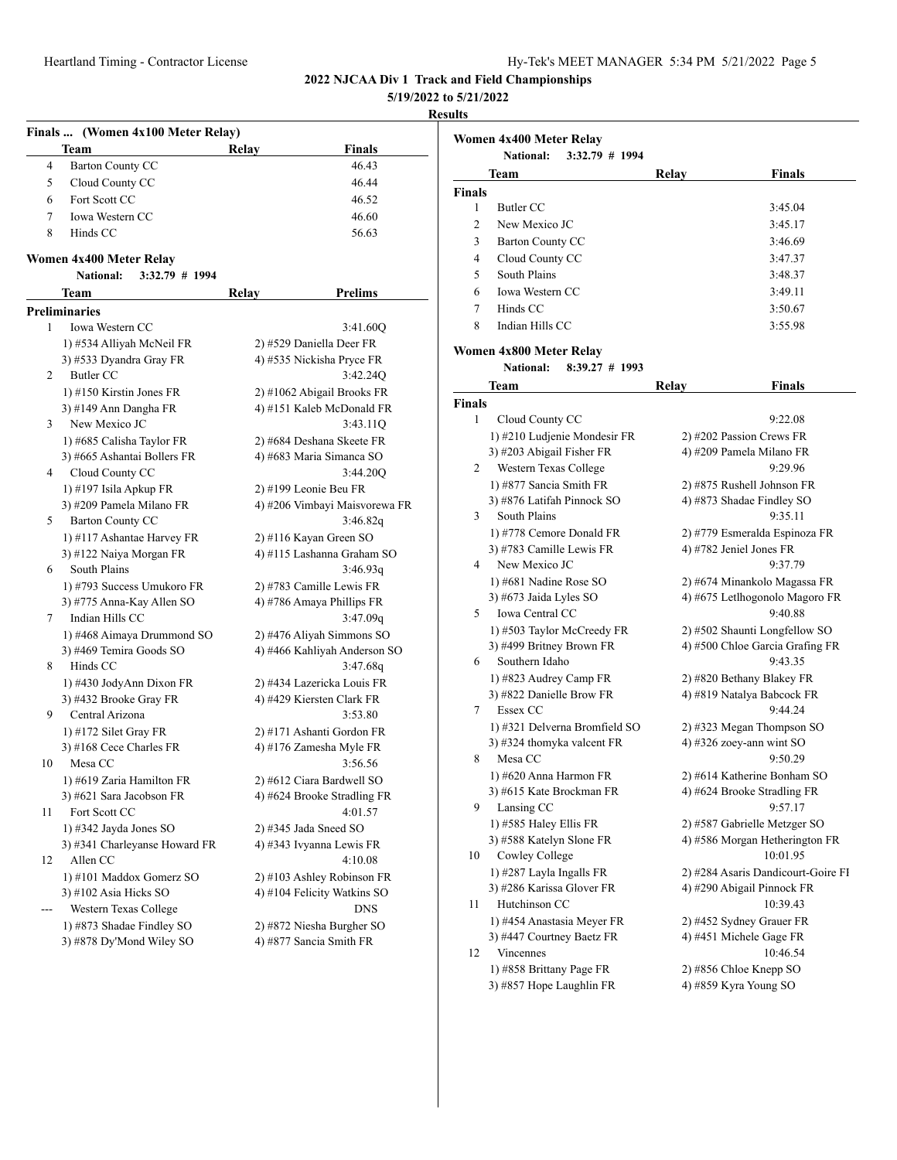| Heartland Timing - Contractor License | Hy-Tek's MEET MANAGER 5:34 PM 5/21/2022 Page 5 |
|---------------------------------------|------------------------------------------------|

**5/19/2022 to 5/21/2022**

#### **Results**

|                | Finals  (Women 4x100 Meter Relay)           |                               |
|----------------|---------------------------------------------|-------------------------------|
|                | Team                                        | Relay<br>Finals               |
| 4              | Barton County CC                            | 46.43                         |
| 5              | Cloud County CC                             | 46.44                         |
| 6              | Fort Scott CC                               | 46.52                         |
| 7              | Iowa Western CC                             | 46.60                         |
| 8              | Hinds CC                                    | 56.63                         |
|                |                                             |                               |
|                | Women 4x400 Meter Relay<br><b>National:</b> |                               |
|                | 3:32.79 # 1994                              |                               |
|                | Team                                        | <b>Prelims</b><br>Relay       |
|                | <b>Preliminaries</b>                        |                               |
| 1              | Iowa Western CC                             | 3:41.60Q                      |
|                | 1) #534 Alliyah McNeil FR                   | 2) #529 Daniella Deer FR      |
|                | 3) #533 Dyandra Gray FR                     | 4) #535 Nickisha Pryce FR     |
| $\overline{2}$ | Butler CC                                   | 3:42.24Q                      |
|                | 1) #150 Kirstin Jones FR                    | 2) #1062 Abigail Brooks FR    |
|                | 3) #149 Ann Dangha FR                       | 4) #151 Kaleb McDonald FR     |
| 3              | New Mexico JC                               | 3:43.11Q                      |
|                | 1) #685 Calisha Taylor FR                   | 2) #684 Deshana Skeete FR     |
|                | 3) #665 Ashantai Bollers FR                 | 4) #683 Maria Simanca SO      |
| 4              | Cloud County CC                             | 3:44.20Q                      |
|                | 1) #197 Isila Apkup FR                      | 2) #199 Leonie Beu FR         |
|                | 3) #209 Pamela Milano FR                    | 4) #206 Vimbayi Maisvorewa FR |
| 5              | <b>Barton County CC</b>                     | 3:46.82q                      |
|                | 1) #117 Ashantae Harvey FR                  | 2) #116 Kayan Green SO        |
|                | 3) #122 Naiya Morgan FR                     | 4) #115 Lashanna Graham SO    |
| 6              | South Plains                                | 3:46.93q                      |
|                | 1) #793 Success Umukoro FR                  | 2) #783 Camille Lewis FR      |
|                | 3) #775 Anna-Kay Allen SO                   | 4) #786 Amaya Phillips FR     |
| 7              | Indian Hills CC                             | 3:47.09q                      |
|                | 1) #468 Aimaya Drummond SO                  | 2) #476 Aliyah Simmons SO     |
|                | 3) #469 Temira Goods SO                     | 4) #466 Kahliyah Anderson SO  |
| 8              | Hinds CC                                    | 3:47.68q                      |
|                | 1) #430 JodyAnn Dixon FR                    | 2) #434 Lazericka Louis FR    |
|                | 3) #432 Brooke Gray FR                      | 4) #429 Kiersten Clark FR     |
| 9              | Central Arizona                             | 3:53.80                       |
|                | 1) #172 Silet Gray FR                       | 2) #171 Ashanti Gordon FR     |
|                | 3) #168 Cece Charles FR                     | 4) #176 Zamesha Myle FR       |
| 10             | Mesa CC                                     | 3:56.56                       |
|                | 1) #619 Zaria Hamilton FR                   | 2) #612 Ciara Bardwell SO     |
|                | 3) #621 Sara Jacobson FR                    | 4) #624 Brooke Stradling FR   |
| 11             | Fort Scott CC                               | 4:01.57                       |
|                | 1) #342 Jayda Jones SO                      | $2)$ #345 Jada Sneed SO       |
|                | 3) #341 Charleyanse Howard FR               | 4) #343 Ivyanna Lewis FR      |
| 12             | Allen CC                                    | 4:10.08                       |
|                | 1) #101 Maddox Gomerz SO                    | 2) #103 Ashley Robinson FR    |
|                | 3) #102 Asia Hicks SO                       | 4) #104 Felicity Watkins SO   |
| ---            | Western Texas College                       | <b>DNS</b>                    |
|                | 1) #873 Shadae Findley SO                   | 2) #872 Niesha Burgher SO     |
|                | 3) #878 Dy'Mond Wiley SO                    | 4) #877 Sancia Smith FR       |
|                |                                             |                               |

|               | Women 4x400 Meter Relay<br>$3:32.79$ # 1994<br><b>National:</b> |       |               |  |  |  |  |
|---------------|-----------------------------------------------------------------|-------|---------------|--|--|--|--|
|               | <b>Team</b>                                                     | Relay | <b>Finals</b> |  |  |  |  |
| <b>Finals</b> |                                                                 |       |               |  |  |  |  |
| 1             | Butler CC                                                       |       | 3:45.04       |  |  |  |  |
| 2             | New Mexico JC                                                   |       | 3:45.17       |  |  |  |  |
| 3             | Barton County CC                                                |       | 3:46.69       |  |  |  |  |
| 4             | Cloud County CC                                                 |       | 3:47.37       |  |  |  |  |
| 5             | South Plains                                                    |       | 3:48.37       |  |  |  |  |
| 6             | <b>Iowa Western CC</b>                                          |       | 3:49.11       |  |  |  |  |
| 7             | Hinds CC<br>3:50.67                                             |       |               |  |  |  |  |
| 8             | Indian Hills CC                                                 |       | 3:55.98       |  |  |  |  |

### **Women 4x800 Meter Relay**

**National: 8:39.27 # 1993**

|               | Team                          | Relay | <b>Finals</b>                      |
|---------------|-------------------------------|-------|------------------------------------|
| <b>Finals</b> |                               |       |                                    |
| 1             | Cloud County CC               |       | 9:22.08                            |
|               | 1) #210 Ludjenie Mondesir FR  |       | 2) #202 Passion Crews FR           |
|               | 3) #203 Abigail Fisher FR     |       | 4) #209 Pamela Milano FR           |
| 2             | Western Texas College         |       | 9:29.96                            |
|               | 1) #877 Sancia Smith FR       |       | 2) #875 Rushell Johnson FR         |
|               | 3) #876 Latifah Pinnock SO    |       | 4) #873 Shadae Findley SO          |
| 3             | South Plains                  |       | 9:35.11                            |
|               | 1) #778 Cemore Donald FR      |       | 2) #779 Esmeralda Espinoza FR      |
|               | 3) #783 Camille Lewis FR      |       | 4) #782 Jeniel Jones FR            |
| 4             | New Mexico JC                 |       | 9:37.79                            |
|               | 1) #681 Nadine Rose SO        |       | 2) #674 Minankolo Magassa FR       |
|               | 3) #673 Jaida Lyles SO        |       | 4) #675 Letlhogonolo Magoro FR     |
| 5             | Iowa Central CC               |       | 9:40.88                            |
|               | 1) #503 Taylor McCreedy FR    |       | 2) #502 Shaunti Longfellow SO      |
|               | 3) #499 Britney Brown FR      |       | 4) #500 Chloe Garcia Grafing FR    |
| 6             | Southern Idaho                |       | 9:43.35                            |
|               | 1) #823 Audrey Camp FR        |       | 2) #820 Bethany Blakey FR          |
|               | 3) #822 Danielle Brow FR      |       | 4) #819 Natalya Babcock FR         |
| 7             | Essex CC                      |       | 9:44.24                            |
|               | 1) #321 Delverna Bromfield SO |       | 2) #323 Megan Thompson SO          |
|               | 3) #324 thomyka valcent FR    |       | 4) #326 zoey-ann wint SO           |
| 8             | Mesa CC                       |       | 9:50.29                            |
|               | 1) #620 Anna Harmon FR        |       | 2) #614 Katherine Bonham SO        |
|               | 3) #615 Kate Brockman FR      |       | 4) #624 Brooke Stradling FR        |
| 9             | Lansing CC                    |       | 9:57.17                            |
|               | 1) #585 Haley Ellis FR        |       | 2) #587 Gabrielle Metzger SO       |
|               | 3) #588 Katelyn Slone FR      |       | 4) #586 Morgan Hetherington FR     |
| 10            | Cowley College                |       | 10:01.95                           |
|               | 1) #287 Layla Ingalls FR      |       | 2) #284 Asaris Dandicourt-Goire FI |
|               | 3) #286 Karissa Glover FR     |       | 4) #290 Abigail Pinnock FR         |
| 11            | Hutchinson CC                 |       | 10:39.43                           |
|               | 1) #454 Anastasia Meyer FR    |       | 2) #452 Sydney Grauer FR           |
|               | 3) #447 Courtney Baetz FR     |       | 4) #451 Michele Gage FR            |
| 12            | <b>Vincennes</b>              |       | 10:46.54                           |
|               | 1) #858 Brittany Page FR      |       | 2) #856 Chloe Knepp SO             |
|               | 3) #857 Hope Laughlin FR      |       | 4) #859 Kyra Young SO              |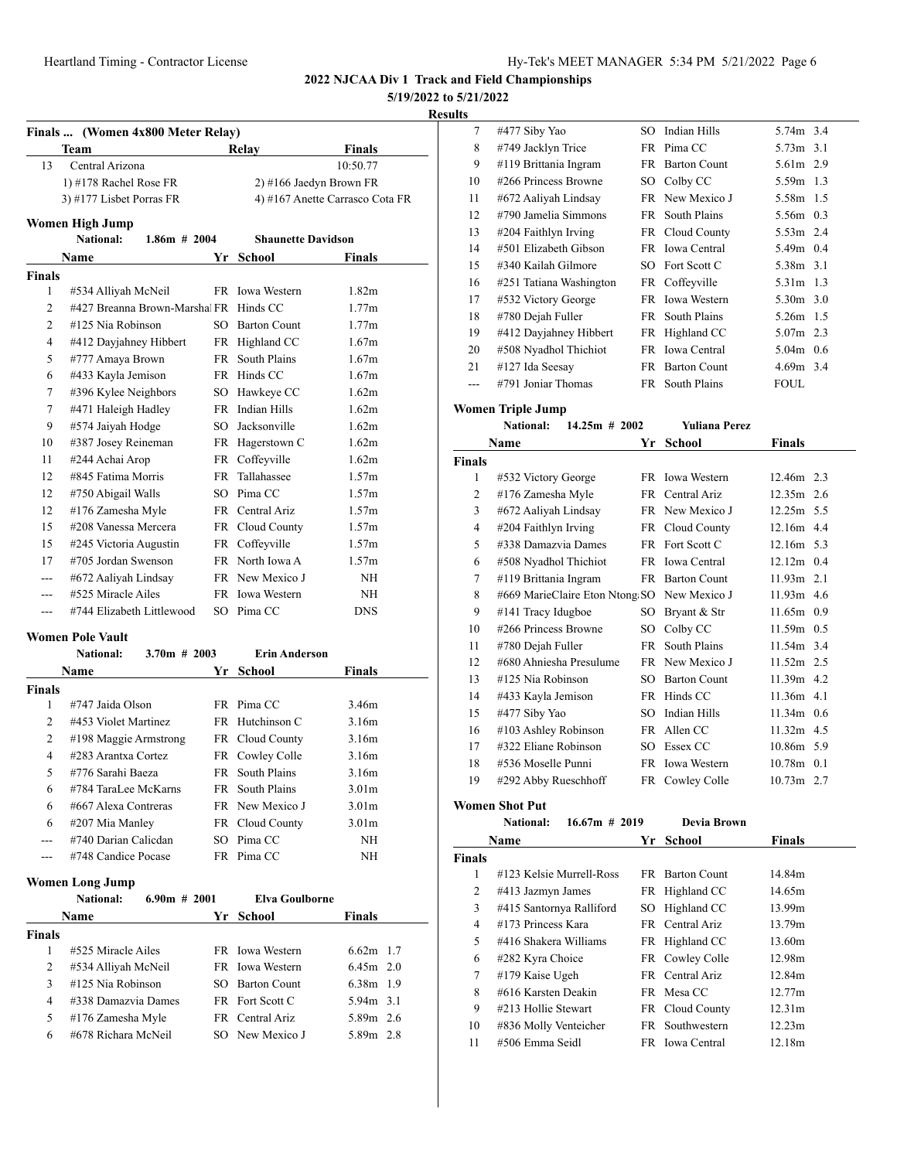| Hy-Tek's MEET MANAGER 5:34 PM 5/21/2022 Page 6 |  |  |
|------------------------------------------------|--|--|
|------------------------------------------------|--|--|

#### **5/19/2022 to 5/21/2022**

#### **Results**

|                | Finals  (Women 4x800 Meter Relay)                        |           |                     |                                 |  |  |  |  |
|----------------|----------------------------------------------------------|-----------|---------------------|---------------------------------|--|--|--|--|
|                | Team                                                     |           | Relay               | <b>Finals</b>                   |  |  |  |  |
| 13             | Central Arizona                                          |           |                     | 10:50.77                        |  |  |  |  |
|                | 1) #178 Rachel Rose FR                                   |           |                     | 2) #166 Jaedyn Brown FR         |  |  |  |  |
|                | 3) #177 Lisbet Porras FR                                 |           |                     | 4) #167 Anette Carrasco Cota FR |  |  |  |  |
|                | Women High Jump                                          |           |                     |                                 |  |  |  |  |
|                | National:<br>$1.86m$ # 2004<br><b>Shaunette Davidson</b> |           |                     |                                 |  |  |  |  |
|                | <b>Name</b>                                              | Yr        | <b>School</b>       | <b>Finals</b>                   |  |  |  |  |
| <b>Finals</b>  |                                                          |           |                     |                                 |  |  |  |  |
| 1              | #534 Alliyah McNeil                                      |           | FR Iowa Western     | 1.82 <sub>m</sub>               |  |  |  |  |
| $\overline{2}$ | #427 Breanna Brown-Marshal FR Hinds CC                   |           |                     | 1.77m                           |  |  |  |  |
| $\overline{2}$ | #125 Nia Robinson                                        | SO.       | <b>Barton Count</b> | 1.77m                           |  |  |  |  |
| $\overline{4}$ | #412 Dayjahney Hibbert                                   |           | FR Highland CC      | 1.67m                           |  |  |  |  |
| 5              | #777 Amaya Brown                                         | <b>FR</b> | South Plains        | 1.67m                           |  |  |  |  |
| 6              | #433 Kayla Jemison                                       |           | FR Hinds CC         | 1.67m                           |  |  |  |  |
| 7              | #396 Kylee Neighbors                                     | SO        | Hawkeye CC          | 1.62m                           |  |  |  |  |
| 7              | #471 Haleigh Hadley                                      |           | FR Indian Hills     | 1.62m                           |  |  |  |  |
| 9              | #574 Jaiyah Hodge                                        |           | SO Jacksonville     | 1.62m                           |  |  |  |  |
| 10             | #387 Josey Reineman                                      |           | FR Hagerstown C     | 1.62m                           |  |  |  |  |
| 11             | #244 Achai Arop                                          |           | FR Coffeyville      | 1.62m                           |  |  |  |  |
| 12             | #845 Fatima Morris                                       | FR.       | Tallahassee         | 1.57m                           |  |  |  |  |
| 12             | #750 Abigail Walls                                       | SO.       | Pima CC             | 1.57m                           |  |  |  |  |
| 12             | #176 Zamesha Myle                                        | FR        | Central Ariz        | 1.57m                           |  |  |  |  |
| 15             | #208 Vanessa Mercera                                     |           | FR Cloud County     | 1.57m                           |  |  |  |  |
| 15             | #245 Victoria Augustin                                   | FR        | Coffeyville         | 1.57m                           |  |  |  |  |
| 17             | #705 Jordan Swenson                                      |           | FR North Iowa A     | 1.57m                           |  |  |  |  |
|                | #672 Aaliyah Lindsay                                     |           | FR New Mexico J     | <b>NH</b>                       |  |  |  |  |
|                | #525 Miracle Ailes                                       |           | FR Iowa Western     | NH                              |  |  |  |  |
| ---            | #744 Elizabeth Littlewood                                |           | SO Pima CC          | <b>DNS</b>                      |  |  |  |  |

#### **Women Pole Vault**

|               | <b>National:</b>      | $3.70m$ # 2003 |      | <b>Erin Anderson</b>   |                   |
|---------------|-----------------------|----------------|------|------------------------|-------------------|
|               | <b>Name</b>           |                | Yr.  | School                 | <b>Finals</b>     |
| <b>Finals</b> |                       |                |      |                        |                   |
| 1             | #747 Jaida Olson      |                |      | FR Pima CC             | 3.46m             |
| 2             | #453 Violet Martinez  |                |      | FR Hutchinson C        | 3.16m             |
| 2             | #198 Maggie Armstrong |                |      | FR Cloud County        | 3.16m             |
| 4             | #283 Arantxa Cortez   |                |      | FR Cowley Colle        | 3.16m             |
| 5             | #776 Sarahi Baeza     |                | FR - | South Plains           | 3.16m             |
| 6             | #784 TaraLee McKarns  |                |      | <b>FR</b> South Plains | 3.01 <sub>m</sub> |
| 6             | #667 Alexa Contreras  |                |      | FR New Mexico J        | 3.01 <sub>m</sub> |
| 6             | #207 Mia Manley       |                |      | FR Cloud County        | 3.01 <sub>m</sub> |
|               | #740 Darian Calicdan  |                |      | SO Pima CC             | NH                |
|               | #748 Candice Pocase   |                |      | FR Pima CC             | NΗ                |

#### **Women Long Jump**

|               | <b>National:</b>     | $6.90m \# 2001$ | Elva Goulborne  |               |
|---------------|----------------------|-----------------|-----------------|---------------|
|               | Name                 |                 | Yr School       | <b>Finals</b> |
| <b>Finals</b> |                      |                 |                 |               |
|               | #525 Miracle Ailes   |                 | FR Iowa Western | $6.62m$ 1.7   |
| 2             | #534 Alliyah McNeil  |                 | FR Iowa Western | $6.45m$ 2.0   |
| 3             | $\#125$ Nia Robinson |                 | SO Barton Count | $6.38m$ 1.9   |
| 4             | #338 Damazvia Dames  |                 | FR Fort Scott C | 5.94m 3.1     |
| 5             | #176 Zamesha Myle    |                 | FR Central Ariz | 5.89m 2.6     |
| 6             | #678 Richara McNeil  |                 | SO New Mexico J | 5.89m 2.8     |

| ັ   |                         |     |                     |             |  |
|-----|-------------------------|-----|---------------------|-------------|--|
| 7   | #477 Siby Yao           | SO. | Indian Hills        | 5.74m 3.4   |  |
| 8   | #749 Jacklyn Trice      | FR  | Pima CC             | 5.73m 3.1   |  |
| 9   | #119 Brittania Ingram   |     | FR Barton Count     | 5.61m 2.9   |  |
| 10  | #266 Princess Browne    |     | SO Colby CC         | 5.59m 1.3   |  |
| 11  | #672 Aaliyah Lindsay    |     | FR New Mexico J     | 5.58m 1.5   |  |
| 12  | #790 Jamelia Simmons    |     | FR South Plains     | 5.56m 0.3   |  |
| 13  | $\#204$ Faithlyn Irving |     | FR Cloud County     | 5.53m 2.4   |  |
| 14  | #501 Elizabeth Gibson   |     | FR Iowa Central     | 5.49m 0.4   |  |
| 15  | #340 Kailah Gilmore     |     | SO Fort Scott C     | 5.38m 3.1   |  |
| 16  | #251 Tatiana Washington |     | FR Coffeyville      | 5.31m 1.3   |  |
| 17  | #532 Victory George     |     | FR Iowa Western     | 5.30m 3.0   |  |
| 18  | #780 Dejah Fuller       |     | FR South Plains     | 5.26m 1.5   |  |
| 19  | #412 Dayjahney Hibbert  |     | FR Highland CC      | $5.07m$ 2.3 |  |
| 20  | #508 Nyadhol Thichiot   |     | FR Iowa Central     | $5.04m$ 0.6 |  |
| 21  | #127 Ida Seesay         | FR  | <b>Barton Count</b> | $4.69m$ 3.4 |  |
| --- | #791 Joniar Thomas      |     | FR South Plains     | <b>FOUL</b> |  |

#### **Women Triple Jump**

|               | $14.25m \# 2002$<br><b>National:</b>        |      | <b>Yuliana Perez</b> |               |  |
|---------------|---------------------------------------------|------|----------------------|---------------|--|
|               | Name                                        | Yr   | School               | <b>Finals</b> |  |
| <b>Finals</b> |                                             |      |                      |               |  |
| 1             | #532 Victory George                         |      | FR Iowa Western      | 12.46m 2.3    |  |
| 2             | #176 Zamesha Myle                           |      | FR Central Ariz      | 12.35m 2.6    |  |
| 3             | #672 Aaliyah Lindsay                        |      | FR New Mexico J      | 12.25m 5.5    |  |
| 4             | #204 Faithlyn Irving                        |      | FR Cloud County      | 12.16m 4.4    |  |
| 5             | #338 Damazvia Dames                         |      | FR Fort Scott C      | 12.16m 5.3    |  |
| 6             | #508 Nyadhol Thichiot                       |      | FR Iowa Central      | $12.12m$ 0.4  |  |
| 7             | #119 Brittania Ingram                       |      | FR Barton Count      | $11.93m$ 2.1  |  |
| 8             | #669 MarieClaire Eton Ntong SO New Mexico J |      |                      | 11.93m 4.6    |  |
| 9             | #141 Tracy Idugboe                          | SO.  | Bryant & Str         | $11.65m$ 0.9  |  |
| 10            | #266 Princess Browne                        | SO.  | Colby CC             | $11.59m$ 0.5  |  |
| 11            | #780 Dejah Fuller                           |      | FR South Plains      | $11.54m$ 3.4  |  |
| 12            | #680 Ahniesha Presulume                     |      | FR New Mexico J      | $11.52m$ 2.5  |  |
| 13            | #125 Nia Robinson                           | SO.  | <b>Barton Count</b>  | 11.39m 4.2    |  |
| 14            | #433 Kayla Jemison                          |      | FR Hinds CC          | $11.36m$ 4.1  |  |
| 15            | #477 Siby Yao                               | SO.  | Indian Hills         | $11.34m$ 0.6  |  |
| 16            | #103 Ashley Robinson                        |      | FR Allen CC          | $11.32m$ 4.5  |  |
| 17            | #322 Eliane Robinson                        | SO.  | Essex CC             | 10.86m 5.9    |  |
| 18            | #536 Moselle Punni                          | FR - | <b>Iowa Western</b>  | $10.78m$ 0.1  |  |
| 19            | #292 Abby Rueschhoff                        |      | FR Cowley Colle      | 10.73m 2.7    |  |

#### **Women Shot Put**

#### **National: 16.67m # 2019 Devia Brown**

|               | Name                     | Yr  | <b>School</b>       | <b>Finals</b> |  |
|---------------|--------------------------|-----|---------------------|---------------|--|
| <b>Finals</b> |                          |     |                     |               |  |
| 1             | #123 Kelsie Murrell-Ross | FR. | <b>Barton Count</b> | 14.84m        |  |
| 2             | #413 Jazmyn James        |     | FR Highland CC      | 14.65m        |  |
| 3             | #415 Santornya Ralliford |     | SO Highland CC      | 13.99m        |  |
| 4             | #173 Princess Kara       |     | FR Central Ariz     | 13.79m        |  |
| 5             | #416 Shakera Williams    |     | FR Highland CC      | 13.60m        |  |
| 6             | #282 Kyra Choice         |     | FR Cowley Colle     | 12.98m        |  |
| 7             | $#179$ Kaise Ugeh        |     | FR Central Ariz     | 12.84m        |  |
| 8             | #616 Karsten Deakin      |     | FR Mesa CC          | 12.77m        |  |
| 9             | #213 Hollie Stewart      |     | FR Cloud County     | 12.31m        |  |
| 10            | #836 Molly Venteicher    |     | FR Southwestern     | 12.23m        |  |
| 11            | #506 Emma Seidl          |     | FR Iowa Central     | 12.18m        |  |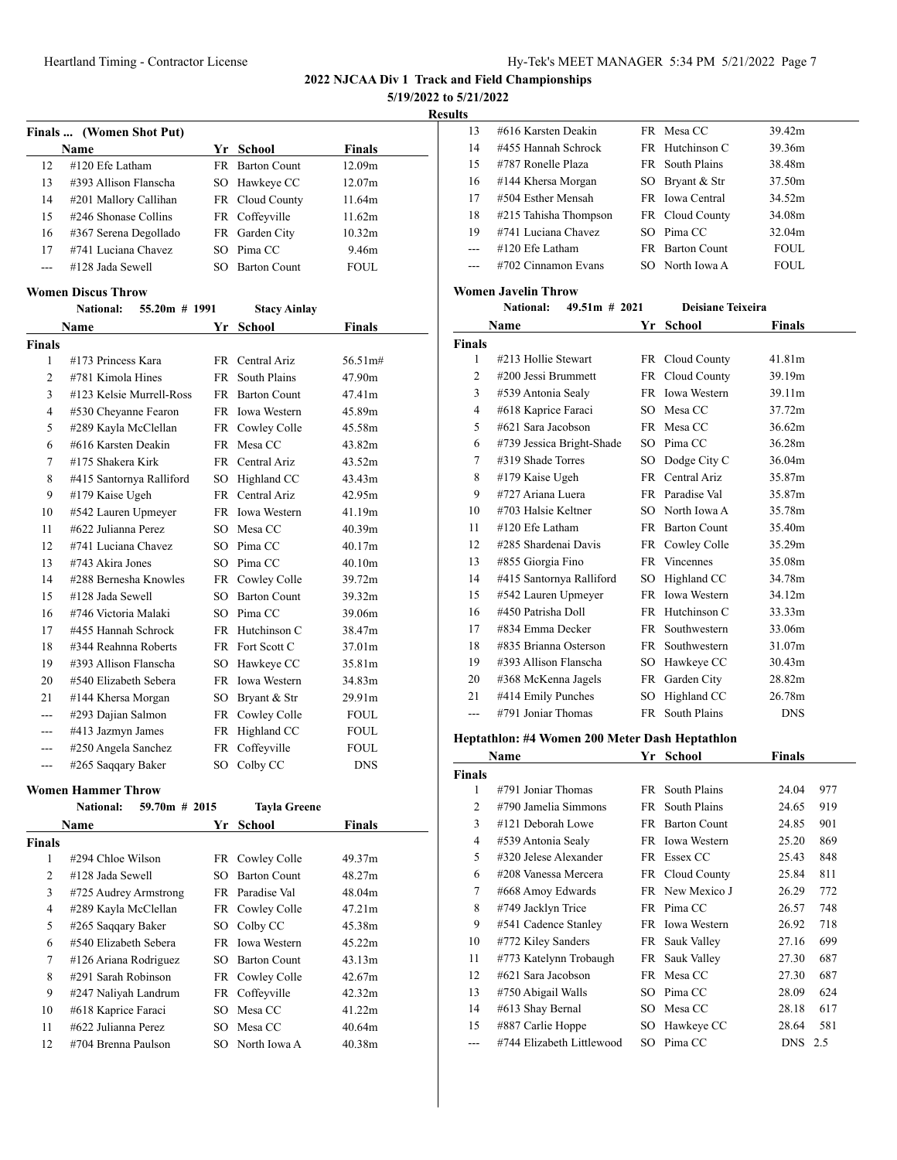**5/19/2022 to 5/21/2022**

**Results**

|    | Finals  (Women Shot Put) |     |                        |                    |
|----|--------------------------|-----|------------------------|--------------------|
|    | Name                     |     | Yr School              | <b>Finals</b>      |
| 12 | $\#120$ Efe Latham       |     | <b>FR</b> Barton Count | 12.09 <sub>m</sub> |
| 13 | #393 Allison Flanscha    |     | SO Hawkeye CC          | 12.07 <sub>m</sub> |
| 14 | #201 Mallory Callihan    |     | FR Cloud County        | 11.64m             |
| 15 | $\#246$ Shonase Collins  |     | FR Coffeyville         | 11.62m             |
| 16 | #367 Serena Degollado    |     | FR Garden City         | 10.32 <sub>m</sub> |
| 17 | #741 Luciana Chavez      |     | SO Pima CC             | 9.46m              |
|    | #128 Jada Sewell         | SO. | <b>Barton Count</b>    | FOUL.              |

#### **Women Discus Throw**

|                | <b>National:</b><br>$55.20m$ # 1991 |     | <b>Stacy Ainlay</b> |             |
|----------------|-------------------------------------|-----|---------------------|-------------|
|                | Name                                | Yr  | <b>School</b>       | Finals      |
| <b>Finals</b>  |                                     |     |                     |             |
| 1              | #173 Princess Kara                  | FR. | Central Ariz        | 56.51m#     |
| 2              | #781 Kimola Hines                   | FR  | South Plains        | 47.90m      |
| 3              | #123 Kelsie Murrell-Ross            | FR  | <b>Barton Count</b> | 47.41m      |
| $\overline{4}$ | #530 Cheyanne Fearon                |     | FR Iowa Western     | 45.89m      |
| 5              | #289 Kayla McClellan                |     | FR Cowley Colle     | 45.58m      |
| 6              | #616 Karsten Deakin                 | FR  | Mesa CC             | 43.82m      |
| 7              | #175 Shakera Kirk                   | FR  | Central Ariz        | 43.52m      |
| 8              | #415 Santornya Ralliford            | SO  | Highland CC         | 43.43m      |
| 9              | #179 Kaise Ugeh                     | FR  | Central Ariz        | 42.95m      |
| 10             | #542 Lauren Upmeyer                 | FR  | Iowa Western        | 41.19m      |
| 11             | #622 Julianna Perez                 | SO  | Mesa CC             | 40.39m      |
| 12             | #741 Luciana Chavez                 |     | SO Pima CC          | 40.17m      |
| 13             | #743 Akira Jones                    | SO  | Pima CC             | 40.10m      |
| 14             | #288 Bernesha Knowles               | FR  | Cowley Colle        | 39.72m      |
| 15             | #128 Jada Sewell                    | SO. | <b>Barton Count</b> | 39.32m      |
| 16             | #746 Victoria Malaki                | SO. | Pima CC             | 39.06m      |
| 17             | #455 Hannah Schrock                 | FR  | Hutchinson C        | 38.47m      |
| 18             | #344 Reahnna Roberts                |     | FR Fort Scott C     | 37.01m      |
| 19             | #393 Allison Flanscha               | SO  | Hawkeye CC          | 35.81m      |
| 20             | #540 Elizabeth Sebera               | FR  | <b>Iowa Western</b> | 34.83m      |
| 21             | #144 Khersa Morgan                  | SO  | Bryant & Str        | 29.91m      |
|                | #293 Dajian Salmon                  | FR  | Cowley Colle        | <b>FOUL</b> |
|                | #413 Jazmyn James                   | FR  | Highland CC         | <b>FOUL</b> |
|                | #250 Angela Sanchez                 | FR  | Coffeyville         | <b>FOUL</b> |
| ---            | #265 Saqqary Baker                  | SO  | Colby CC            | <b>DNS</b>  |

#### **Women Hammer Throw**

|               | <b>National:</b>      | $59.70m$ # 2015 |     | <b>Tayla Greene</b> |                    |
|---------------|-----------------------|-----------------|-----|---------------------|--------------------|
|               | Name                  |                 | Yr  | School              | <b>Finals</b>      |
| <b>Finals</b> |                       |                 |     |                     |                    |
| 1             | #294 Chloe Wilson     |                 |     | FR Cowley Colle     | 49.37m             |
| 2             | #128 Jada Sewell      |                 | SO. | <b>Barton Count</b> | 48.27m             |
| 3             | #725 Audrey Armstrong |                 |     | FR Paradise Val     | 48.04m             |
| 4             | #289 Kayla McClellan  |                 |     | FR Cowley Colle     | 47.21m             |
| 5             | #265 Saqqary Baker    |                 |     | SO Colby CC         | 45.38m             |
| 6             | #540 Elizabeth Sebera |                 |     | FR Iowa Western     | 45.22m             |
| 7             | #126 Ariana Rodriguez |                 | SO. | <b>Barton Count</b> | 43.13m             |
| 8             | #291 Sarah Robinson   |                 |     | FR Cowley Colle     | 42.67m             |
| 9             | #247 Naliyah Landrum  |                 |     | FR Coffeyville      | 42.32m             |
| 10            | #618 Kaprice Faraci   |                 | SO. | Mesa CC             | 41.22m             |
| 11            | #622 Julianna Perez   |                 | SO. | Mesa CC             | 40.64m             |
| 12            | #704 Brenna Paulson   |                 | SO. | North Iowa A        | 40.38 <sub>m</sub> |

| 13    | #616 Karsten Deakin   |    | FR Mesa CC             | 39.42m |
|-------|-----------------------|----|------------------------|--------|
| 14    | #455 Hannah Schrock   |    | FR Hutchinson C        | 39.36m |
| 15    | #787 Ronelle Plaza    |    | FR South Plains        | 38.48m |
| 16    | #144 Khersa Morgan    | SO | Bryant & Str           | 37.50m |
| 17    | #504 Esther Mensah    |    | FR Iowa Central        | 34.52m |
| 18    | #215 Tahisha Thompson |    | FR Cloud County        | 34.08m |
| 19    | #741 Luciana Chavez   |    | SO Pima CC             | 32.04m |
| $---$ | $\#120$ Efe Latham    |    | <b>FR</b> Barton Count | FOUL.  |
|       | #702 Cinnamon Evans   |    | SO North Iowa A        | FOUL.  |
|       |                       |    |                        |        |

#### **Women Javelin Throw**

|        | <b>National:</b><br>$49.51m$ # 2021 |     | <b>Deisiane Teixeira</b> |               |
|--------|-------------------------------------|-----|--------------------------|---------------|
|        | Name                                |     | Yr School                | <b>Finals</b> |
| Finals |                                     |     |                          |               |
| 1      | #213 Hollie Stewart                 |     | FR Cloud County          | 41.81m        |
| 2      | #200 Jessi Brummett                 | FR  | Cloud County             | 39.19m        |
| 3      | #539 Antonia Sealy                  |     | FR Iowa Western          | 39.11m        |
| 4      | #618 Kaprice Faraci                 |     | SO Mesa CC               | 37.72m        |
| 5      | #621 Sara Jacobson                  |     | FR Mesa CC               | 36.62m        |
| 6      | #739 Jessica Bright-Shade           | SO. | Pima CC                  | 36.28m        |
| 7      | #319 Shade Torres                   | SO  | Dodge City C             | 36.04m        |
| 8      | #179 Kaise Ugeh                     | FR  | Central Ariz             | 35.87m        |
| 9      | #727 Ariana Luera                   |     | FR Paradise Val          | 35.87m        |
| 10     | #703 Halsie Keltner                 |     | SO North Iowa A          | 35.78m        |
| 11     | $\#120$ Efe Latham                  |     | FR Barton Count          | 35.40m        |
| 12     | #285 Shardenai Davis                | FR  | Cowley Colle             | 35.29m        |
| 13     | #855 Giorgia Fino                   | FR  | Vincennes                | 35.08m        |
| 14     | #415 Santornya Ralliford            | SO  | Highland CC              | 34.78m        |
| 15     | #542 Lauren Upmeyer                 | FR  | <b>Iowa Western</b>      | 34.12m        |
| 16     | #450 Patrisha Doll                  | FR  | Hutchinson C             | 33.33m        |
| 17     | #834 Emma Decker                    | FR  | Southwestern             | 33.06m        |
| 18     | #835 Brianna Osterson               | FR  | Southwestern             | 31.07m        |
| 19     | #393 Allison Flanscha               | SO  | Hawkeye CC               | 30.43m        |
| 20     | #368 McKenna Jagels                 | FR  | Garden City              | 28.82m        |
| 21     | #414 Emily Punches                  | SO  | Highland CC              | 26.78m        |
| ---    | #791 Joniar Thomas                  | FR  | South Plains             | DNS           |

# **Heptathlon: #4 Women 200 Meter Dash Heptathlon**

|                | Name                      | Yr  | School              | <b>Finals</b> |     |
|----------------|---------------------------|-----|---------------------|---------------|-----|
| <b>Finals</b>  |                           |     |                     |               |     |
| 1              | #791 Joniar Thomas        | FR  | South Plains        | 24.04         | 977 |
| $\overline{c}$ | #790 Jamelia Simmons      | FR  | South Plains        | 24.65         | 919 |
| 3              | #121 Deborah Lowe         | FR  | <b>Barton Count</b> | 24.85         | 901 |
| 4              | #539 Antonia Sealy        | FR. | <b>Iowa Western</b> | 25.20         | 869 |
| 5              | #320 Jelese Alexander     |     | FR Essex CC         | 25.43         | 848 |
| 6              | #208 Vanessa Mercera      |     | FR Cloud County     | 25.84         | 811 |
| 7              | #668 Amoy Edwards         |     | FR New Mexico J     | 26.29         | 772 |
| 8              | #749 Jacklyn Trice        |     | FR Pima CC          | 26.57         | 748 |
| 9              | #541 Cadence Stanley      |     | FR Iowa Western     | 26.92         | 718 |
| 10             | #772 Kiley Sanders        | FR  | Sauk Valley         | 27.16         | 699 |
| 11             | #773 Katelynn Trobaugh    | FR  | Sauk Valley         | 27.30         | 687 |
| 12             | #621 Sara Jacobson        | FR  | Mesa CC             | 27.30         | 687 |
| 13             | #750 Abigail Walls        | SO. | Pima CC             | 28.09         | 624 |
| 14             | #613 Shay Bernal          | SO  | Mesa CC             | 28.18         | 617 |
| 15             | #887 Carlie Hoppe         | SO  | Hawkeye CC          | 28.64         | 581 |
| ---            | #744 Elizabeth Littlewood |     | SO Pima CC          | <b>DNS</b>    | 2.5 |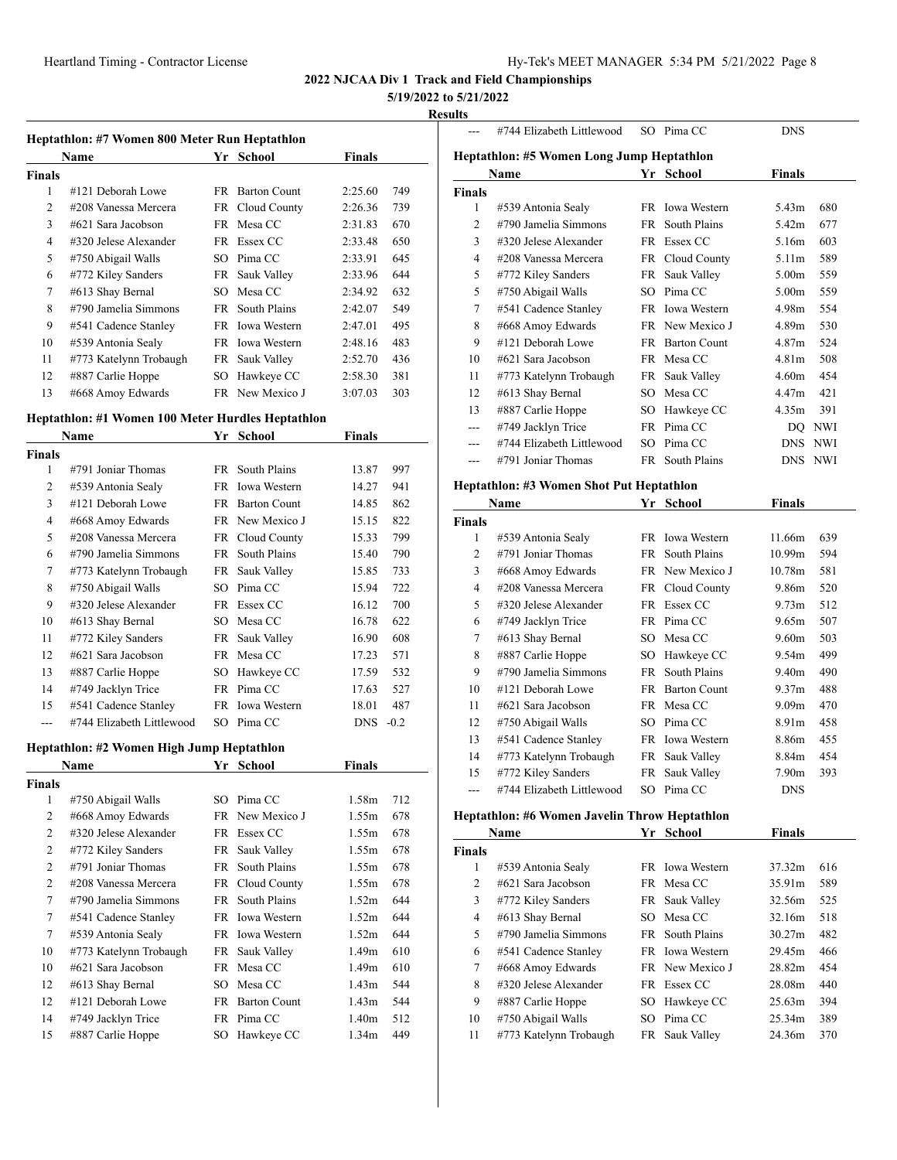# **5/19/2022 to 5/21/2022**

#### **Results**

|               | Heptathlon: #7 Women 800 Meter Run Heptathlon |      |                     |         |     |  |  |  |
|---------------|-----------------------------------------------|------|---------------------|---------|-----|--|--|--|
|               | Name                                          |      | Yr School           | Finals  |     |  |  |  |
| <b>Finals</b> |                                               |      |                     |         |     |  |  |  |
| 1             | #121 Deborah Lowe                             | FR.  | <b>Barton Count</b> | 2:25.60 | 749 |  |  |  |
| 2             | #208 Vanessa Mercera                          |      | FR Cloud County     | 2:26.36 | 739 |  |  |  |
| 3             | #621 Sara Jacobson                            |      | FR Mesa CC          | 2:31.83 | 670 |  |  |  |
| 4             | #320 Jelese Alexander                         |      | FR Essex CC         | 2:33.48 | 650 |  |  |  |
| 5             | #750 Abigail Walls                            | SO.  | Pima CC             | 2:33.91 | 645 |  |  |  |
| 6             | #772 Kiley Sanders                            |      | FR Sauk Valley      | 2:33.96 | 644 |  |  |  |
| 7             | #613 Shay Bernal                              | SO.  | Mesa CC             | 2:34.92 | 632 |  |  |  |
| 8             | #790 Jamelia Simmons                          | FR - | South Plains        | 2:42.07 | 549 |  |  |  |
| 9             | #541 Cadence Stanley                          | FR.  | <b>Iowa Western</b> | 2:47.01 | 495 |  |  |  |
| 10            | #539 Antonia Sealy                            |      | FR Iowa Western     | 2:48.16 | 483 |  |  |  |
| 11            | #773 Katelynn Trobaugh                        | FR   | Sauk Valley         | 2:52.70 | 436 |  |  |  |
| 12            | #887 Carlie Hoppe                             | SО   | Hawkeye CC          | 2:58.30 | 381 |  |  |  |
| 13            | #668 Amoy Edwards                             |      | FR New Mexico J     | 3:07.03 | 303 |  |  |  |

# **Heptathlon: #1 Women 100 Meter Hurdles Heptathlon**

|               | Name                      | Yr  | School              | Finals     |        |
|---------------|---------------------------|-----|---------------------|------------|--------|
| <b>Finals</b> |                           |     |                     |            |        |
| 1             | #791 Joniar Thomas        |     | FR South Plains     | 13.87      | 997    |
| 2             | #539 Antonia Sealy        | FR  | <b>Iowa Western</b> | 14.27      | 941    |
| 3             | #121 Deborah Lowe         | FR. | <b>Barton Count</b> | 14.85      | 862    |
| 4             | #668 Amoy Edwards         |     | FR New Mexico J     | 15.15      | 822    |
| 5             | #208 Vanessa Mercera      |     | FR Cloud County     | 15.33      | 799    |
| 6             | #790 Jamelia Simmons      | FR  | South Plains        | 15.40      | 790    |
| 7             | #773 Katelynn Trobaugh    |     | FR Sauk Valley      | 15.85      | 733    |
| 8             | #750 Abigail Walls        | SO  | Pima CC             | 15.94      | 722    |
| 9             | #320 Jelese Alexander     | FR  | Essex CC            | 16.12      | 700    |
| 10            | #613 Shay Bernal          | SO. | Mesa CC             | 16.78      | 622    |
| 11            | #772 Kiley Sanders        |     | FR Sauk Valley      | 16.90      | 608    |
| 12            | #621 Sara Jacobson        | FR. | Mesa CC             | 17.23      | 571    |
| 13            | #887 Carlie Hoppe         | SО  | Hawkeye CC          | 17.59      | 532    |
| 14            | #749 Jacklyn Trice        |     | FR Pima CC          | 17.63      | 527    |
| 15            | #541 Cadence Stanley      |     | FR Iowa Western     | 18.01      | 487    |
| ---           | #744 Elizabeth Littlewood |     | SO Pima CC          | <b>DNS</b> | $-0.2$ |

# **Heptathlon: #2 Women High Jump Heptathlon**

|                | Name                   |      | Yr School           | Finals            |     |
|----------------|------------------------|------|---------------------|-------------------|-----|
| Finals         |                        |      |                     |                   |     |
| 1              | #750 Abigail Walls     | SO.  | Pima CC             | 1.58m             | 712 |
| 2              | #668 Amoy Edwards      |      | FR New Mexico J     | 1.55m             | 678 |
| 2              | #320 Jelese Alexander  | FR   | Essex CC            | 1.55m             | 678 |
| $\overline{2}$ | #772 Kiley Sanders     | FR   | Sauk Valley         | 1.55m             | 678 |
| $\overline{2}$ | #791 Joniar Thomas     | FR   | South Plains        | 1.55m             | 678 |
| $\overline{2}$ | #208 Vanessa Mercera   |      | FR Cloud County     | 1.55m             | 678 |
| 7              | #790 Jamelia Simmons   | FR - | South Plains        | 1.52m             | 644 |
| 7              | #541 Cadence Stanley   |      | FR Iowa Western     | 1.52m             | 644 |
| 7              | #539 Antonia Sealy     | FR.  | <b>Iowa Western</b> | 1.52m             | 644 |
| 10             | #773 Katelynn Trobaugh |      | FR Sauk Valley      | 1.49 <sub>m</sub> | 610 |
| 10             | #621 Sara Jacobson     |      | FR Mesa CC          | 1.49 <sub>m</sub> | 610 |
| 12             | #613 Shay Bernal       | SO.  | Mesa CC             | 1.43 <sub>m</sub> | 544 |
| 12             | #121 Deborah Lowe      | FR.  | <b>Barton Count</b> | 1.43 <sub>m</sub> | 544 |
| 14             | #749 Jacklyn Trice     | FR.  | Pima CC             | 1.40 <sub>m</sub> | 512 |
| 15             | #887 Carlie Hoppe      | SO   | Hawkeye CC          | 1.34m             | 449 |
|                |                        |      |                     |                   |     |

|                                           | #744 Elizabeth Littlewood                |     | SO Pima CC          | <b>DNS</b>        |            |  |  |  |
|-------------------------------------------|------------------------------------------|-----|---------------------|-------------------|------------|--|--|--|
| Heptathlon: #5 Women Long Jump Heptathlon |                                          |     |                     |                   |            |  |  |  |
|                                           | Yr School<br><b>Finals</b><br>Name       |     |                     |                   |            |  |  |  |
| <b>Finals</b>                             |                                          |     |                     |                   |            |  |  |  |
| 1                                         | #539 Antonia Sealy                       |     | FR Iowa Western     | 5.43m             | 680        |  |  |  |
| 2                                         | #790 Jamelia Simmons                     | FR. | South Plains        | 5.42m             | 677        |  |  |  |
| 3                                         | #320 Jelese Alexander                    |     | FR Essex CC         | 5.16m             | 603        |  |  |  |
| $\overline{4}$                            | #208 Vanessa Mercera                     |     | FR Cloud County     | 5.11m             | 589        |  |  |  |
| 5                                         | #772 Kiley Sanders                       | FR  | Sauk Valley         | 5.00 <sub>m</sub> | 559        |  |  |  |
| 5                                         | #750 Abigail Walls                       | SO. | Pima CC             | 5.00 <sub>m</sub> | 559        |  |  |  |
| 7                                         | #541 Cadence Stanley                     | FR  | <b>Iowa Western</b> | 4.98m             | 554        |  |  |  |
| 8                                         | #668 Amoy Edwards                        |     | FR New Mexico J     | 4.89m             | 530        |  |  |  |
| 9                                         | #121 Deborah Lowe                        | FR  | <b>Barton Count</b> | 4.87m             | 524        |  |  |  |
| 10                                        | #621 Sara Jacobson                       | FR. | Mesa CC             | 4.81 <sub>m</sub> | 508        |  |  |  |
| 11                                        | #773 Katelynn Trobaugh                   |     | FR Sauk Valley      | 4.60 <sub>m</sub> | 454        |  |  |  |
| 12                                        | #613 Shay Bernal                         | SO. | Mesa CC             | 4.47m             | 421        |  |  |  |
| 13                                        | #887 Carlie Hoppe                        | SO. | Hawkeye CC          | 4.35m             | 391        |  |  |  |
|                                           | #749 Jacklyn Trice                       |     | FR Pima CC          | DO                | NWI        |  |  |  |
|                                           | #744 Elizabeth Littlewood                | SO. | Pima CC             | <b>DNS</b>        | <b>NWI</b> |  |  |  |
| ---                                       | #791 Joniar Thomas                       |     | FR South Plains     | <b>DNS</b>        | <b>NWI</b> |  |  |  |
|                                           | Heptathlon: #3 Women Shot Put Heptathlon |     |                     |                   |            |  |  |  |
|                                           | Name                                     | Yr  | School              | <b>Finals</b>     |            |  |  |  |
| <b>Finals</b>                             |                                          |     |                     |                   |            |  |  |  |
| $\mathbf{1}$                              | $#520$ Antonio Seoly                     |     | FD Lowe Wastern     | 11.66m            | 630        |  |  |  |

| †inals |                           |           |                     |                    |     |
|--------|---------------------------|-----------|---------------------|--------------------|-----|
| 1      | #539 Antonia Sealy        | FR.       | Iowa Western        | 11.66m             | 639 |
| 2      | #791 Joniar Thomas        | FR -      | South Plains        | 10.99 <sub>m</sub> | 594 |
| 3      | #668 Amoy Edwards         | <b>FR</b> | New Mexico J        | 10.78m             | 581 |
| 4      | #208 Vanessa Mercera      |           | FR Cloud County     | 9.86m              | 520 |
| 5      | #320 Jelese Alexander     | FR.       | Essex CC            | 9.73 <sub>m</sub>  | 512 |
| 6      | #749 Jacklyn Trice        |           | FR Pima CC          | 9.65m              | 507 |
| 7      | #613 Shay Bernal          | SO.       | Mesa CC             | 9.60 <sub>m</sub>  | 503 |
| 8      | #887 Carlie Hoppe         | SO.       | Hawkeye CC          | 9.54m              | 499 |
| 9      | #790 Jamelia Simmons      | FR.       | South Plains        | 9.40 <sub>m</sub>  | 490 |
| 10     | #121 Deborah Lowe         | FR.       | <b>Barton Count</b> | 9.37 <sub>m</sub>  | 488 |
| 11     | #621 Sara Jacobson        | FR        | Mesa CC             | 9.09 <sub>m</sub>  | 470 |
| 12     | #750 Abigail Walls        | SO.       | Pima CC             | 8.91m              | 458 |
| 13     | #541 Cadence Stanley      |           | FR Iowa Western     | 8.86m              | 455 |
| 14     | #773 Katelynn Trobaugh    | FR.       | Sauk Valley         | 8.84m              | 454 |
| 15     | #772 Kiley Sanders        | FR        | Sauk Valley         | 7.90m              | 393 |
| ---    | #744 Elizabeth Littlewood | SO        | Pima CC             | <b>DNS</b>         |     |

#### **Heptathlon: #6 Women Javelin Throw Heptathlon**

| <b>Name</b>    |                        |  | School          | <b>Finals</b> |     |  |  |  |
|----------------|------------------------|--|-----------------|---------------|-----|--|--|--|
| <b>Finals</b>  |                        |  |                 |               |     |  |  |  |
| 1              | #539 Antonia Sealy     |  | FR Iowa Western | 37.32m        | 616 |  |  |  |
| $\overline{c}$ | #621 Sara Jacobson     |  | FR Mesa CC      | 35.91m        | 589 |  |  |  |
| 3              | #772 Kiley Sanders     |  | FR Sauk Valley  | 32.56m        | 525 |  |  |  |
| 4              | #613 Shay Bernal       |  | SO Mesa CC      | 32.16m        | 518 |  |  |  |
| 5              | #790 Jamelia Simmons   |  | FR South Plains | 30.27m        | 482 |  |  |  |
| 6              | #541 Cadence Stanley   |  | FR Iowa Western | 29.45m        | 466 |  |  |  |
| 7              | #668 Amoy Edwards      |  | FR New Mexico J | 28.82m        | 454 |  |  |  |
| 8              | #320 Jelese Alexander  |  | FR Essex CC     | 28.08m        | 440 |  |  |  |
| 9              | #887 Carlie Hoppe      |  | SO Hawkeye CC   | 25.63m        | 394 |  |  |  |
| 10             | #750 Abigail Walls     |  | SO Pima CC      | 25.34m        | 389 |  |  |  |
| 11             | #773 Katelynn Trobaugh |  | FR Sauk Valley  | 24.36m        | 370 |  |  |  |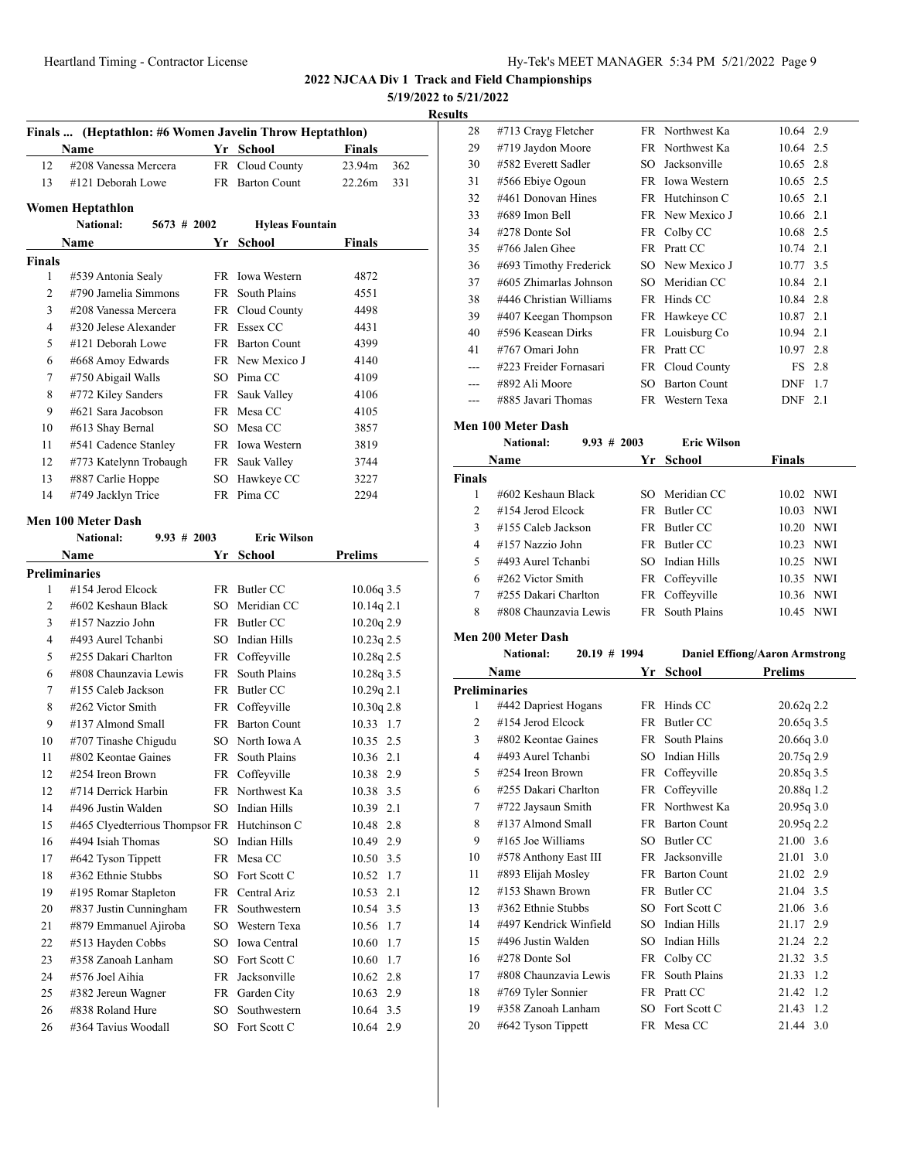**5/19/2022 to 5/21/2022**

**Results**

| Finals  (Heptathlon: #6 Women Javelin Throw Heptathlon) |                                                   |    |                        |                |  |
|---------------------------------------------------------|---------------------------------------------------|----|------------------------|----------------|--|
|                                                         | Name                                              |    | Yr School              | <b>Finals</b>  |  |
| 12                                                      | #208 Vanessa Mercera                              |    | FR Cloud County        | 23.94m<br>362  |  |
| 13                                                      | #121 Deborah Lowe                                 |    | FR Barton Count        | 22.26m<br>331  |  |
|                                                         |                                                   |    |                        |                |  |
|                                                         | Women Heptathlon<br>National:<br>$5673$ # 2002    |    | <b>Hyleas Fountain</b> |                |  |
|                                                         | Name                                              |    | Yr School              | Finals         |  |
| Finals                                                  |                                                   |    |                        |                |  |
| 1                                                       | #539 Antonia Sealy                                |    | FR Iowa Western        | 4872           |  |
| $\overline{2}$                                          | #790 Jamelia Simmons                              |    | FR South Plains        | 4551           |  |
| 3                                                       | #208 Vanessa Mercera                              |    | FR Cloud County        | 4498           |  |
| 4                                                       | #320 Jelese Alexander                             |    | FR Essex CC            | 4431           |  |
| 5                                                       | #121 Deborah Lowe                                 |    | FR Barton Count        | 4399           |  |
| 6                                                       | #668 Amoy Edwards                                 |    | FR New Mexico J        | 4140           |  |
| 7                                                       | #750 Abigail Walls                                |    | SO Pima CC             | 4109           |  |
| 8                                                       | #772 Kiley Sanders                                |    | FR Sauk Valley         | 4106           |  |
| 9                                                       | #621 Sara Jacobson                                |    | FR Mesa CC             | 4105           |  |
| 10                                                      | #613 Shay Bernal                                  |    | SO Mesa CC             | 3857           |  |
| 11                                                      | #541 Cadence Stanley                              |    | FR Iowa Western        | 3819           |  |
| 12                                                      | #773 Katelynn Trobaugh                            |    | FR Sauk Valley         | 3744           |  |
| 13                                                      | #887 Carlie Hoppe                                 |    | SO Hawkeye CC          | 3227           |  |
| 14                                                      | #749 Jacklyn Trice                                |    | FR Pima CC             | 2294           |  |
|                                                         |                                                   |    |                        |                |  |
|                                                         | Men 100 Meter Dash<br>National:<br>$9.93 \# 2003$ |    | <b>Eric Wilson</b>     |                |  |
|                                                         |                                                   |    |                        | <b>Prelims</b> |  |
|                                                         | Name<br><b>Preliminaries</b>                      |    | Yr School              |                |  |
| 1                                                       | #154 Jerod Elcock                                 |    | FR Butler CC           | 10.06q 3.5     |  |
| 2                                                       | #602 Keshaun Black                                | SO | Meridian CC            | $10.14q$ 2.1   |  |
| 3                                                       | #157 Nazzio John                                  |    | FR Butler CC           | $10.20q$ 2.9   |  |
| 4                                                       | #493 Aurel Tchanbi                                | SO | Indian Hills           | $10.23q$ 2.5   |  |
| 5                                                       | #255 Dakari Charlton                              |    | FR Coffeyville         | 10.28q 2.5     |  |
| 6                                                       | #808 Chaunzavia Lewis                             | FR | South Plains           | 10.28q 3.5     |  |
| 7                                                       | #155 Caleb Jackson                                |    | FR Butler CC           | 10.29q 2.1     |  |
| 8                                                       | #262 Victor Smith                                 |    | FR Coffeyville         | 10.30q 2.8     |  |
| 9                                                       | #137 Almond Small                                 |    | FR Barton Count        | 10.33 1.7      |  |
| 10                                                      | #707 Tinashe Chigudu                              |    | SO North Iowa A        | 10.35 2.5      |  |
| 11                                                      | #802 Keontae Gaines                               |    | FR South Plains        | 10.36 2.1      |  |
| 12                                                      | #254 Ireon Brown                                  |    | FR Coffeyville         | 10.38 2.9      |  |
| 12                                                      | #714 Derrick Harbin                               |    | FR Northwest Ka        | 10.38 3.5      |  |
| 14                                                      | #496 Justin Walden                                | SO | <b>Indian Hills</b>    | 10.39 2.1      |  |
| 15                                                      | #465 Clyedterrious Thompsor FR Hutchinson C       |    |                        | 2.8<br>10.48   |  |
| 16                                                      | #494 Isiah Thomas                                 | SO | Indian Hills           | 10.49 2.9      |  |
| 17                                                      | #642 Tyson Tippett                                | FR | Mesa CC                | 10.50 3.5      |  |
| 18                                                      | #362 Ethnie Stubbs                                | SO | Fort Scott C           | 10.52<br>1.7   |  |
| 19                                                      | #195 Romar Stapleton                              | FR | Central Ariz           | 10.53<br>2.1   |  |
| 20                                                      | #837 Justin Cunningham                            | FR | Southwestern           | 10.54 3.5      |  |
| 21                                                      | #879 Emmanuel Ajiroba                             | SO | Western Texa           | 10.56<br>1.7   |  |
| 22                                                      | #513 Hayden Cobbs                                 | SO | Iowa Central           | 10.60<br>1.7   |  |
| 23                                                      | #358 Zanoah Lanham                                | SO | Fort Scott C           | 10.60<br>1.7   |  |
| 24                                                      | #576 Joel Aihia                                   | FR | Jacksonville           | 10.62 2.8      |  |
| 25                                                      | #382 Jereun Wagner                                | FR | Garden City            | 10.63 2.9      |  |
| 26                                                      | #838 Roland Hure                                  | SO | Southwestern           | 10.64 3.5      |  |
| 26                                                      | #364 Tavius Woodall                               | SO | Fort Scott C           | 10.64 2.9      |  |

| s  |                         |     |                     |             |        |
|----|-------------------------|-----|---------------------|-------------|--------|
| 28 | #713 Crayg Fletcher     |     | FR Northwest Ka     | 10.64 2.9   |        |
| 29 | #719 Jaydon Moore       |     | FR Northwest Ka     | 10.64 2.5   |        |
| 30 | #582 Everett Sadler     | SO. | Jacksonville        | 10.65 2.8   |        |
| 31 | #566 Ebiye Ogoun        |     | FR Iowa Western     | 10.65 2.5   |        |
| 32 | #461 Donovan Hines      |     | FR Hutchinson C     | 10.65 2.1   |        |
| 33 | #689 Imon Bell          |     | FR New Mexico J     | 10.66 2.1   |        |
| 34 | #278 Donte Sol          |     | FR Colby CC         | 10.68 2.5   |        |
| 35 | #766 Jalen Ghee         |     | FR Pratt CC         | $10.74$ 2.1 |        |
| 36 | #693 Timothy Frederick  |     | SO New Mexico J     | 10.77 3.5   |        |
| 37 | #605 Zhimarlas Johnson  | SO. | Meridian CC         | 10.84 2.1   |        |
| 38 | #446 Christian Williams | FR. | Hinds CC            | 10.84 2.8   |        |
| 39 | #407 Keegan Thompson    |     | FR Hawkeye CC       | 10.87 2.1   |        |
| 40 | #596 Keasean Dirks      |     | FR Louisburg Co     | 10.94 2.1   |        |
| 41 | #767 Omari John         |     | FR Pratt CC         | 10.97       | 2.8    |
|    | #223 Freider Fornasari  |     | FR Cloud County     |             | FS 2.8 |
|    | #892 Ali Moore          | SO. | <b>Barton Count</b> | <b>DNF</b>  | 1.7    |
|    | #885 Javari Thomas      | FR. | Western Texa        | <b>DNF</b>  | 2.1    |
|    |                         |     |                     |             |        |

# **Men 100 Meter Dash**

|               | <b>National:</b>      | $9.93 \# 2003$ |    | <b>Eric Wilson</b>     |               |  |
|---------------|-----------------------|----------------|----|------------------------|---------------|--|
|               | <b>Name</b>           |                | Yr | School                 | <b>Finals</b> |  |
| <b>Finals</b> |                       |                |    |                        |               |  |
|               | #602 Keshaun Black    |                |    | SO Meridian CC         | 10.02 NWI     |  |
| 2             | $\#154$ Jerod Elcock  |                |    | FR Butler CC           | 10.03 NWI     |  |
| 3             | #155 Caleb Jackson    |                |    | FR Butler CC           | 10.20 NWI     |  |
| 4             | #157 Nazzio John      |                |    | FR Butler CC           | 10.23 NWI     |  |
| 5             | #493 Aurel Tchanbi    |                |    | SO Indian Hills        | 10.25 NWI     |  |
| 6             | #262 Victor Smith     |                |    | FR Coffeyville         | 10.35 NWI     |  |
| 7             | #255 Dakari Charlton  |                |    | FR Coffeyville         | 10.36 NWI     |  |
| 8             | #808 Chaunzavia Lewis |                |    | <b>FR</b> South Plains | 10.45 NWI     |  |

#### **Men 200 Meter Dash**

|                | 20.19 # 1994<br><b>National:</b> |     | <b>Daniel Effiong/Aaron Armstrong</b> |                |
|----------------|----------------------------------|-----|---------------------------------------|----------------|
|                | Name                             | Yr  | <b>School</b>                         | <b>Prelims</b> |
|                | Preliminaries                    |     |                                       |                |
| 1              | #442 Dapriest Hogans             | FR. | Hinds CC                              | 20.62q 2.2     |
| $\overline{c}$ | #154 Jerod Elcock                | FR. | Butler CC                             | 20.65q 3.5     |
| 3              | $\#802$ Keontae Gaines           | FR  | South Plains                          | 20.66q 3.0     |
| 4              | #493 Aurel Tchanbi               | SO. | Indian Hills                          | 20.75q 2.9     |
| 5              | #254 Ireon Brown                 | FR  | Coffeyville                           | 20.85q 3.5     |
| 6              | #255 Dakari Charlton             | FR  | Coffeyville                           | 20.88q 1.2     |
| 7              | #722 Jaysaun Smith               |     | FR Northwest Ka                       | 20.95q3.0      |
| 8              | #137 Almond Small                | FR. | <b>Barton Count</b>                   | 20.95q 2.2     |
| 9              | $\#165$ Joe Williams             | SO  | Butler CC                             | 21.00 3.6      |
| 10             | #578 Anthony East III            | FR  | Jacksonville                          | 21.01<br>3.0   |
| 11             | #893 Elijah Mosley               | FR  | <b>Barton Count</b>                   | 21.02 2.9      |
| 12             | #153 Shawn Brown                 |     | FR Butler CC                          | 21.04 3.5      |
| 13             | #362 Ethnie Stubbs               | SO. | Fort Scott C                          | 21.06<br>3.6   |
| 14             | #497 Kendrick Winfield           | SO. | Indian Hills                          | 21.17<br>2.9   |
| 15             | #496 Justin Walden               | SO. | <b>Indian Hills</b>                   | 21.24 2.2      |
| 16             | #278 Donte Sol                   | FR  | Colby CC                              | 21.32<br>3.5   |
| 17             | #808 Chaunzavia Lewis            | FR  | South Plains                          | 1.2<br>21.33   |
| 18             | #769 Tyler Sonnier               |     | FR Pratt CC                           | 21.42<br>1.2   |
| 19             | #358 Zanoah Lanham               | SO. | Fort Scott C                          | 21.43<br>1.2   |
| 20             | #642 Tyson Tippett               |     | FR Mesa CC                            | 3.0<br>21.44   |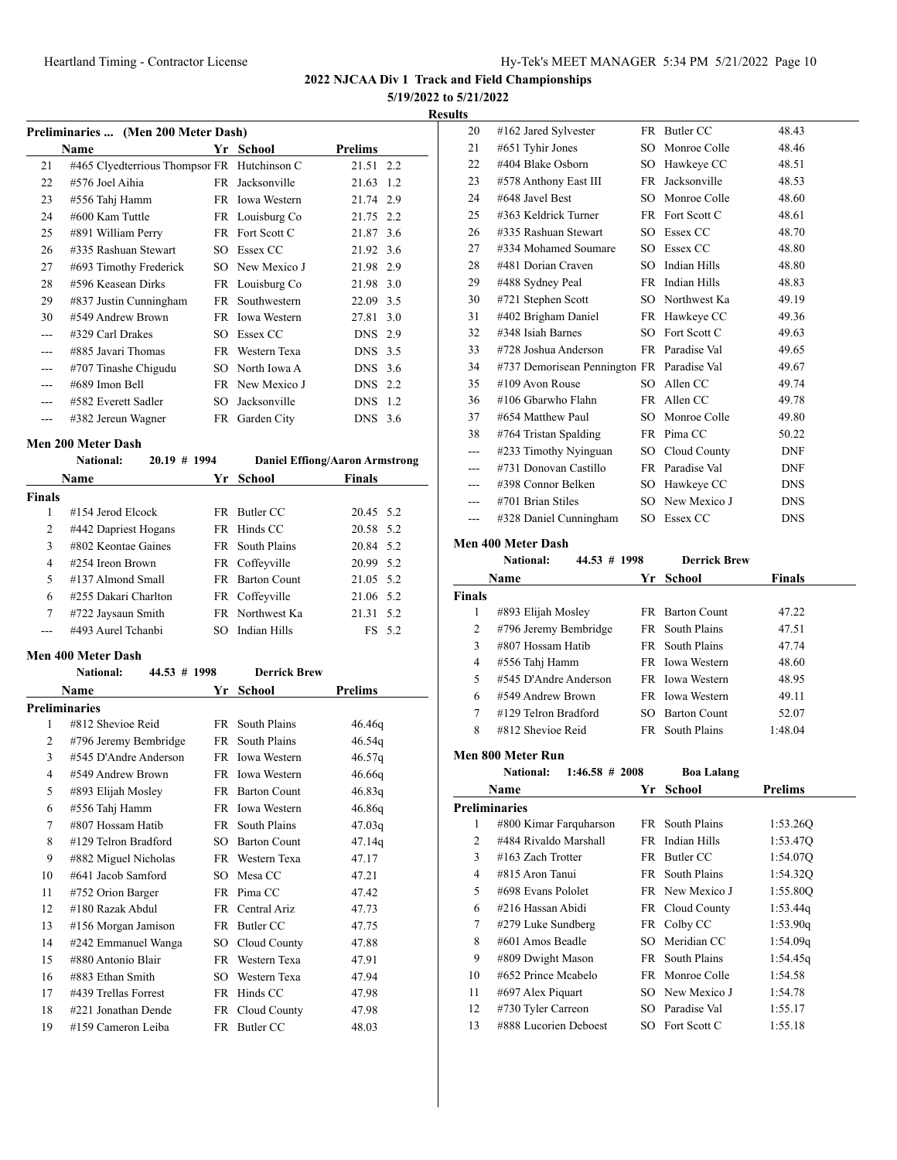**2022 NJCAA Div 1 Track and Field Championships**

**5/19/2022 to 5/21/2022**

| <b>Results</b> |
|----------------|
|----------------|

|     | Preliminaries  (Men 200 Meter Dash)         |      |                     |           |  |  |  |
|-----|---------------------------------------------|------|---------------------|-----------|--|--|--|
|     | Name                                        |      | Yr School           | Prelims   |  |  |  |
| 21  | #465 Clyedterrious Thompsor FR Hutchinson C |      |                     | 21.51 2.2 |  |  |  |
| 22  | #576 Joel Aihia                             | FR - | Jacksonville        | 21.63 1.2 |  |  |  |
| 23  | #556 Tahj Hamm                              | FR - | <b>Iowa Western</b> | 21.74 2.9 |  |  |  |
| 24  | #600 Kam Tuttle                             |      | FR Louisburg Co     | 21.75 2.2 |  |  |  |
| 25  | #891 William Perry                          |      | FR Fort Scott C     | 21.87 3.6 |  |  |  |
| 26  | #335 Rashuan Stewart                        | SO.  | Essex CC            | 21.92 3.6 |  |  |  |
| 27  | #693 Timothy Frederick                      | SO.  | New Mexico J        | 21.98 2.9 |  |  |  |
| 28  | #596 Keasean Dirks                          |      | FR Louisburg Co     | 21.98 3.0 |  |  |  |
| 29  | #837 Justin Cunningham                      |      | FR Southwestern     | 22.09 3.5 |  |  |  |
| 30  | #549 Andrew Brown                           |      | FR Iowa Western     | 27.81 3.0 |  |  |  |
| --- | #329 Carl Drakes                            | SO.  | Essex CC            | DNS 2.9   |  |  |  |
| --- | #885 Javari Thomas                          |      | FR Western Texa     | DNS 3.5   |  |  |  |
| --- | #707 Tinashe Chigudu                        | SO.  | North Iowa A        | DNS 3.6   |  |  |  |
|     | #689 Imon Bell                              |      | FR New Mexico J     | DNS 2.2   |  |  |  |
|     | #582 Everett Sadler                         | SO.  | Jacksonville        | DNS 1.2   |  |  |  |
|     | #382 Jereun Wagner                          | FR   | Garden City         | DNS 3.6   |  |  |  |
|     |                                             |      |                     |           |  |  |  |

#### **Men 200 Meter Dash**

|               | <b>National:</b>      | $20.19$ # 1994 |     |                        | <b>Daniel Effiong/Aaron Armstrong</b> |        |
|---------------|-----------------------|----------------|-----|------------------------|---------------------------------------|--------|
|               | Name                  |                |     | Yr School              | <b>Finals</b>                         |        |
| <b>Finals</b> |                       |                |     |                        |                                       |        |
| 1             | $\#154$ Jerod Elcock  |                |     | FR Butler CC           | 20.45 5.2                             |        |
| 2             | #442 Dapriest Hogans  |                |     | FR Hinds CC            | 20.58 5.2                             |        |
| 3             | $#802$ Keontae Gaines |                |     | FR South Plains        | 20.84 5.2                             |        |
| 4             | $\#254$ Ireon Brown   |                |     | FR Coffeyville         | 20.99 5.2                             |        |
| 5             | #137 Almond Small     |                |     | <b>FR</b> Barton Count | 21.05 5.2                             |        |
| 6             | #255 Dakari Charlton  |                |     | FR Coffeyville         | 21.06 5.2                             |        |
| 7             | #722 Jaysaun Smith    |                |     | FR Northwest Ka        | 21.31 5.2                             |        |
|               | #493 Aurel Tchanbi    |                | SO. | Indian Hills           |                                       | FS 5.2 |

# **Men 400 Meter Dash**

|    | <b>National:</b><br>44.53 # 1998 |      | <b>Derrick Brew</b> |                |
|----|----------------------------------|------|---------------------|----------------|
|    | Name                             | Yr   | School              | <b>Prelims</b> |
|    | <b>Preliminaries</b>             |      |                     |                |
| 1  | #812 Shevioe Reid                | FR - | South Plains        | 46.46q         |
| 2  | #796 Jeremy Bembridge            | FR   | South Plains        | 46.54q         |
| 3  | #545 D'Andre Anderson            |      | FR Iowa Western     | 46.57q         |
| 4  | #549 Andrew Brown                |      | FR Iowa Western     | 46.66q         |
| 5  | #893 Elijah Mosley               |      | FR Barton Count     | 46.83q         |
| 6  | #556 Tahj Hamm                   |      | FR Iowa Western     | 46.86q         |
| 7  | #807 Hossam Hatib                | FR - | South Plains        | 47.03q         |
| 8  | #129 Telron Bradford             | SO.  | <b>Barton Count</b> | 47.14q         |
| 9  | #882 Miguel Nicholas             |      | FR Western Texa     | 47.17          |
| 10 | #641 Jacob Samford               | SO   | Mesa CC             | 47.21          |
| 11 | #752 Orion Barger                |      | FR Pima CC          | 47.42          |
| 12 | #180 Razak Abdul                 | FR - | Central Ariz        | 47.73          |
| 13 | #156 Morgan Jamison              | FR   | Butler CC           | 47.75          |
| 14 | #242 Emmanuel Wanga              | SO - | Cloud County        | 47.88          |
| 15 | #880 Antonio Blair               |      | FR Western Texa     | 47.91          |
| 16 | #883 Ethan Smith                 | SO.  | Western Texa        | 47.94          |
| 17 | #439 Trellas Forrest             | FR   | Hinds CC            | 47.98          |
| 18 | #221 Jonathan Dende              | FR   | Cloud County        | 47.98          |
| 19 | #159 Cameron Leiba               |      | FR Butler CC        | 48.03          |

| lts |                                            |        |                     |            |
|-----|--------------------------------------------|--------|---------------------|------------|
| 20  | #162 Jared Sylvester                       |        | FR Butler CC        | 48.43      |
| 21  | #651 Tyhir Jones                           | SO.    | Monroe Colle        | 48.46      |
| 22  | #404 Blake Osborn                          | SO.    | Hawkeye CC          | 48.51      |
| 23  | #578 Anthony East III                      | FR     | Jacksonville        | 48.53      |
| 24  | #648 Javel Best                            | $SO^-$ | Monroe Colle        | 48.60      |
| 25  | #363 Keldrick Turner                       |        | FR Fort Scott C     | 48.61      |
| 26  | #335 Rashuan Stewart                       |        | SO Essex CC         | 48.70      |
| 27  | #334 Mohamed Soumare                       |        | SO Essex CC         | 48.80      |
| 28  | #481 Dorian Craven                         | $SO^-$ | Indian Hills        | 48.80      |
| 29  | #488 Sydney Peal                           |        | FR Indian Hills     | 48.83      |
| 30  | #721 Stephen Scott                         |        | SO Northwest Ka     | 49.19      |
| 31  | #402 Brigham Daniel                        |        | FR Hawkeye CC       | 49.36      |
| 32  | #348 Isiah Barnes                          | SO.    | Fort Scott C        | 49.63      |
| 33  | #728 Joshua Anderson                       |        | FR Paradise Val     | 49.65      |
| 34  | #737 Demorisean Pennington FR Paradise Val |        |                     | 49.67      |
| 35  | $\#109$ Avon Rouse                         | SO.    | Allen CC            | 49.74      |
| 36  | #106 Gbarwho Flahn                         |        | FR Allen CC         | 49.78      |
| 37  | #654 Matthew Paul                          | SO.    | Monroe Colle        | 49.80      |
| 38  | #764 Tristan Spalding                      |        | FR Pima CC          | 50.22      |
|     | #233 Timothy Nyinguan                      | SO.    | Cloud County        | <b>DNF</b> |
|     | #731 Donovan Castillo                      |        | FR Paradise Val     | <b>DNF</b> |
|     | #398 Connor Belken                         |        | SO Hawkeye CC       | <b>DNS</b> |
|     | #701 Brian Stiles                          |        | SO New Mexico J     | <b>DNS</b> |
| --- | #328 Daniel Cunningham                     | SO.    | Essex CC            | <b>DNS</b> |
|     | Men 400 Meter Dash                         |        |                     |            |
|     | <b>National:</b><br>44.53 # 1998           |        | <b>Derrick Brew</b> |            |
|     |                                            |        |                     |            |

|               | 11au 11au<br>TT.VY # 1770 |     | DULIUR DIVI            |               |  |
|---------------|---------------------------|-----|------------------------|---------------|--|
|               | <b>Name</b>               |     | Yr School              | <b>Finals</b> |  |
| <b>Finals</b> |                           |     |                        |               |  |
| 1             | #893 Elijah Mosley        |     | <b>FR</b> Barton Count | 47.22         |  |
| 2             | #796 Jeremy Bembridge     |     | FR South Plains        | 47.51         |  |
| 3             | #807 Hossam Hatib         |     | FR South Plains        | 47.74         |  |
| 4             | #556 Tahj Hamm            |     | FR Iowa Western        | 48.60         |  |
| 5             | #545 D'Andre Anderson     |     | <b>FR</b> Iowa Western | 48.95         |  |
| 6             | #549 Andrew Brown         |     | FR Iowa Western        | 49.11         |  |
| 7             | #129 Telron Bradford      | SO. | <b>Barton Count</b>    | 52.07         |  |
| 8             | #812 Shevioe Reid         |     | FR South Plains        | 1:48.04       |  |
|               |                           |     |                        |               |  |

#### **Men 800 Meter Run**

|    | <b>National:</b><br>$1:46.58 \# 2008$ |     | <b>Boa Lalang</b> |                |
|----|---------------------------------------|-----|-------------------|----------------|
|    | Name                                  | Yr  | School            | <b>Prelims</b> |
|    | <b>Preliminaries</b>                  |     |                   |                |
| 1  | #800 Kimar Farquharson                |     | FR South Plains   | 1:53.260       |
| 2  | #484 Rivaldo Marshall                 |     | FR Indian Hills   | 1:53.47Q       |
| 3  | $#163$ Zach Trotter                   | FR. | Butler CC         | 1:54.07Q       |
| 4  | #815 Aron Tanui                       |     | FR South Plains   | 1:54.320       |
| 5  | #698 Evans Pololet                    |     | FR New Mexico J   | 1:55.80O       |
| 6  | #216 Hassan Abidi                     |     | FR Cloud County   | 1:53.44q       |
| 7  | #279 Luke Sundberg                    |     | FR Colby CC       | 1:53.90q       |
| 8  | #601 Amos Beadle                      | SO. | Meridian CC       | 1:54.09q       |
| 9  | #809 Dwight Mason                     | FR  | South Plains      | 1:54.45q       |
| 10 | #652 Prince Mcabelo                   |     | FR Monroe Colle   | 1:54.58        |
| 11 | #697 Alex Piquart                     |     | SO New Mexico J   | 1:54.78        |
| 12 | #730 Tyler Carreon                    | SO. | Paradise Val      | 1:55.17        |
| 13 | #888 Lucorien Deboest                 |     | SO Fort Scott C   | 1:55.18        |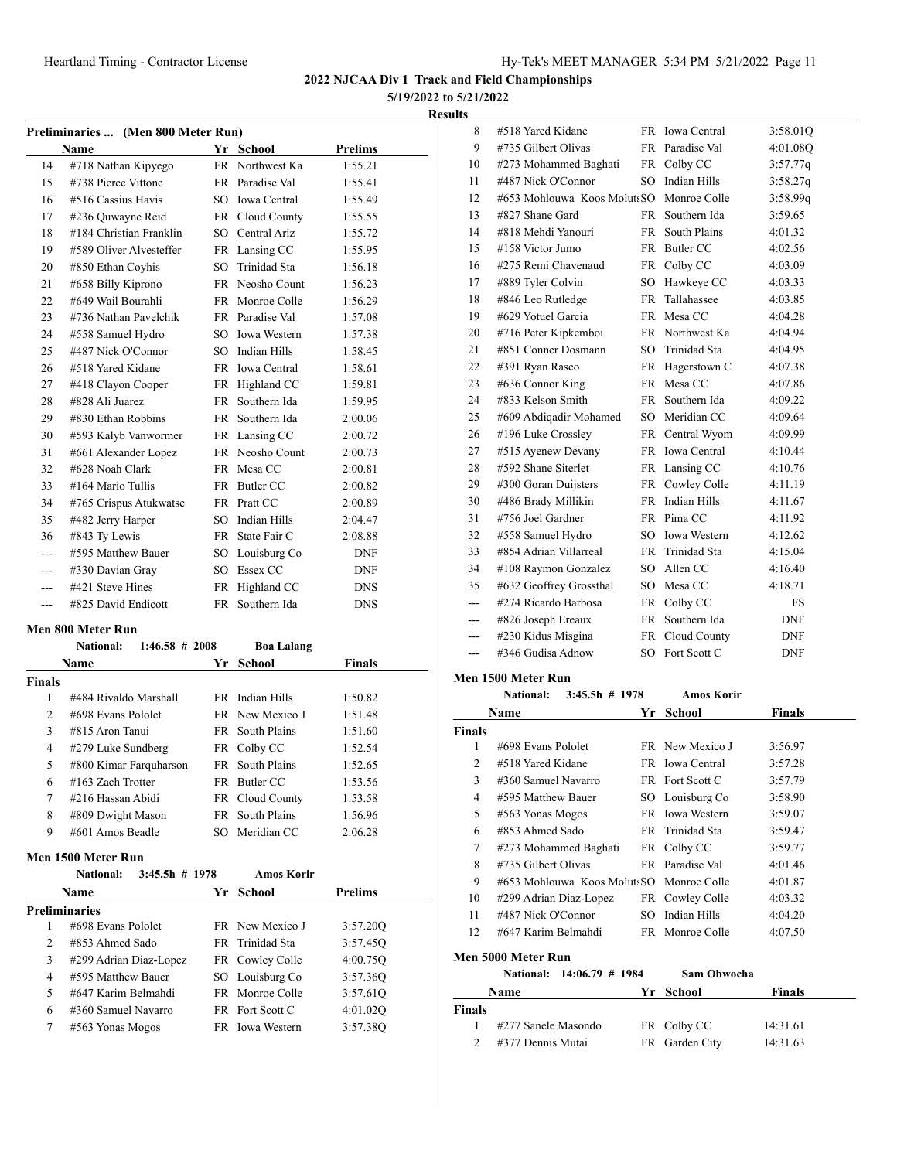**5/19/2022 to 5/21/2022**

| <b>Results</b> |
|----------------|
|----------------|

| Preliminaries  (Men 800 Meter Run) |                         |           |                     |                |  |  |
|------------------------------------|-------------------------|-----------|---------------------|----------------|--|--|
|                                    | <b>Name</b>             |           | Yr School           | <b>Prelims</b> |  |  |
| 14                                 | #718 Nathan Kipyego     | <b>FR</b> | Northwest Ka        | 1:55.21        |  |  |
| 15                                 | #738 Pierce Vittone     | <b>FR</b> | Paradise Val        | 1:55.41        |  |  |
| 16                                 | #516 Cassius Havis      | SO.       | <b>Iowa</b> Central | 1:55.49        |  |  |
| 17                                 | #236 Quwayne Reid       | FR        | Cloud County        | 1:55.55        |  |  |
| 18                                 | #184 Christian Franklin | SO.       | Central Ariz        | 1:55.72        |  |  |
| 19                                 | #589 Oliver Alvesteffer |           | FR Lansing CC       | 1:55.95        |  |  |
| 20                                 | #850 Ethan Coyhis       | SO.       | Trinidad Sta        | 1:56.18        |  |  |
| 21                                 | #658 Billy Kiprono      | <b>FR</b> | Neosho Count        | 1:56.23        |  |  |
| 22                                 | #649 Wail Bourahli      | <b>FR</b> | Monroe Colle        | 1:56.29        |  |  |
| 23                                 | #736 Nathan Pavelchik   |           | FR Paradise Val     | 1:57.08        |  |  |
| 24                                 | #558 Samuel Hydro       | SO.       | <b>Iowa Western</b> | 1:57.38        |  |  |
| 25                                 | #487 Nick O'Connor      | SO.       | Indian Hills        | 1:58.45        |  |  |
| 26                                 | #518 Yared Kidane       | FR.       | <b>Iowa Central</b> | 1:58.61        |  |  |
| 27                                 | #418 Clayon Cooper      | <b>FR</b> | Highland CC         | 1:59.81        |  |  |
| 28                                 | #828 Ali Juarez         | FR.       | Southern Ida        | 1:59.95        |  |  |
| 29                                 | #830 Ethan Robbins      | <b>FR</b> | Southern Ida        | 2:00.06        |  |  |
| 30                                 | #593 Kalyb Vanwormer    | FR        | Lansing CC          | 2:00.72        |  |  |
| 31                                 | #661 Alexander Lopez    | <b>FR</b> | Neosho Count        | 2:00.73        |  |  |
| 32                                 | #628 Noah Clark         | FR        | Mesa CC             | 2:00.81        |  |  |
| 33                                 | #164 Mario Tullis       | FR        | Butler CC           | 2:00.82        |  |  |
| 34                                 | #765 Crispus Atukwatse  | FR        | Pratt CC            | 2:00.89        |  |  |
| 35                                 | #482 Jerry Harper       | SO.       | <b>Indian Hills</b> | 2:04.47        |  |  |
| 36                                 | #843 Ty Lewis           | <b>FR</b> | State Fair C        | 2:08.88        |  |  |
|                                    | #595 Matthew Bauer      | SO        | Louisburg Co        | <b>DNF</b>     |  |  |
| ---                                | #330 Davian Gray        | SO        | Essex CC            | <b>DNF</b>     |  |  |
|                                    | #421 Steve Hines        | <b>FR</b> | Highland CC         | <b>DNS</b>     |  |  |
|                                    | #825 David Endicott     | <b>FR</b> | Southern Ida        | <b>DNS</b>     |  |  |

#### **Men 800 Meter Run**

|               | $1:46.58$ # 2008<br><b>National:</b> |     | <b>Boa Lalang</b> |               |  |
|---------------|--------------------------------------|-----|-------------------|---------------|--|
|               | Name                                 | Yr. | School            | <b>Finals</b> |  |
| <b>Finals</b> |                                      |     |                   |               |  |
| 1             | #484 Rivaldo Marshall                |     | FR Indian Hills   | 1:50.82       |  |
| 2             | #698 Evans Pololet                   |     | FR New Mexico J   | 1:51.48       |  |
| 3             | #815 Aron Tanui                      | FR. | South Plains      | 1:51.60       |  |
| 4             | #279 Luke Sundberg                   |     | FR Colby CC       | 1:52.54       |  |
| 5             | #800 Kimar Farquharson               |     | FR South Plains   | 1:52.65       |  |
| 6             | $#163$ Zach Trotter                  | FR. | Butler CC         | 1:53.56       |  |
| 7             | #216 Hassan Abidi                    |     | FR Cloud County   | 1:53.58       |  |
| 8             | #809 Dwight Mason                    |     | FR South Plains   | 1:56.96       |  |
| 9             | #601 Amos Beadle                     |     | SO Meridian CC    | 2:06.28       |  |

#### **Men 1500 Meter Run**

|                | $3:45.5h$ # 1978<br><b>National:</b> |    | <b>Amos Korir</b> |          |
|----------------|--------------------------------------|----|-------------------|----------|
|                | Name                                 | Yr | School            | Prelims  |
|                | <b>Preliminaries</b>                 |    |                   |          |
| 1              | #698 Evans Pololet                   |    | FR New Mexico J   | 3:57.20O |
| $\overline{c}$ | #853 Ahmed Sado                      |    | FR Trinidad Sta   | 3:57.45Q |
| 3              | #299 Adrian Diaz-Lopez               |    | FR Cowley Colle   | 4:00.75Q |
| 4              | #595 Matthew Bauer                   |    | SO Louisburg Co   | 3:57.360 |
| 5              | #647 Karim Belmahdi                  |    | FR Monroe Colle   | 3:57.61Q |
| 6              | #360 Samuel Navarro                  |    | FR Fort Scott C   | 4:01.02Q |
| 7              | #563 Yonas Mogos                     |    | FR Iowa Western   | 3:57.38Q |

| 8   | #518 Yared Kidane            | FR.             | Iowa Central        | 3:58.01Q   |
|-----|------------------------------|-----------------|---------------------|------------|
| 9   | #735 Gilbert Olivas          | <b>FR</b>       | Paradise Val        | 4:01.08Q   |
| 10  | #273 Mohammed Baghati        | FR              | Colby CC            | 3:57.77q   |
| 11  | #487 Nick O'Connor           | SO <sub>1</sub> | <b>Indian Hills</b> | 3:58.27q   |
| 12  | #653 Mohlouwa Koos Molut: SO |                 | Monroe Colle        | 3:58.99q   |
| 13  | #827 Shane Gard              | FR              | Southern Ida        | 3:59.65    |
| 14  | #818 Mehdi Yanouri           | <b>FR</b>       | South Plains        | 4:01.32    |
| 15  | #158 Victor Jumo             | <b>FR</b>       | Butler CC           | 4:02.56    |
| 16  | #275 Remi Chavenaud          |                 | FR Colby CC         | 4:03.09    |
| 17  | #889 Tyler Colvin            | SO              | Hawkeye CC          | 4:03.33    |
| 18  | #846 Leo Rutledge            | FR              | Tallahassee         | 4:03.85    |
| 19  | #629 Yotuel Garcia           | <b>FR</b>       | Mesa CC             | 4:04.28    |
| 20  | #716 Peter Kipkemboi         |                 | FR Northwest Ka     | 4:04.94    |
| 21  | #851 Conner Dosmann          | SO              | Trinidad Sta        | 4:04.95    |
| 22  | #391 Ryan Rasco              | FR              | Hagerstown C        | 4:07.38    |
| 23  | #636 Connor King             | <b>FR</b>       | Mesa CC             | 4:07.86    |
| 24  | #833 Kelson Smith            | FR.             | Southern Ida        | 4:09.22    |
| 25  | #609 Abdiqadir Mohamed       | SO.             | Meridian CC         | 4:09.64    |
| 26  | #196 Luke Crossley           | FR              | Central Wyom        | 4:09.99    |
| 27  | #515 Ayenew Devany           | FR              | Iowa Central        | 4:10.44    |
| 28  | #592 Shane Siterlet          | FR              | Lansing CC          | 4:10.76    |
| 29  | #300 Goran Duijsters         | FR              | Cowley Colle        | 4:11.19    |
| 30  | #486 Brady Millikin          | FR              | <b>Indian Hills</b> | 4:11.67    |
| 31  | #756 Joel Gardner            |                 | FR Pima CC          | 4:11.92    |
| 32  | #558 Samuel Hydro            | SO.             | <b>Iowa Western</b> | 4:12.62    |
| 33  | #854 Adrian Villarreal       | <b>FR</b>       | Trinidad Sta        | 4:15.04    |
| 34  | #108 Raymon Gonzalez         | SO              | Allen CC            | 4:16.40    |
| 35  | #632 Geoffrey Grossthal      | SO              | Mesa CC             | 4:18.71    |
| --- | #274 Ricardo Barbosa         | <b>FR</b>       | Colby CC            | FS         |
| --- | #826 Joseph Ereaux           | FR              | Southern Ida        | <b>DNF</b> |
| --- | #230 Kidus Misgina           | FR              | Cloud County        | <b>DNF</b> |
| --- | #346 Gudisa Adnow            | SO              | Fort Scott C        | <b>DNF</b> |

#### **Men 1500 Meter Run**

#### **National: 3:45.5h # 1978 Amos Korir**

|                | Name                                      | Yr  | School                 | Finals  |
|----------------|-------------------------------------------|-----|------------------------|---------|
| <b>Finals</b>  |                                           |     |                        |         |
| 1              | #698 Evans Pololet                        |     | FR New Mexico J        | 3:56.97 |
| $\mathfrak{D}$ | #518 Yared Kidane                         |     | FR Iowa Central        | 3:57.28 |
| 3              | #360 Samuel Navarro                       |     | FR Fort Scott C        | 3:57.79 |
| 4              | #595 Matthew Bauer                        | SO. | Louisburg Co           | 3:58.90 |
| 5              | #563 Yonas Mogos                          |     | FR Iowa Western        | 3:59.07 |
| 6              | #853 Ahmed Sado                           |     | FR Trinidad Sta        | 3:59.47 |
| 7              | #273 Mohammed Baghati                     |     | FR Colby CC            | 3:59.77 |
| 8              | #735 Gilbert Olivas                       |     | FR Paradise Val        | 4:01.46 |
| 9              | #653 Mohlouwa Koos Molut: SO Monroe Colle |     |                        | 4:01.87 |
| 10             | #299 Adrian Diaz-Lopez                    |     | FR Cowley Colle        | 4:03.32 |
| 11             | #487 Nick O'Connor                        | SO. | Indian Hills           | 4:04.20 |
| 12             | #647 Karim Belmahdi                       |     | <b>FR</b> Monroe Colle | 4:07.50 |
|                | Men 5000 Meter Run                        |     |                        |         |
|                | $14:06.79$ # 1984<br>National:            |     | Sam Obwocha            |         |
|                | Name                                      | Yr  | School                 | Finals  |

| Finals |                     |                |          |
|--------|---------------------|----------------|----------|
|        | #277 Sanele Masondo | FR Colby CC    | 14:31.61 |
|        | #377 Dennis Mutai   | FR Garden City | 14:31.63 |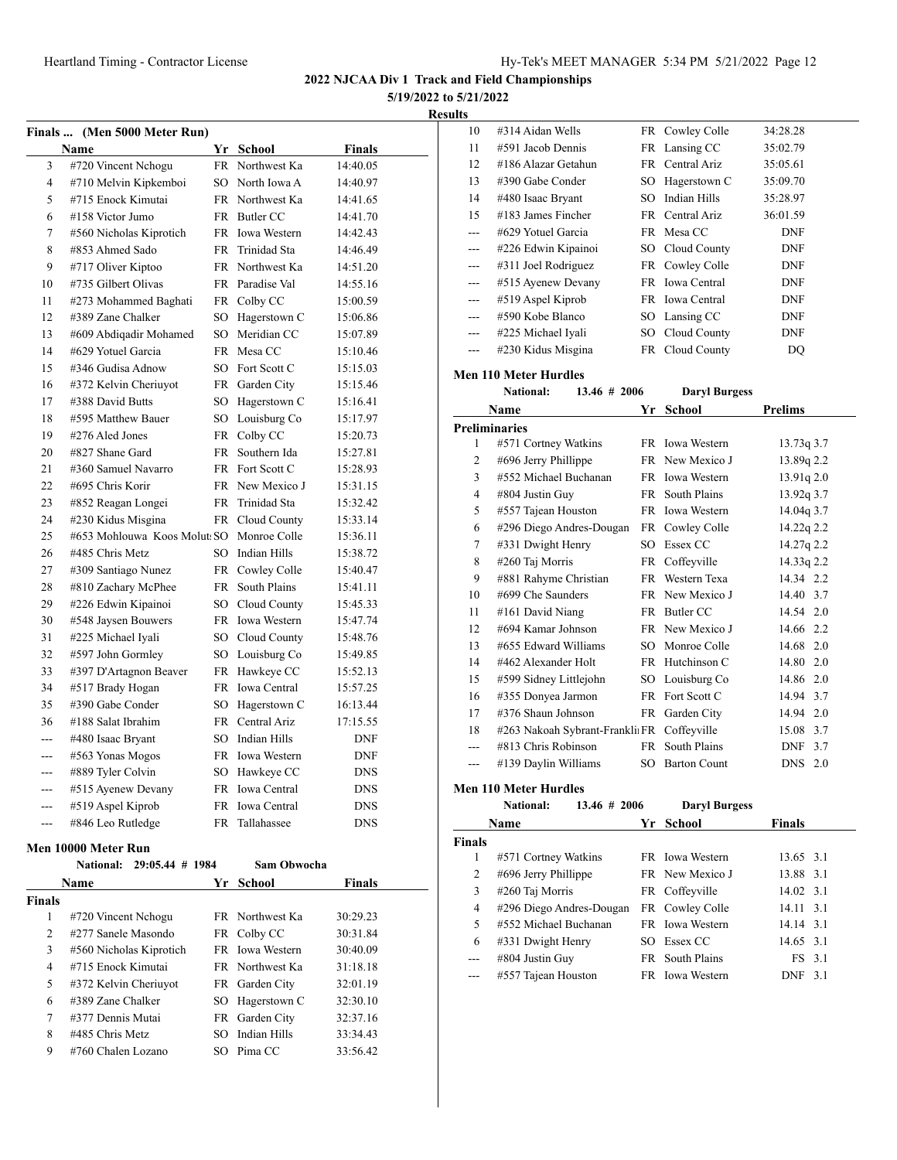**5/19/2022 to 5/21/2022**

**Results**

|                |      | Finals  (Men 5000 Meter Run) |                 |                     |            |
|----------------|------|------------------------------|-----------------|---------------------|------------|
|                | Name |                              |                 | Yr School           | Finals     |
| 3              |      | #720 Vincent Nchogu          | FR              | Northwest Ka        | 14:40.05   |
| $\overline{4}$ |      | #710 Melvin Kipkemboi        |                 | SO North Iowa A     | 14:40.97   |
| 5              |      | #715 Enock Kimutai           |                 | FR Northwest Ka     | 14:41.65   |
| 6              |      | #158 Victor Jumo             | <b>FR</b>       | Butler CC           | 14:41.70   |
| 7              |      | #560 Nicholas Kiprotich      |                 | FR Iowa Western     | 14:42.43   |
| 8              |      | #853 Ahmed Sado              | FR              | Trinidad Sta        | 14:46.49   |
| 9              |      | #717 Oliver Kiptoo           |                 | FR Northwest Ka     | 14:51.20   |
| 10             |      | #735 Gilbert Olivas          |                 | FR Paradise Val     | 14:55.16   |
| 11             |      | #273 Mohammed Baghati        | FR              | Colby CC            | 15:00.59   |
| 12             |      | #389 Zane Chalker            | SO.             | Hagerstown C        | 15:06.86   |
| 13             |      | #609 Abdigadir Mohamed       | SO.             | Meridian CC         | 15:07.89   |
| 14             |      | #629 Yotuel Garcia           | FR              | Mesa CC             | 15:10.46   |
| 15             |      | #346 Gudisa Adnow            | SO              | Fort Scott C        | 15:15.03   |
| 16             |      | #372 Kelvin Cheriuyot        | <b>FR</b>       | Garden City         | 15:15.46   |
| 17             |      | #388 David Butts             | SO.             | Hagerstown C        | 15:16.41   |
| 18             |      | #595 Matthew Bauer           | SO <sub>1</sub> | Louisburg Co        | 15:17.97   |
| 19             |      | #276 Aled Jones              | FR              | Colby CC            | 15:20.73   |
| 20             |      | #827 Shane Gard              | FR              | Southern Ida        | 15:27.81   |
| 21             |      | #360 Samuel Navarro          | FR.             | Fort Scott C        | 15:28.93   |
| 22             |      | #695 Chris Korir             | <b>FR</b>       | New Mexico J        | 15:31.15   |
| 23             |      | #852 Reagan Longei           | FR              | Trinidad Sta        | 15:32.42   |
| 24             |      | #230 Kidus Misgina           | FR              | Cloud County        | 15:33.14   |
| 25             |      | #653 Mohlouwa Koos Molut: SO |                 | Monroe Colle        | 15:36.11   |
| 26             |      | #485 Chris Metz              | SO.             | <b>Indian Hills</b> | 15:38.72   |
| 27             |      | #309 Santiago Nunez          | FR.             | Cowley Colle        | 15:40.47   |
| 28             |      | #810 Zachary McPhee          | FR.             | South Plains        | 15:41.11   |
| 29             |      | #226 Edwin Kipainoi          | SO              | Cloud County        | 15:45.33   |
| 30             |      | #548 Jaysen Bouwers          | FR              | Iowa Western        | 15:47.74   |
| 31             |      | #225 Michael Iyali           | SO.             | Cloud County        | 15:48.76   |
| 32             |      | #597 John Gormley            | SO              | Louisburg Co        | 15:49.85   |
| 33             |      | #397 D'Artagnon Beaver       | FR              | Hawkeye CC          | 15:52.13   |
| 34             |      | #517 Brady Hogan             | <b>FR</b>       | <b>Iowa</b> Central | 15:57.25   |
| 35             |      | #390 Gabe Conder             | SO              | Hagerstown C        | 16:13.44   |
| 36             |      | #188 Salat Ibrahim           |                 | FR Central Ariz     | 17:15.55   |
| ---            |      | #480 Isaac Bryant            | SO.             | Indian Hills        | DNF        |
| ---            |      | #563 Yonas Mogos             | FR              | <b>Iowa Western</b> | <b>DNF</b> |
|                |      | #889 Tyler Colvin            | SO              | Hawkeye CC          | <b>DNS</b> |
| ---            |      | #515 Ayenew Devany           | FR              | Iowa Central        | <b>DNS</b> |
| ---            |      | #519 Aspel Kiprob            | FR              | Iowa Central        | <b>DNS</b> |
| ---            |      | #846 Leo Rutledge            | FR              | Tallahassee         | <b>DNS</b> |
|                |      |                              |                 |                     |            |

#### **Men 10000 Meter Run**

|               | $29:05.44$ # 1984<br><b>National:</b> |     | Sam Obwocha            |               |  |
|---------------|---------------------------------------|-----|------------------------|---------------|--|
|               | Name                                  |     | Yr School              | <b>Finals</b> |  |
| <b>Finals</b> |                                       |     |                        |               |  |
| 1             | #720 Vincent Nchogu                   |     | FR Northwest Ka        | 30:29.23      |  |
| 2             | #277 Sanele Masondo                   |     | FR Colby CC            | 30:31.84      |  |
| 3             | #560 Nicholas Kiprotich               |     | FR Iowa Western        | 30:40.09      |  |
| 4             | #715 Enock Kimutai                    |     | <b>FR</b> Northwest Ka | 31:18.18      |  |
| 5             | #372 Kelvin Cheriuyot                 |     | FR Garden City         | 32:01.19      |  |
| 6             | #389 Zane Chalker                     |     | SO Hagerstown C        | 32:30.10      |  |
| 7             | #377 Dennis Mutai                     |     | FR Garden City         | 32:37.16      |  |
| 8             | #485 Chris Metz                       | SO. | Indian Hills           | 33:34.43      |  |
| 9             | #760 Chalen Lozano                    |     | SO Pima CC             | 33:56.42      |  |

| LS    |                       |                 |            |  |
|-------|-----------------------|-----------------|------------|--|
| 10    | #314 Aidan Wells      | FR Cowley Colle | 34:28.28   |  |
| 11    | $#591$ Jacob Dennis   | FR Lansing CC   | 35:02.79   |  |
| 12    | #186 Alazar Getahun   | FR Central Ariz | 35:05.61   |  |
| 13    | #390 Gabe Conder      | SO Hagerstown C | 35:09.70   |  |
| 14    | #480 Isaac Bryant     | SO Indian Hills | 35:28.97   |  |
| 15    | $\#183$ James Fincher | FR Central Ariz | 36:01.59   |  |
| ---   | #629 Yotuel Garcia    | FR Mesa CC      | <b>DNF</b> |  |
| $---$ | #226 Edwin Kipainoi   | SO Cloud County | <b>DNF</b> |  |
| ---   | #311 Joel Rodriguez   | FR Cowley Colle | <b>DNF</b> |  |
| $---$ | #515 Ayenew Devany    | FR Iowa Central | <b>DNF</b> |  |
| $---$ | #519 Aspel Kiprob     | FR Iowa Central | <b>DNF</b> |  |
| $---$ | #590 Kobe Blanco      | SO Lansing CC   | <b>DNF</b> |  |
| $---$ | #225 Michael Iyali    | SO Cloud County | <b>DNF</b> |  |
| ---   | #230 Kidus Misgina    | FR Cloud County | DQ         |  |

#### **Men 110 Meter Hurdles**

**National: 13.46 # 2006 Daryl Burgess**

| . . |  |              |  |
|-----|--|--------------|--|
|     |  | 13 16 # ንበበሬ |  |

|     | Name                            | Yr              | <b>School</b>       | <b>Prelims</b> |
|-----|---------------------------------|-----------------|---------------------|----------------|
|     | <b>Preliminaries</b>            |                 |                     |                |
| 1   | #571 Cortney Watkins            |                 | FR Iowa Western     | 13.73q 3.7     |
| 2   | #696 Jerry Phillippe            |                 | FR New Mexico J     | 13.89q 2.2     |
| 3   | #552 Michael Buchanan           |                 | FR Iowa Western     | 13.91q2.0      |
| 4   | #804 Justin Guy                 |                 | FR South Plains     | 13.92q 3.7     |
| 5   | #557 Tajean Houston             |                 | FR Iowa Western     | 14.04q 3.7     |
| 6   | #296 Diego Andres-Dougan        |                 | FR Cowley Colle     | 14.22q 2.2     |
| 7   | #331 Dwight Henry               | SO <sub>2</sub> | Essex CC            | 14.27q 2.2     |
| 8   | #260 Taj Morris                 |                 | FR Coffeyville      | 14.33q 2.2     |
| 9   | #881 Rahyme Christian           | <b>FR</b>       | Western Texa        | 14.34 2.2      |
| 10  | #699 Che Saunders               |                 | FR New Mexico J     | 14.40 3.7      |
| 11  | #161 David Niang                | FR.             | Butler CC           | 14.54 2.0      |
| 12  | #694 Kamar Johnson              |                 | FR New Mexico J     | 14.66 2.2      |
| 13  | #655 Edward Williams            | SO.             | Monroe Colle        | 14.68 2.0      |
| 14  | #462 Alexander Holt             |                 | FR Hutchinson C     | 14.80 2.0      |
| 15  | #599 Sidney Littlejohn          | SO              | Louisburg Co        | 14.86 2.0      |
| 16  | #355 Donyea Jarmon              |                 | FR Fort Scott C     | 14.94 3.7      |
| 17  | #376 Shaun Johnson              | FR              | Garden City         | 14.94 2.0      |
| 18  | #263 Nakoah Sybrant-Frankli: FR |                 | Coffeyville         | 15.08 3.7      |
| --- | #813 Chris Robinson             | FR.             | South Plains        | DNF<br>3.7     |
| --- | #139 Daylin Williams            | SΟ              | <b>Barton Count</b> | <b>DNS</b> 2.0 |

**Men 110 Meter Hurdles**

**National: 13.46 # 2006 Daryl Burgess**

|        | Name                     | Yr School       | <b>Finals</b> |  |
|--------|--------------------------|-----------------|---------------|--|
| Finals |                          |                 |               |  |
| 1      | #571 Cortney Watkins     | FR Iowa Western | 13.65 3.1     |  |
| 2      | #696 Jerry Phillippe     | FR New Mexico J | 13.88 3.1     |  |
| 3      | #260 Taj Morris          | FR Coffeyville  | 14.02 3.1     |  |
| 4      | #296 Diego Andres-Dougan | FR Cowley Colle | 14.11 3.1     |  |
| 5      | #552 Michael Buchanan    | FR Iowa Western | $14.14$ 3.1   |  |
| 6      | #331 Dwight Henry        | SO Essex CC     | 14.65 3.1     |  |
| ---    | #804 Justin Guy          | FR South Plains | FS 3.1        |  |
|        | #557 Tajean Houston      | FR Iowa Western | DNF<br>3.1    |  |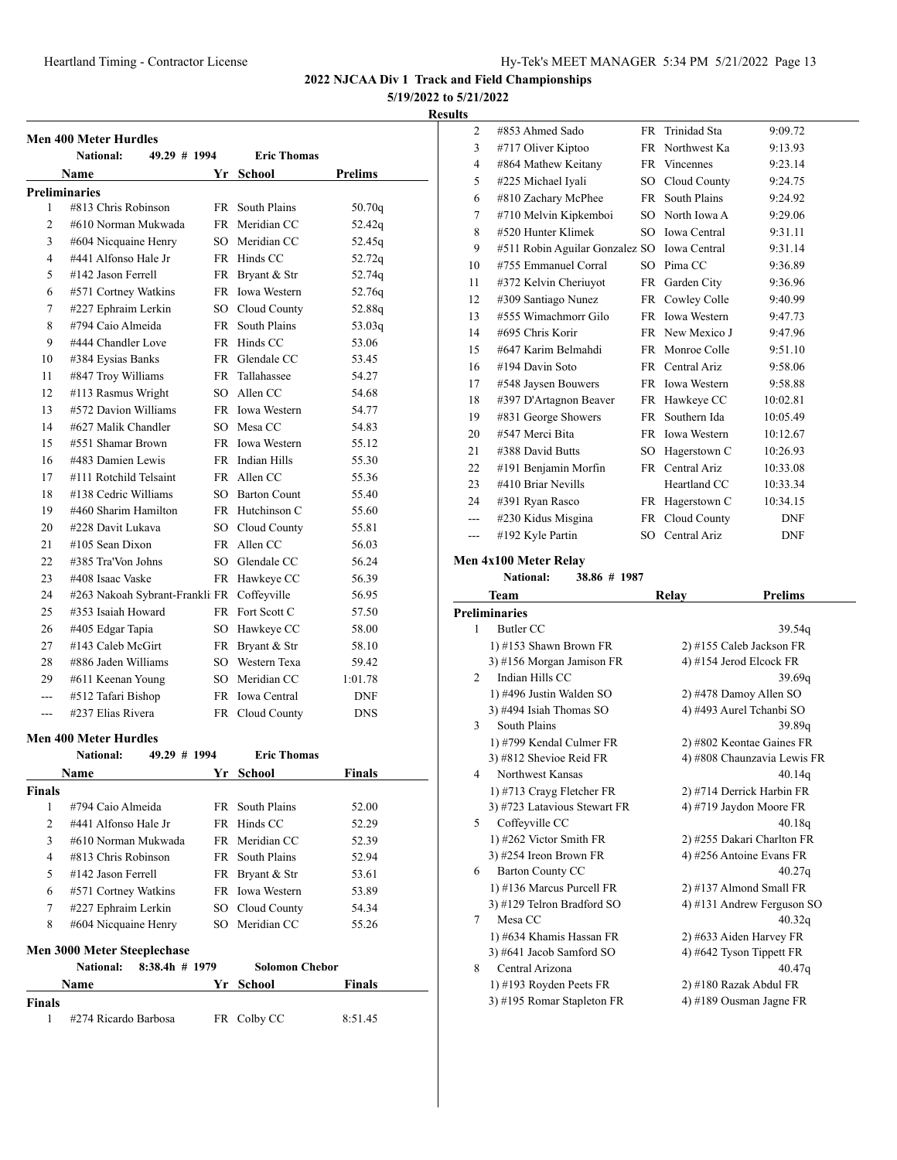#### **5/19/2022 to 5/21/2022**

#### **Results**

|                      | <b>Men 400 Meter Hurdles</b>                                        |      |                       |            |
|----------------------|---------------------------------------------------------------------|------|-----------------------|------------|
|                      | <b>National:</b><br>49.29 # 1994                                    |      | <b>Eric Thomas</b>    |            |
|                      | <b>Name</b>                                                         | Yr   | School                | Prelims    |
| <b>Preliminaries</b> |                                                                     |      |                       |            |
| 1                    | #813 Chris Robinson                                                 |      | FR South Plains       | 50.70q     |
| 2                    | #610 Norman Mukwada                                                 |      | FR Meridian CC        | 52.42q     |
| 3                    | #604 Nicquaine Henry                                                |      | SO Meridian CC        | 52.45q     |
| 4                    | #441 Alfonso Hale Jr                                                |      | FR Hinds CC           | 52.72q     |
| 5                    | #142 Jason Ferrell                                                  |      | FR Bryant & Str       | 52.74q     |
| 6                    | #571 Cortney Watkins                                                |      | FR Iowa Western       | 52.76q     |
| 7                    | #227 Ephraim Lerkin                                                 |      | SO Cloud County       | 52.88q     |
| 8                    | #794 Caio Almeida                                                   |      | FR South Plains       | 53.03q     |
| 9                    | #444 Chandler Love                                                  |      | FR Hinds CC           | 53.06      |
| 10                   | #384 Eysias Banks                                                   |      | FR Glendale CC        | 53.45      |
| 11                   | #847 Troy Williams                                                  |      | FR Tallahassee        | 54.27      |
| 12                   | #113 Rasmus Wright                                                  |      | SO Allen CC           | 54.68      |
| 13                   | #572 Davion Williams                                                |      | FR Iowa Western       | 54.77      |
| 14                   | #627 Malik Chandler                                                 |      | SO Mesa CC            | 54.83      |
| 15                   | #551 Shamar Brown                                                   |      | FR Iowa Western       | 55.12      |
| 16                   | #483 Damien Lewis                                                   |      | FR Indian Hills       | 55.30      |
| 17                   | #111 Rotchild Telsaint                                              |      | FR Allen CC           | 55.36      |
| 18                   | #138 Cedric Williams                                                |      | SO Barton Count       | 55.40      |
| 19                   | #460 Sharim Hamilton                                                |      | FR Hutchinson C       | 55.60      |
| 20                   | #228 Davit Lukava                                                   |      | SO Cloud County       | 55.81      |
| 21                   | #105 Sean Dixon                                                     |      | FR Allen CC           | 56.03      |
| 22                   | #385 Tra'Von Johns                                                  |      | SO Glendale CC        | 56.24      |
| 23                   | #408 Isaac Vaske                                                    |      | FR Hawkeye CC         | 56.39      |
| 24                   | #263 Nakoah Sybrant-Frankli FR Coffeyville                          |      |                       | 56.95      |
| 25                   | #353 Isaiah Howard                                                  |      | FR Fort Scott C       | 57.50      |
| 26                   | #405 Edgar Tapia                                                    |      | SO Hawkeye CC         | 58.00      |
| 27                   | #143 Caleb McGirt                                                   |      | FR Bryant & Str       | 58.10      |
| 28                   | #886 Jaden Williams                                                 |      | SO Western Texa       | 59.42      |
| 29                   |                                                                     |      | SO Meridian CC        | 1:01.78    |
| ---                  | #611 Keenan Young                                                   |      | FR Iowa Central       |            |
|                      | #512 Tafari Bishop<br>#237 Elias Rivera                             |      |                       | DNF        |
| ---                  |                                                                     |      | FR Cloud County       | <b>DNS</b> |
|                      | <b>Men 400 Meter Hurdles</b>                                        |      |                       |            |
|                      | 49.29 # 1994<br>National:                                           |      | <b>Eric Thomas</b>    |            |
|                      | Name                                                                |      | Yr School             | Finals     |
| Finals               |                                                                     |      |                       |            |
| 1                    | #794 Caio Almeida                                                   |      | FR South Plains       | 52.00      |
| $\overline{c}$       | #441 Alfonso Hale Jr                                                |      | FR Hinds CC           | 52.29      |
| 3                    | #610 Norman Mukwada                                                 |      | FR Meridian CC        | 52.39      |
| 4                    | #813 Chris Robinson                                                 |      | FR South Plains       | 52.94      |
| 5                    | #142 Jason Ferrell                                                  |      | FR Bryant & Str       | 53.61      |
| 6                    | #571 Cortney Watkins                                                |      | FR Iowa Western       | 53.89      |
| 7                    | #227 Ephraim Lerkin                                                 |      | SO Cloud County       | 54.34      |
| 8                    | #604 Nicquaine Henry                                                | SO - | Meridian CC           | 55.26      |
|                      |                                                                     |      |                       |            |
|                      | Men 3000 Meter Steeplechase<br><b>National:</b><br>$8:38.4h$ # 1979 |      | <b>Solomon Chebor</b> |            |
|                      | Name                                                                | Yr - | School                | Finals     |
| <b>Finals</b>        |                                                                     |      |                       |            |
| 1                    | #274 Ricardo Barbosa                                                | FR   | Colby CC              | 8:51.45    |
|                      |                                                                     |      |                       |            |

| ults |                                             |      |                            |                |
|------|---------------------------------------------|------|----------------------------|----------------|
| 2    | #853 Ahmed Sado                             | FR   | Trinidad Sta               | 9:09.72        |
| 3    | #717 Oliver Kiptoo                          |      | FR Northwest Ka            | 9:13.93        |
| 4    | #864 Mathew Keitany                         |      | FR Vincennes               | 9:23.14        |
| 5    | #225 Michael Iyali                          |      | SO Cloud County            | 9:24.75        |
| 6    | #810 Zachary McPhee                         | FR - | South Plains               | 9:24.92        |
| 7    | #710 Melvin Kipkemboi                       |      | SO North Iowa A            | 9:29.06        |
| 8    | #520 Hunter Klimek                          | SO.  | <b>Iowa Central</b>        | 9:31.11        |
| 9    | #511 Robin Aguilar Gonzalez SO Iowa Central |      |                            | 9:31.14        |
| 10   | #755 Emmanuel Corral                        | SO.  | Pima CC                    | 9:36.89        |
| 11   | #372 Kelvin Cheriuyot                       |      | FR Garden City             | 9:36.96        |
| 12   | #309 Santiago Nunez                         |      | FR Cowley Colle            | 9:40.99        |
| 13   | #555 Wimachmorr Gilo                        |      | FR Iowa Western            | 9:47.73        |
| 14   | #695 Chris Korir                            |      | FR New Mexico J            | 9:47.96        |
| 15   | #647 Karim Belmahdi                         |      | FR Monroe Colle            | 9:51.10        |
| 16   | #194 Davin Soto                             |      | FR Central Ariz            | 9:58.06        |
| 17   | #548 Jaysen Bouwers                         |      | FR Iowa Western            | 9:58.88        |
| 18   | #397 D'Artagnon Beaver                      |      | FR Hawkeye CC              | 10:02.81       |
| 19   | #831 George Showers                         |      | FR Southern Ida            | 10:05.49       |
| 20   | #547 Merci Bita                             |      | FR Iowa Western            | 10:12.67       |
| 21   | #388 David Butts                            |      | SO Hagerstown C            | 10:26.93       |
| 22   | #191 Benjamin Morfin                        |      | FR Central Ariz            | 10:33.08       |
| 23   | #410 Briar Nevills                          |      | Heartland CC               | 10:33.34       |
| 24   | #391 Ryan Rasco                             |      | FR Hagerstown C            | 10:34.15       |
| ---  | #230 Kidus Misgina                          |      | FR Cloud County            | <b>DNF</b>     |
| ---  | #192 Kyle Partin                            |      | SO Central Ariz            | <b>DNF</b>     |
|      | Men 4x100 Meter Relay                       |      |                            |                |
|      | National:<br>38.86 # 1987                   |      |                            |                |
|      | Team                                        |      | Relay                      | <b>Prelims</b> |
|      | <b>Preliminaries</b>                        |      |                            |                |
| 1    | <b>Butler CC</b>                            |      |                            | 39.54q         |
|      | $11.4152$ Charm Dearen ED                   |      | $2)$ 4155 Calab Indream ED |                |

| 1              | Butler CC                    | 39.54q                      |
|----------------|------------------------------|-----------------------------|
|                | 1) #153 Shawn Brown FR       | 2) #155 Caleb Jackson FR    |
|                | 3) #156 Morgan Jamison FR    | 4) #154 Jerod Elcock FR     |
| $\overline{c}$ | Indian Hills CC              | 39.69q                      |
|                | 1) #496 Justin Walden SO     | 2) #478 Damoy Allen SO      |
|                | 3) #494 Isiah Thomas SO      | 4) #493 Aurel Tchanbi SO    |
| 3              | South Plains                 | 39.89q                      |
|                | 1) #799 Kendal Culmer FR     | 2) #802 Keontae Gaines FR   |
|                | 3) #812 Shevioe Reid FR      | 4) #808 Chaunzavia Lewis FR |
| 4              | Northwest Kansas             | 40.14q                      |
|                | 1) #713 Crayg Fletcher FR    | 2) #714 Derrick Harbin FR   |
|                | 3) #723 Latavious Stewart FR | 4) #719 Jaydon Moore FR     |
| 5.             | Coffeyville CC               | 40.18q                      |
|                | 1) #262 Victor Smith FR      | 2) #255 Dakari Charlton FR  |
|                | 3) #254 Ireon Brown FR       | 4) #256 Antoine Evans FR    |
| 6              | <b>Barton County CC</b>      | 40.27q                      |
|                | 1) #136 Marcus Purcell FR    | 2) #137 Almond Small FR     |
|                | 3) #129 Telron Bradford SO   | 4) #131 Andrew Ferguson SO  |
| 7              | Mesa CC                      | 40.32q                      |
|                | 1) #634 Khamis Hassan FR     | 2) #633 Aiden Harvey FR     |
|                | 3) #641 Jacob Samford SO     | 4) #642 Tyson Tippett FR    |
| 8              | Central Arizona              | 40.47q                      |
|                | 1) #193 Royden Peets FR      | 2) #180 Razak Abdul FR      |
|                | 3) #195 Romar Stapleton FR   | 4) #189 Ousman Jagne FR     |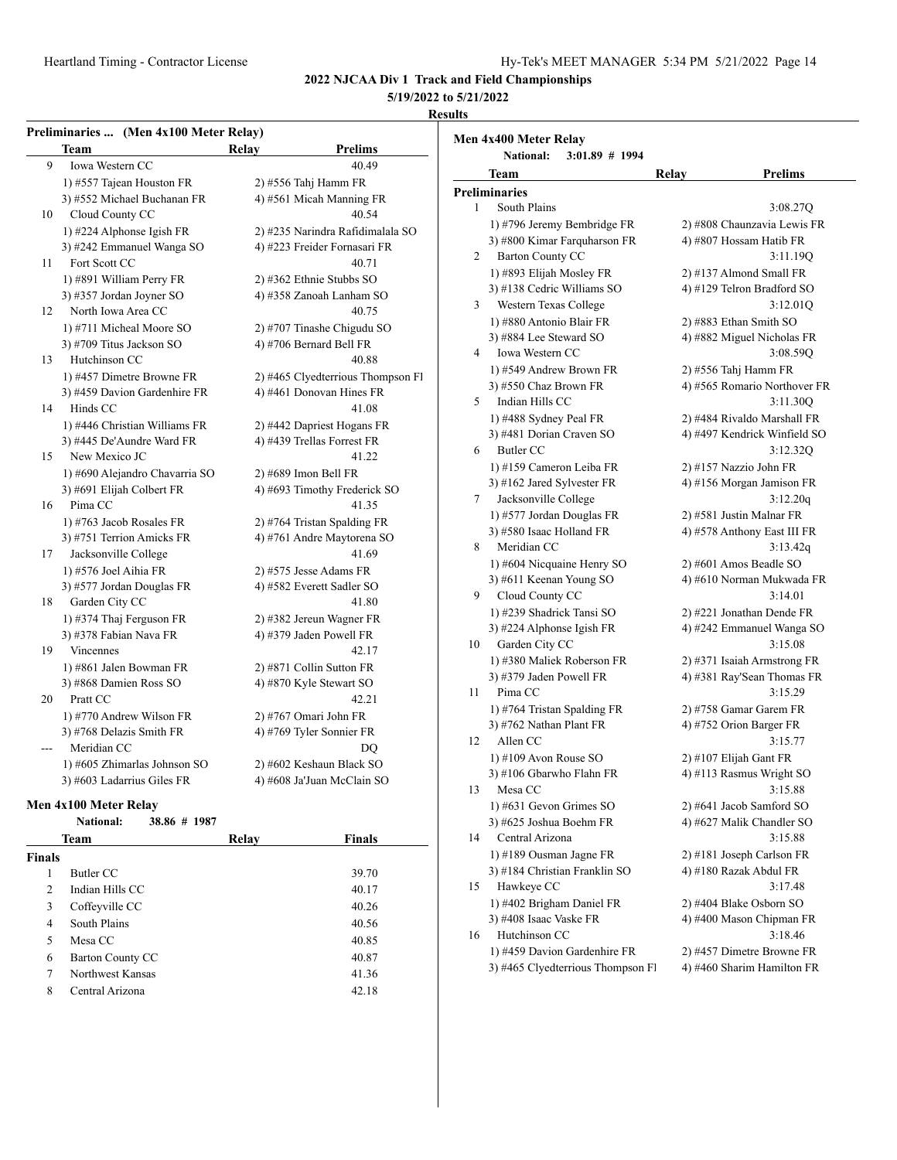1) #631 Gevon Grimes SO 2) #641 Jacob Samford SO 3) #625 Joshua Boehm FR 4) #627 Malik Chandler SO 14 Central Arizona 3:15.88 1) #189 Ousman Jagne FR 2) #181 Joseph Carlson FR 3) #184 Christian Franklin SO 4) #180 Razak Abdul FR 15 Hawkeye CC 3:17.48 1) #402 Brigham Daniel FR 2) #404 Blake Osborn SO<br>3) #408 Isaac Vaske FR 4) #400 Mason Chipman I

16 Hutchinson CC 3:18.46 1) #459 Davion Gardenhire FR 2) #457 Dimetre Browne FR 3) #465 Clyedterrious Thompson Fl 4) #460 Sharim Hamilton FR

4) #400 Mason Chipman FR

**2022 NJCAA Div 1 Track and Field Championships**

#### **5/19/2022 to 5/21/2022**

#### **Results**

|     | Preliminaries  (Men 4x100 Meter Relay)                    |                                                               | Men 4x400 Meter Relay                                  |                                                   |
|-----|-----------------------------------------------------------|---------------------------------------------------------------|--------------------------------------------------------|---------------------------------------------------|
|     | <b>Team</b>                                               | <b>Prelims</b><br>Relay                                       | <b>National:</b><br>$3:01.89$ # 1994                   |                                                   |
| 9   | Iowa Western CC                                           | 40.49                                                         | <b>Team</b>                                            | Relay<br><b>Prelims</b>                           |
|     | 1) #557 Tajean Houston FR                                 | 2) #556 Tahj Hamm FR                                          | <b>Preliminaries</b>                                   |                                                   |
|     | 3) #552 Michael Buchanan FR                               | 4) #561 Micah Manning FR                                      | South Plains<br>$\mathbf{1}$                           | 3:08.27Q                                          |
| 10  | Cloud County CC                                           | 40.54                                                         | 1) #796 Jeremy Bembridge FR                            | 2) #808 Chaunzavia Lewis FR                       |
|     | 1) #224 Alphonse Igish FR                                 | 2) #235 Narindra Rafidimalala SO                              | 3) #800 Kimar Farquharson FR                           | 4) #807 Hossam Hatib FR                           |
|     | 3) #242 Emmanuel Wanga SO                                 | 4) #223 Freider Fornasari FR                                  | <b>Barton County CC</b><br>2                           | 3:11.19Q                                          |
| 11  | Fort Scott CC                                             | 40.71                                                         | 1) #893 Elijah Mosley FR                               | 2) #137 Almond Small FR                           |
|     | 1) #891 William Perry FR                                  | 2) #362 Ethnie Stubbs SO                                      | 3) #138 Cedric Williams SO                             | 4) #129 Telron Bradford SO                        |
|     | 3) #357 Jordan Joyner SO                                  | 4) #358 Zanoah Lanham SO                                      | Western Texas College<br>3                             | 3:12.01Q                                          |
| 12  | North Iowa Area CC                                        | 40.75                                                         | 1) #880 Antonio Blair FR                               | 2) #883 Ethan Smith SO                            |
|     | 1) #711 Micheal Moore SO                                  | 2) #707 Tinashe Chigudu SO                                    | 3) #884 Lee Steward SO                                 | 4) #882 Miguel Nicholas FR                        |
|     | 3) #709 Titus Jackson SO                                  | 4) #706 Bernard Bell FR                                       | Iowa Western CC<br>4                                   | 3:08.59Q                                          |
| 13  | Hutchinson CC                                             | 40.88                                                         | 1) #549 Andrew Brown FR                                | 2) #556 Tahj Hamm FR                              |
|     | 1) #457 Dimetre Browne FR<br>3) #459 Davion Gardenhire FR | 2) #465 Clyedterrious Thompson Fl<br>4) #461 Donovan Hines FR | $3)$ #550 Chaz Brown FR                                | 4) #565 Romario Northover FR                      |
| 14  | Hinds CC                                                  | 41.08                                                         | 5<br>Indian Hills CC                                   | 3:11.30Q                                          |
|     | 1) #446 Christian Williams FR                             | 2) #442 Dapriest Hogans FR                                    | 1) #488 Sydney Peal FR                                 | 2) #484 Rivaldo Marshall FR                       |
|     | 3) #445 De'Aundre Ward FR                                 | 4) #439 Trellas Forrest FR                                    | 3) #481 Dorian Craven SO                               | 4) #497 Kendrick Winfield SO                      |
| 15  | New Mexico JC                                             | 41.22                                                         | Butler CC<br>6                                         | 3:12.32Q                                          |
|     | 1) #690 Alejandro Chavarria SO                            | 2) #689 Imon Bell FR                                          | 1) #159 Cameron Leiba FR                               | 2) #157 Nazzio John FR                            |
|     | 3) #691 Elijah Colbert FR                                 | 4) #693 Timothy Frederick SO                                  | 3) #162 Jared Sylvester FR                             | 4) #156 Morgan Jamison FR                         |
| 16  | Pima CC                                                   | 41.35                                                         | 7<br>Jacksonville College                              | 3:12.20q                                          |
|     | 1) #763 Jacob Rosales FR                                  | 2) #764 Tristan Spalding FR                                   | 1) #577 Jordan Douglas FR                              | 2) #581 Justin Malnar FR                          |
|     | 3) #751 Terrion Amicks FR                                 | 4) #761 Andre Maytorena SO                                    | 3) #580 Isaac Holland FR                               | 4) #578 Anthony East III FR                       |
| 17  | Jacksonville College                                      | 41.69                                                         | Meridian CC<br>8                                       | 3:13.42q                                          |
|     | 1) #576 Joel Aihia FR                                     | 2) #575 Jesse Adams FR                                        | 1) #604 Nicquaine Henry SO                             | 2) #601 Amos Beadle SO                            |
|     | 3) #577 Jordan Douglas FR                                 | 4) #582 Everett Sadler SO                                     | 3) #611 Keenan Young SO                                | 4) #610 Norman Mukwada FR                         |
| 18  | Garden City CC                                            | 41.80                                                         | Cloud County CC<br>9                                   | 3:14.01                                           |
|     | 1) #374 Thaj Ferguson FR                                  | 2) #382 Jereun Wagner FR                                      | 1) #239 Shadrick Tansi SO                              | 2) #221 Jonathan Dende FR                         |
|     | 3) #378 Fabian Nava FR                                    | 4) #379 Jaden Powell FR                                       | 3) #224 Alphonse Igish FR                              | 4) #242 Emmanuel Wanga SO                         |
| 19  | Vincennes                                                 | 42.17                                                         | 10<br>Garden City CC                                   | 3:15.08                                           |
|     | 1) #861 Jalen Bowman FR                                   | 2) #871 Collin Sutton FR                                      | 1) #380 Maliek Roberson FR<br>3) #379 Jaden Powell FR  | 2) #371 Isaiah Armstrong FR                       |
|     | 3) #868 Damien Ross SO                                    | 4) #870 Kyle Stewart SO                                       | Pima CC<br>11                                          | 4) #381 Ray'Sean Thomas FR<br>3:15.29             |
| 20  | Pratt CC                                                  | 42.21                                                         |                                                        |                                                   |
|     | 1) #770 Andrew Wilson FR                                  | 2) #767 Omari John FR                                         | 1) #764 Tristan Spalding FR<br>3) #762 Nathan Plant FR | 2) #758 Gamar Garem FR<br>4) #752 Orion Barger FR |
|     | 3) #768 Delazis Smith FR                                  | 4) #769 Tyler Sonnier FR                                      | Allen CC<br>12                                         | 3:15.77                                           |
| --- | Meridian CC                                               | DQ                                                            | 1) #109 Avon Rouse SO                                  | 2) #107 Elijah Gant FR                            |
|     | 1) #605 Zhimarlas Johnson SO                              | 2) #602 Keshaun Black SO                                      | 3) #106 Gbarwho Flahn FR                               | 4) #113 Rasmus Wright SO                          |
|     | 3) #603 Ladarrius Giles FR                                | 4) #608 Ja'Juan McClain SO                                    | Mesa CC<br>13                                          | 3:15.88                                           |

#### **Men 4x100 Meter Relay**

#### **National: 38.86 # 1987**

|        | Team             | Relay | <b>Finals</b> |  |
|--------|------------------|-------|---------------|--|
| Finals |                  |       |               |  |
| 1      | Butler CC        |       | 39.70         |  |
| 2      | Indian Hills CC  |       | 40.17         |  |
| 3      | Coffeyville CC   |       | 40.26         |  |
| 4      | South Plains     |       | 40.56         |  |
| 5      | Mesa CC          |       | 40.85         |  |
| 6      | Barton County CC |       | 40.87         |  |
| 7      | Northwest Kansas |       | 41.36         |  |
| 8      | Central Arizona  |       | 42.18         |  |
|        |                  |       |               |  |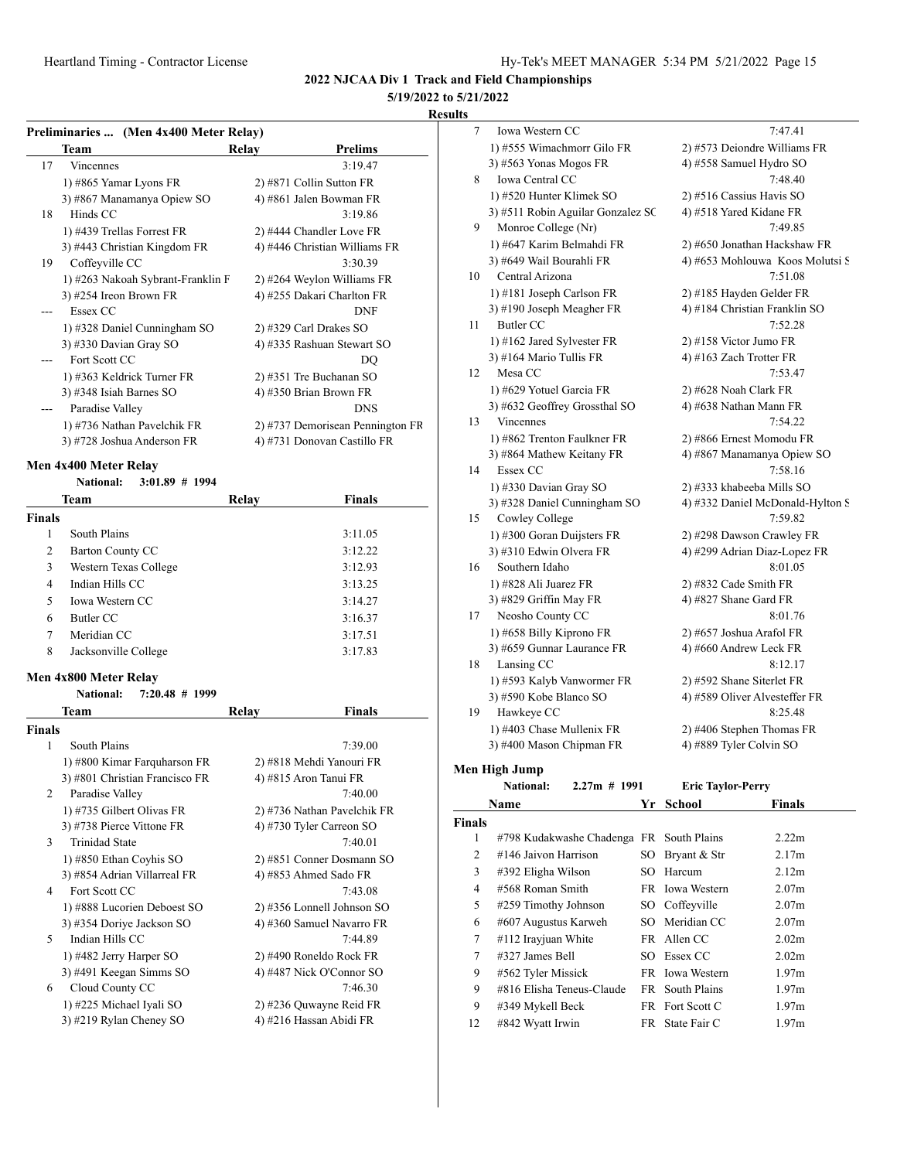# **5/19/2022 to 5/21/2022**

#### **Results**

| Preliminaries  (Men 4x400 Meter Relay) |  |  |
|----------------------------------------|--|--|
|                                        |  |  |

|    | Team                              | Relay | Prelims                          |
|----|-----------------------------------|-------|----------------------------------|
| 17 | <b>Vincennes</b>                  |       | 3:19.47                          |
|    | 1) #865 Yamar Lyons FR            |       | 2) #871 Collin Sutton FR         |
|    | 3) #867 Manamanya Opiew SO        |       | 4) #861 Jalen Bowman FR          |
| 18 | Hinds CC                          |       | 3:19.86                          |
|    | 1) #439 Trellas Forrest FR        |       | 2) #444 Chandler Love FR         |
|    | 3) #443 Christian Kingdom FR      |       | 4) #446 Christian Williams FR    |
| 19 | Coffeyville CC                    |       | 3:30.39                          |
|    | 1) #263 Nakoah Sybrant-Franklin F |       | 2) #264 Weylon Williams FR       |
|    | 3) #254 Ireon Brown FR            |       | 4) #255 Dakari Charlton FR       |
|    | Essex CC                          |       | DNF                              |
|    | 1) #328 Daniel Cunningham SO      |       | $2)$ #329 Carl Drakes SO         |
|    | 3) #330 Davian Gray SO            |       | 4) #335 Rashuan Stewart SO       |
|    | Fort Scott CC                     |       | DQ                               |
|    | 1) #363 Keldrick Turner FR        |       | 2) #351 Tre Buchanan SO          |
|    | 3) #348 Isiah Barnes SO           |       | 4) #350 Brian Brown FR           |
|    | Paradise Valley                   |       | <b>DNS</b>                       |
|    | 1) #736 Nathan Pavelchik FR       |       | 2) #737 Demorisean Pennington FR |
|    | 3) #728 Joshua Anderson FR        |       | 4) #731 Donovan Castillo FR      |

#### **Men 4x400 Meter Relay**

| <b>National:</b> | $3:01.89 \# 1994$ |  |
|------------------|-------------------|--|

| Team           |                        | Relay | <b>Finals</b> |
|----------------|------------------------|-------|---------------|
| <b>Finals</b>  |                        |       |               |
| 1              | South Plains           |       | 3:11.05       |
| 2              | Barton County CC       |       | 3:12.22       |
| 3              | Western Texas College  |       | 3:12.93       |
| $\overline{4}$ | Indian Hills CC        |       | 3:13.25       |
| 5              | <b>Iowa Western CC</b> |       | 3:14.27       |
| 6              | Butler CC              |       | 3:16.37       |
| 7              | Meridian CC            |       | 3:17.51       |
| 8              | Jacksonville College   |       | 3:17.83       |

#### **Men 4x800 Meter Relay**

|                | $7:20.48$ # 1999<br>National:  |                             |
|----------------|--------------------------------|-----------------------------|
|                | Team                           | Finals<br>Relay             |
| <b>Finals</b>  |                                |                             |
| 1              | South Plains                   | 7:39.00                     |
|                | 1) #800 Kimar Farquharson FR   | 2) #818 Mehdi Yanouri FR    |
|                | 3) #801 Christian Francisco FR | 4) #815 Aron Tanui FR       |
| $\mathfrak{D}$ | Paradise Valley                | 7:40.00                     |
|                | 1) #735 Gilbert Olivas FR      | 2) #736 Nathan Pavelchik FR |
|                | 3) #738 Pierce Vittone FR      | 4) #730 Tyler Carreon SO    |
| 3              | <b>Trinidad State</b>          | 7:40.01                     |
|                | 1) #850 Ethan Coyhis SO        | 2) #851 Conner Dosmann SO   |
|                | 3) #854 Adrian Villarreal FR   | 4) #853 Ahmed Sado FR       |
| 4              | Fort Scott CC                  | 7:43.08                     |
|                | 1) #888 Lucorien Deboest SO    | 2) #356 Lonnell Johnson SO  |
|                | 3) #354 Doriye Jackson SO      | 4) #360 Samuel Navarro FR   |
| 5              | Indian Hills CC                | 7:44.89                     |
|                | 1) #482 Jerry Harper SO        | 2) #490 Roneldo Rock FR     |
|                | 3) #491 Keegan Simms SO        | 4) #487 Nick O'Connor SO    |
| 6              | Cloud County CC                | 7:46.30                     |
|                | 1) #225 Michael Iyali SO       | 2) #236 Quwayne Reid FR     |
|                | 3) #219 Rylan Cheney SO        | 4) #216 Hassan Abidi FR     |
|                |                                |                             |

| 7  | Iowa Western CC                    | 7:47.41                          |
|----|------------------------------------|----------------------------------|
|    | 1) #555 Wimachmorr Gilo FR         | 2) #573 Deiondre Williams FR     |
|    | 3) #563 Yonas Mogos FR             | 4) #558 Samuel Hydro SO          |
| 8  | Iowa Central CC                    | 7:48.40                          |
|    | 1) #520 Hunter Klimek SO           | 2) #516 Cassius Havis SO         |
|    | 3) #511 Robin Aguilar Gonzalez SC  | 4) #518 Yared Kidane FR          |
| 9  | Monroe College (Nr)                | 7:49.85                          |
|    | 1) #647 Karim Belmahdi FR          | 2) #650 Jonathan Hackshaw FR     |
|    | 3) #649 Wail Bourahli FR           | 4) #653 Mohlouwa Koos Molutsi S  |
| 10 | Central Arizona                    | 7:51.08                          |
|    | 1) #181 Joseph Carlson FR          | 2) #185 Hayden Gelder FR         |
|    | 3) #190 Joseph Meagher FR          | 4) #184 Christian Franklin SO    |
| 11 | Butler CC                          | 7:52.28                          |
|    | 1) #162 Jared Sylvester FR         | 2) #158 Victor Jumo FR           |
|    | 3) #164 Mario Tullis FR            | 4) #163 Zach Trotter FR          |
| 12 | Mesa CC                            | 7:53.47                          |
|    | 1) #629 Yotuel Garcia FR           | 2) #628 Noah Clark FR            |
|    | 3) #632 Geoffrey Grossthal SO      | 4) #638 Nathan Mann FR           |
| 13 | <b>Vincennes</b>                   | 7:54.22                          |
|    | 1) #862 Trenton Faulkner FR        | 2) #866 Ernest Momodu FR         |
|    | 3) #864 Mathew Keitany FR          | 4) #867 Manamanya Opiew SO       |
| 14 | Essex CC                           | 7:58.16                          |
|    | 1) #330 Davian Gray SO             | 2) #333 khabeeba Mills SO        |
|    | 3) #328 Daniel Cunningham SO       | 4) #332 Daniel McDonald-Hylton S |
| 15 | Cowley College                     | 7:59.82                          |
|    | 1) #300 Goran Duijsters FR         | 2) #298 Dawson Crawley FR        |
|    | 3) #310 Edwin Olvera FR            | 4) #299 Adrian Diaz-Lopez FR     |
| 16 | Southern Idaho                     | 8:01.05                          |
|    | 1) #828 Ali Juarez FR              | $2)$ #832 Cade Smith FR          |
|    | 3) #829 Griffin May FR             | 4) #827 Shane Gard FR            |
| 17 | Neosho County CC                   | 8:01.76                          |
|    | 1) #658 Billy Kiprono FR           | 2) #657 Joshua Arafol FR         |
|    | 3) #659 Gunnar Laurance FR         | 4) #660 Andrew Leck FR           |
| 18 | Lansing CC                         | 8:12.17                          |
|    | 1) #593 Kalyb Vanwormer FR         | 2) #592 Shane Siterlet FR        |
|    | 3) #590 Kobe Blanco SO             | 4) #589 Oliver Alvesteffer FR    |
| 19 | Hawkeye CC                         | 8:25.48                          |
|    | 1) #403 Chase Mullenix FR          | 2) #406 Stephen Thomas FR        |
|    | 3) #400 Mason Chipman FR           | 4) #889 Tyler Colvin SO          |
|    | en High Jump                       |                                  |
|    | <b>National:</b><br>$2.27m$ # 1991 | <b>Eric Taylor-Perry</b>         |

# $Me$

| Name          |                                          | Yr  | School          | <b>Finals</b>     |
|---------------|------------------------------------------|-----|-----------------|-------------------|
| <b>Finals</b> |                                          |     |                 |                   |
| 1             | #798 Kudakwashe Chadenga FR South Plains |     |                 | 2.22m             |
| 2             | #146 Jaivon Harrison                     |     | SO Bryant & Str | 2.17m             |
| 3             | #392 Eligha Wilson                       | SO. | Harcum          | 2.12m             |
| 4             | #568 Roman Smith                         |     | FR Iowa Western | 2.07 <sub>m</sub> |
| 5             | #259 Timothy Johnson                     |     | SO Coffeyville  | 2.07 <sub>m</sub> |
| 6             | #607 Augustus Karweh                     |     | SO Meridian CC  | 2.07 <sub>m</sub> |
| 7             | #112 Irayjuan White                      |     | FR Allen CC     | 2.02 <sub>m</sub> |
| 7             | #327 James Bell                          |     | SO Essex CC     | 2.02 <sub>m</sub> |
| 9             | #562 Tyler Missick                       |     | FR Iowa Western | 1.97m             |
| 9             | #816 Elisha Teneus-Claude                |     | FR South Plains | 1.97m             |
| 9             | #349 Mykell Beck                         |     | FR Fort Scott C | 1.97 <sub>m</sub> |
| 12            | #842 Wyatt Irwin                         |     | FR State Fair C | 1.97m             |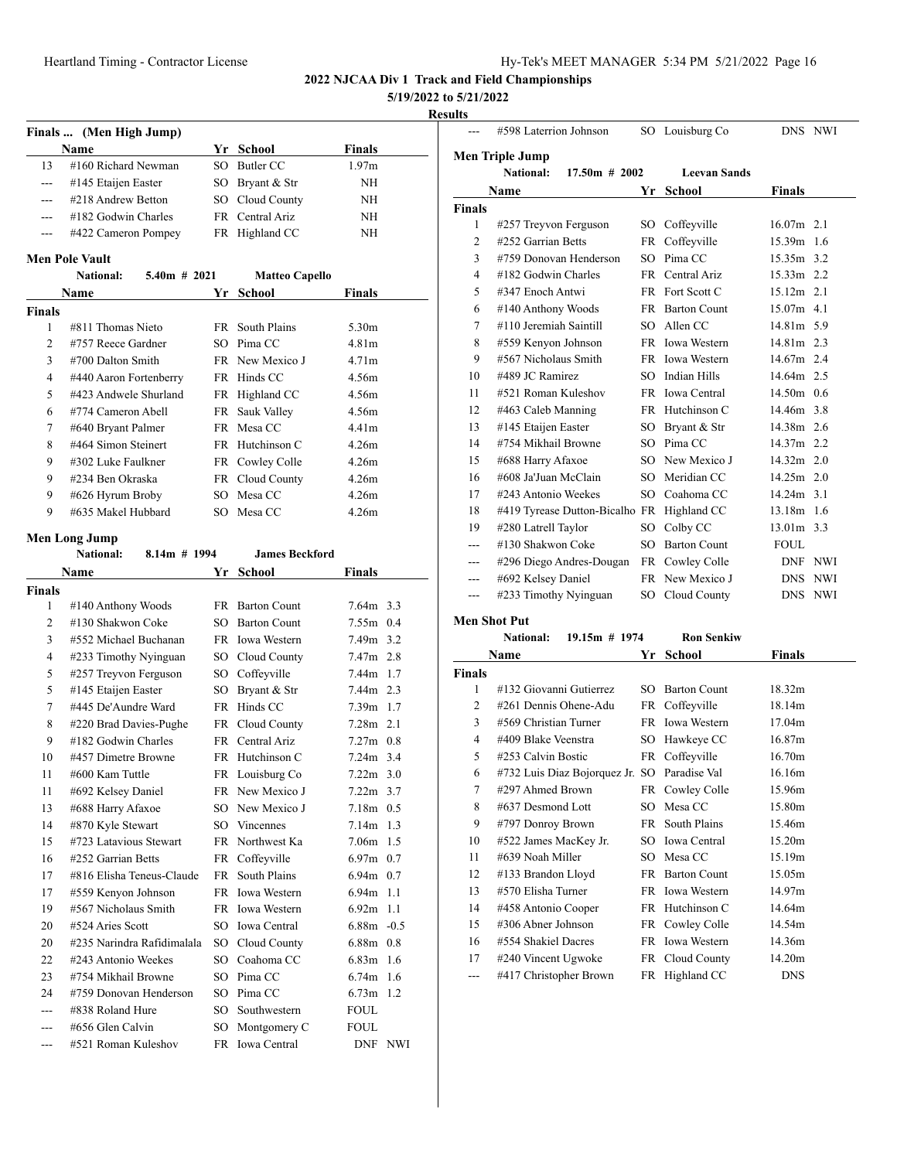| 19-Tek's MEET MANAGER 5:34 PM 5/21/2022 Page 16 |  |  |  |  |
|-------------------------------------------------|--|--|--|--|
|-------------------------------------------------|--|--|--|--|

**5/19/2022 to 5/21/2022**

#### **Results**

|                | Finals  (Men High Jump) |                |                       |                   |
|----------------|-------------------------|----------------|-----------------------|-------------------|
|                | <b>Name</b>             |                | Yr School             | <b>Finals</b>     |
| 13             | #160 Richard Newman     | SO.            | Butler CC             | 1.97 <sub>m</sub> |
| $---$          | #145 Etaijen Easter     | SO -           | Bryant & Str          | NH                |
| ---            | #218 Andrew Betton      | SO             | Cloud County          | NH                |
|                | #182 Godwin Charles     |                | FR Central Ariz       | NH                |
| ---            | #422 Cameron Pompey     |                | FR Highland CC        | <b>NH</b>         |
|                | Men Pole Vault          |                |                       |                   |
|                | <b>National:</b>        | $5.40m$ # 2021 | <b>Matteo Capello</b> |                   |
|                | Name                    | Yr             | <b>School</b>         | <b>Finals</b>     |
| <b>Finals</b>  |                         |                |                       |                   |
| 1              | #811 Thomas Nieto       | FR -           | South Plains          | 5.30m             |
| $\mathfrak{D}$ | #757 Reece Gardner      |                | $SO$ Pima $CC$        | 4.81 <sub>m</sub> |
| 3              | $#700$ Dalton Smith     |                | FR New Mexico J       | 4.71 <sub>m</sub> |
| 4              | #440 Aaron Fortenberry  |                | FR Hinds CC           | 4.56m             |
| 5              | #423 Andwele Shurland   |                | FR Highland CC        | 4.56m             |
| 6              | #774 Cameron Abell      |                | FR Sauk Valley        | 4.56m             |
| 7              | #640 Bryant Palmer      |                | FR Mesa CC            | 4.41m             |
| 8              | #464 Simon Steinert     |                | FR Hutchinson C       | 4.26m             |
| 9              | #302 Luke Faulkner      |                | FR Cowley Colle       | 4.26m             |
|                | #234 Ben Okraska        |                | FR Cloud County       | 4.26m             |
| 9              |                         |                |                       |                   |
| 9              | #626 Hyrum Broby        | SO.            | Mesa CC               | 4.26m             |

# **Men Long Jump**<br>**National**

|                | <b>National:</b><br>$8.14m$ # 1994 |      | <b>James Beckford</b> |                   |     |
|----------------|------------------------------------|------|-----------------------|-------------------|-----|
|                | Name                               | Yr   | School                | Finals            |     |
| Finals         |                                    |      |                       |                   |     |
| 1              | #140 Anthony Woods                 | FR - | <b>Barton Count</b>   | $7.64m$ 3.3       |     |
| $\overline{2}$ | #130 Shakwon Coke                  | SO.  | <b>Barton Count</b>   | $7.55m$ 0.4       |     |
| 3              | #552 Michael Buchanan              |      | FR Iowa Western       | 7.49m 3.2         |     |
| $\overline{4}$ | #233 Timothy Nyinguan              | SO   | Cloud County          | 7.47m 2.8         |     |
| 5              | #257 Treyvon Ferguson              | SO   | Coffeyville           | 7.44m 1.7         |     |
| 5              | #145 Etaijen Easter                | SO   | Bryant & Str          | 7.44m 2.3         |     |
| 7              | #445 De'Aundre Ward                | FR   | Hinds CC              | 7.39m 1.7         |     |
| 8              | #220 Brad Davies-Pughe             | FR   | Cloud County          | 7.28 <sub>m</sub> | 2.1 |
| 9              | #182 Godwin Charles                |      | FR Central Ariz       | $7.27m$ 0.8       |     |
| 10             | #457 Dimetre Browne                |      | FR Hutchinson C       | $7.24m$ 3.4       |     |
| 11             | #600 Kam Tuttle                    |      | FR Louisburg Co       | $7.22m$ 3.0       |     |
| 11             | #692 Kelsey Daniel                 |      | FR New Mexico J       | $7.22m$ 3.7       |     |
| 13             | #688 Harry Afaxoe                  | SO.  | New Mexico J          | $7.18m$ 0.5       |     |
| 14             | #870 Kyle Stewart                  |      | SO Vincennes          | 7.14 <sub>m</sub> | 1.3 |
| 15             | #723 Latavious Stewart             |      | FR Northwest Ka       | 7.06m             | 1.5 |
| 16             | #252 Garrian Betts                 | FR   | Coffeyville           | $6.97m$ 0.7       |     |
| 17             | #816 Elisha Teneus-Claude          | FR   | South Plains          | $6.94m$ 0.7       |     |
| 17             | #559 Kenyon Johnson                |      | FR Iowa Western       | $6.94m$ 1.1       |     |
| 19             | #567 Nicholaus Smith               | FR - | <b>Iowa Western</b>   | 6.92m             | 1.1 |
| 20             | #524 Aries Scott                   | SO   | Iowa Central          | $6.88m - 0.5$     |     |
| 20             | #235 Narindra Rafidimalala         | SO   | Cloud County          | 6.88m 0.8         |     |
| 22             | #243 Antonio Weekes                | SO.  | Coahoma CC            | 6.83m             | 1.6 |
| 23             | #754 Mikhail Browne                | SO.  | Pima CC               | $6.74m$ 1.6       |     |
| 24             | #759 Donovan Henderson             | SO.  | Pima CC               | 6.73 <sub>m</sub> | 1.2 |
| ---            | #838 Roland Hure                   | SO.  | Southwestern          | <b>FOUL</b>       |     |
| ---            | #656 Glen Calvin                   | SO   | Montgomery C          | <b>FOUL</b>       |     |
| ---            | #521 Roman Kuleshov                |      | FR Iowa Central       | DNF NWI           |     |
|                |                                    |      |                       |                   |     |

|                | #598 Laterrion Johnson         |                 | SO Louisburg Co     |               | DNS NWI |
|----------------|--------------------------------|-----------------|---------------------|---------------|---------|
|                | Men Triple Jump                |                 |                     |               |         |
|                | National:<br>$17.50m \# 2002$  |                 | <b>Leevan Sands</b> |               |         |
|                | Name                           | Yr              | <b>School</b>       | <b>Finals</b> |         |
| <b>Finals</b>  |                                |                 |                     |               |         |
| 1              | #257 Treyvon Ferguson          |                 | SO Coffeyville      | $16.07m$ 2.1  |         |
| $\overline{c}$ | #252 Garrian Betts             | FR              | Coffeyville         | 15.39m        | 1.6     |
| 3              | #759 Donovan Henderson         | SO <sub>2</sub> | Pima CC             | $15.35m$ 3.2  |         |
| 4              | #182 Godwin Charles            | <b>FR</b>       | Central Ariz        | $15.33m$ 2.2  |         |
| 5              | #347 Enoch Antwi               |                 | FR Fort Scott C     | $15.12m$ 2.1  |         |
| 6              | #140 Anthony Woods             | FR              | <b>Barton Count</b> | $15.07m$ 4.1  |         |
| 7              | #110 Jeremiah Saintill         | SO.             | Allen CC            | 14.81m 5.9    |         |
| 8              | #559 Kenyon Johnson            |                 | FR Iowa Western     | 14.81m 2.3    |         |
| 9              | #567 Nicholaus Smith           |                 | FR Iowa Western     | 14.67m 2.4    |         |
| 10             | #489 JC Ramirez                |                 | SO Indian Hills     | 14.64m 2.5    |         |
| 11             | #521 Roman Kuleshov            |                 | FR Iowa Central     | 14.50m 0.6    |         |
| 12             | #463 Caleb Manning             |                 | FR Hutchinson C     | 14.46m 3.8    |         |
| 13             | #145 Etaijen Easter            | SO              | Bryant & Str        | $14.38m$ 2.6  |         |
| 14             | #754 Mikhail Browne            | SO.             | Pima CC             | 14.37m 2.2    |         |
| 15             | #688 Harry Afaxoe              |                 | SO New Mexico J     | $14.32m$ 2.0  |         |
| 16             | #608 Ja'Juan McClain           | SO.             | Meridian CC         | $14.25m$ 2.0  |         |
| 17             | #243 Antonio Weekes            | SO              | Coahoma CC          | $14.24m$ 3.1  |         |
| 18             | #419 Tyrease Dutton-Bicalho FR |                 | Highland CC         | $13.18m$ 1.6  |         |
| 19             | #280 Latrell Taylor            | SO              | Colby CC            | 13.01m 3.3    |         |
|                | #130 Shakwon Coke              | SO.             | <b>Barton Count</b> | <b>FOUL</b>   |         |
| ---            | #296 Diego Andres-Dougan       | FR              | Cowley Colle        |               | DNF NWI |
| ---            | #692 Kelsey Daniel             |                 | FR New Mexico J     | <b>DNS</b>    | NWI     |
| ---            | #233 Timothy Nyinguan          | SO              | Cloud County        | <b>DNS</b>    | NWI     |
|                |                                |                 |                     |               |         |

#### **Men Shot Put**

|        | птан энэгт иг           |                                              |    |                   |               |
|--------|-------------------------|----------------------------------------------|----|-------------------|---------------|
|        | <b>National:</b>        | $19.15m \# 1974$                             |    | <b>Ron Senkiw</b> |               |
|        | Name                    |                                              | Yr | School            | <b>Finals</b> |
| Finals |                         |                                              |    |                   |               |
| 1      | #132 Giovanni Gutierrez |                                              |    | SO Barton Count   | 18.32m        |
| 2      | #261 Dennis Ohene-Adu   |                                              |    | FR Coffeyville    | 18.14m        |
| 3      | #569 Christian Turner   |                                              |    | FR Iowa Western   | 17.04m        |
| 4      | #409 Blake Veenstra     |                                              |    | SO Hawkeye CC     | 16.87m        |
| 5      | #253 Calvin Bostic      |                                              |    | FR Coffeyville    | 16.70m        |
| 6      |                         | #732 Luis Diaz Bojorquez Jr. SO Paradise Val |    |                   | 16.16m        |
| 7      | #297 Ahmed Brown        |                                              |    | FR Cowley Colle   | 15.96m        |
| 8      | #637 Desmond Lott       |                                              |    | SO Mesa CC        | 15.80m        |
| 9      | #797 Donroy Brown       |                                              |    | FR South Plains   | 15.46m        |
| 10     | #522 James MacKey Jr.   |                                              |    | SO Iowa Central   | 15.20m        |
| 11     | #639 Noah Miller        |                                              |    | SO Mesa CC        | 15.19m        |
| 12     | #133 Brandon Lloyd      |                                              |    | FR Barton Count   | 15.05m        |
| 13     | #570 Elisha Turner      |                                              |    | FR Iowa Western   | 14.97m        |
| 14     | #458 Antonio Cooper     |                                              |    | FR Hutchinson C   | 14.64m        |
| 15     | $\#306$ Abner Johnson   |                                              |    | FR Cowley Colle   | 14.54m        |
| 16     | #554 Shakiel Dacres     |                                              |    | FR Iowa Western   | 14.36m        |
| 17     | #240 Vincent Ugwoke     |                                              |    | FR Cloud County   | 14.20m        |
| ---    | #417 Christopher Brown  |                                              |    | FR Highland CC    | <b>DNS</b>    |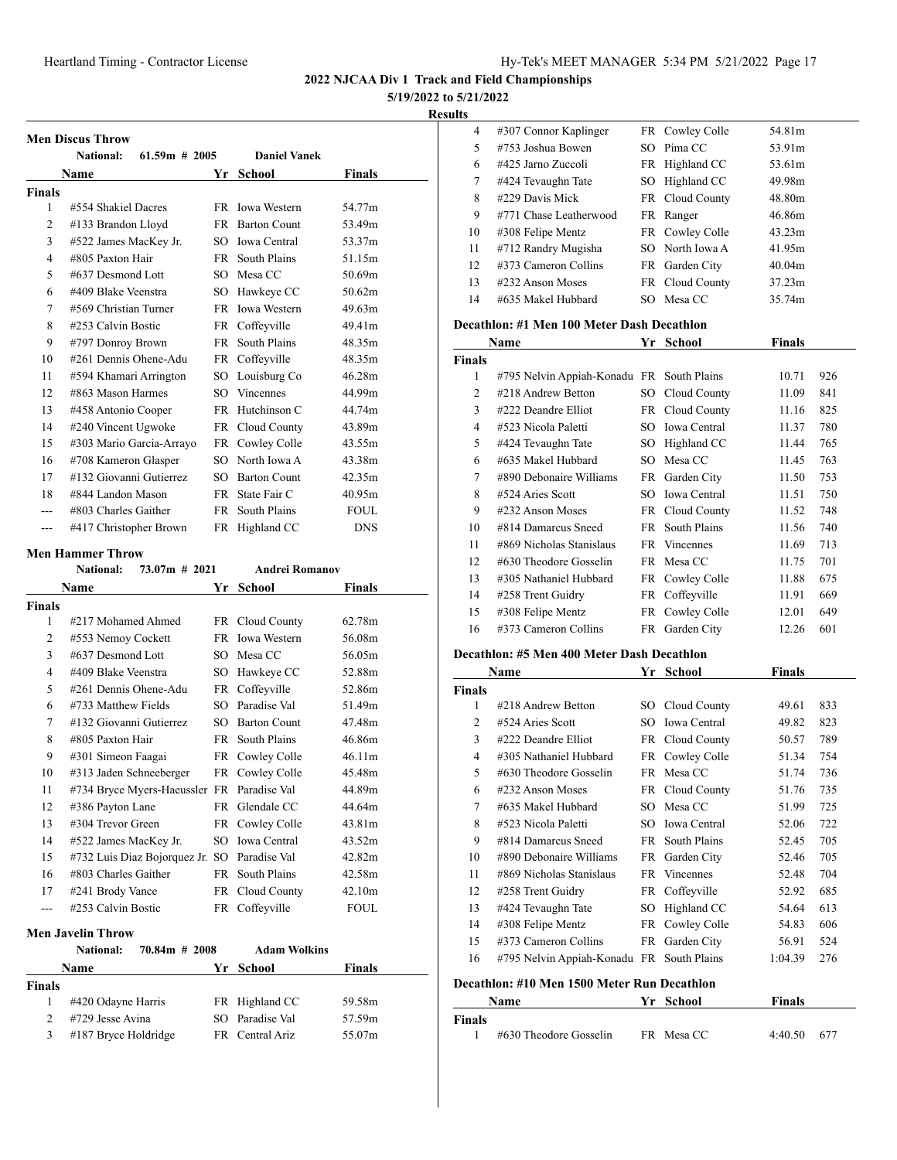**5/19/2022 to 5/21/2022**

**Results**

|               | National:                | $61.59m \# 2005$ | <b>Daniel Vanek</b>   |               |
|---------------|--------------------------|------------------|-----------------------|---------------|
|               | Name                     |                  | Yr<br>School          | <b>Finals</b> |
| <b>Finals</b> |                          |                  |                       |               |
| 1             | #554 Shakiel Dacres      | FR.              | <b>Iowa Western</b>   | 54.77m        |
| 2             | #133 Brandon Lloyd       |                  | FR Barton Count       | 53.49m        |
| 3             | #522 James MacKey Jr.    | SO.              | Iowa Central          | 53.37m        |
| 4             | #805 Paxton Hair         | <b>FR</b>        | South Plains          | 51.15m        |
| 5             | #637 Desmond Lott        |                  | SO Mesa CC            | 50.69m        |
| 6             | #409 Blake Veenstra      |                  | SO Hawkeye CC         | 50.62m        |
| 7             | #569 Christian Turner    |                  | FR Iowa Western       | 49.63m        |
| 8             | #253 Calvin Bostic       |                  | FR Coffeyville        | 49.41m        |
| 9             | #797 Donroy Brown        | FR.              | South Plains          | 48.35m        |
| 10            | #261 Dennis Ohene-Adu    |                  | FR Coffeyville        | 48.35m        |
| 11            | #594 Khamari Arrington   | SO               | Louisburg Co          | 46.28m        |
| 12            | #863 Mason Harmes        | SO.              | <b>Vincennes</b>      | 44.99m        |
| 13            | #458 Antonio Cooper      |                  | FR Hutchinson C       | 44.74m        |
| 14            | #240 Vincent Ugwoke      |                  | FR Cloud County       | 43.89m        |
| 15            | #303 Mario Garcia-Arrayo |                  | FR Cowley Colle       | 43.55m        |
| 16            | #708 Kameron Glasper     | SO.              | North Iowa A          | 43.38m        |
| 17            | #132 Giovanni Gutierrez  | SO.              | <b>Barton Count</b>   | 42.35m        |
| 18            | #844 Landon Mason        |                  | FR State Fair C       | 40.95m        |
|               | #803 Charles Gaither     | <b>FR</b>        | South Plains          | <b>FOUL</b>   |
| ---           | #417 Christopher Brown   |                  | FR Highland CC        | <b>DNS</b>    |
|               | <b>Men Hammer Throw</b>  |                  |                       |               |
|               | National:                | $73.07m$ # 2021  | <b>Andrei Romanov</b> |               |
|               | <b>Name</b>              | Yr               | <b>School</b>         | <b>Finals</b> |

| Finals         |                                            |     |                     |             |
|----------------|--------------------------------------------|-----|---------------------|-------------|
| 1              | #217 Mohamed Ahmed                         |     | FR Cloud County     | 62.78m      |
| $\overline{c}$ | #553 Nemoy Cockett                         |     | FR Iowa Western     | 56.08m      |
| 3              | #637 Desmond Lott                          |     | SO Mesa CC          | 56.05m      |
| 4              | #409 Blake Veenstra                        | SO  | Hawkeye CC          | 52.88m      |
| 5              | #261 Dennis Ohene-Adu                      |     | FR Coffeyville      | 52.86m      |
| 6              | #733 Matthew Fields                        | SO  | Paradise Val        | 51.49m      |
| 7              | #132 Giovanni Gutierrez                    |     | SO Barton Count     | 47.48m      |
| 8              | #805 Paxton Hair                           |     | FR South Plains     | 46.86m      |
| 9              | #301 Simeon Faagai                         |     | FR Cowley Colle     | 46.11m      |
| 10             | #313 Jaden Schneeberger                    |     | FR Cowley Colle     | 45.48m      |
| 11             | #734 Bryce Myers-Haeussler FR Paradise Val |     |                     | 44.89m      |
| 12             | #386 Payton Lane                           |     | FR Glendale CC      | 44.64m      |
| 13             | #304 Trevor Green                          |     | FR Cowley Colle     | 43.81m      |
| 14             | #522 James MacKey Jr.                      |     | SO Iowa Central     | 43.52m      |
| 15             | #732 Luis Diaz Bojorquez Jr. SO            |     | Paradise Val        | 42.82m      |
| 16             | #803 Charles Gaither                       | FR. | South Plains        | 42.58m      |
| 17             | #241 Brody Vance                           |     | FR Cloud County     | 42.10m      |
|                | #253 Calvin Bostic                         |     | FR Coffeyville      | <b>FOUL</b> |
|                | Men Javelin Throw                          |     |                     |             |
|                | $70.84m$ # 2008<br><b>National:</b>        |     | <b>Adam Wolkins</b> |             |
|                | Name                                       | Yr  | School              | Finals      |

| <b>Finals</b>               |                        |                 |        |
|-----------------------------|------------------------|-----------------|--------|
|                             | #420 Odayne Harris     | FR Highland CC  | 59.58m |
| $\mathcal{D}_{\mathcal{L}}$ | #729 Jesse Avina       | SO Paradise Val | 57.59m |
| 3                           | $#187$ Bryce Holdridge | FR Central Ariz | 55.07m |

| .  |                         |    |                 |                    |  |
|----|-------------------------|----|-----------------|--------------------|--|
| 4  | #307 Connor Kaplinger   |    | FR Cowley Colle | 54.81m             |  |
| 5  | #753 Joshua Bowen       |    | SO Pima CC      | 53.91m             |  |
| 6  | $\#425$ Jarno Zuccoli   | FR | Highland CC     | 53.61m             |  |
| 7  | #424 Tevaughn Tate      |    | SO Highland CC  | 49.98m             |  |
| 8  | #229 Davis Mick         |    | FR Cloud County | 48.80m             |  |
| 9  | #771 Chase Leatherwood  |    | FR Ranger       | 46.86m             |  |
| 10 | #308 Felipe Mentz       |    | FR Cowley Colle | 43.23m             |  |
| 11 | #712 Randry Mugisha     |    | SO North Iowa A | 41.95m             |  |
| 12 | $\#373$ Cameron Collins |    | FR Garden City  | 40.04 <sub>m</sub> |  |
| 13 | $\#232$ Anson Moses     |    | FR Cloud County | 37.23m             |  |
| 14 | #635 Makel Hubbard      |    | SO Mesa CC      | 35.74m             |  |

#### **Decathlon: #1 Men 100 Meter Dash Decathlon**

|               | Name                                      | Yr   | School              | Finals |     |
|---------------|-------------------------------------------|------|---------------------|--------|-----|
| <b>Finals</b> |                                           |      |                     |        |     |
| 1             | #795 Nelvin Appiah-Konadu FR South Plains |      |                     | 10.71  | 926 |
| 2             | #218 Andrew Betton                        | SO - | Cloud County        | 11.09  | 841 |
| 3             | #222 Deandre Elliot                       |      | FR Cloud County     | 11.16  | 825 |
| 4             | #523 Nicola Paletti                       | SO.  | Iowa Central        | 11.37  | 780 |
| 5             | #424 Tevaughn Tate                        | SO   | Highland CC         | 11.44  | 765 |
| 6             | #635 Makel Hubbard                        | SO.  | Mesa CC             | 11.45  | 763 |
| 7             | #890 Debonaire Williams                   |      | FR Garden City      | 11.50  | 753 |
| 8             | #524 Aries Scott                          | SO.  | <b>Iowa Central</b> | 11.51  | 750 |
| 9             | #232 Anson Moses                          |      | FR Cloud County     | 11.52  | 748 |
| 10            | #814 Damarcus Sneed                       | FR.  | South Plains        | 11.56  | 740 |
| 11            | #869 Nicholas Stanislaus                  |      | FR Vincennes        | 11.69  | 713 |
| 12            | #630 Theodore Gosselin                    | FR.  | Mesa CC             | 11.75  | 701 |
| 13            | #305 Nathaniel Hubbard                    |      | FR Cowley Colle     | 11.88  | 675 |
| 14            | #258 Trent Guidry                         |      | FR Coffeyville      | 11.91  | 669 |
| 15            | #308 Felipe Mentz                         |      | FR Cowley Colle     | 12.01  | 649 |
| 16            | #373 Cameron Collins                      | FR.  | Garden City         | 12.26  | 601 |

#### **Decathlon: #5 Men 400 Meter Dash Decathlon**

|               | Name                                        | Yr     | <b>School</b>       | Finals  |     |
|---------------|---------------------------------------------|--------|---------------------|---------|-----|
| <b>Finals</b> |                                             |        |                     |         |     |
| 1             | #218 Andrew Betton                          |        | SO Cloud County     | 49.61   | 833 |
| 2             | #524 Aries Scott                            | SO.    | <b>Iowa Central</b> | 49.82   | 823 |
| 3             | #222 Deandre Elliot                         |        | FR Cloud County     | 50.57   | 789 |
| 4             | #305 Nathaniel Hubbard                      |        | FR Cowley Colle     | 51.34   | 754 |
| 5             | #630 Theodore Gosselin                      |        | FR Mesa CC          | 51.74   | 736 |
| 6             | #232 Anson Moses                            |        | FR Cloud County     | 51.76   | 735 |
| 7             | #635 Makel Hubbard                          | $SO^-$ | Mesa CC             | 51.99   | 725 |
| 8             | #523 Nicola Paletti                         | SO.    | <b>Iowa Central</b> | 52.06   | 722 |
| 9             | #814 Damarcus Sneed                         | FR -   | South Plains        | 52.45   | 705 |
| 10            | #890 Debonaire Williams                     |        | FR Garden City      | 52.46   | 705 |
| 11            | #869 Nicholas Stanislaus                    |        | FR Vincennes        | 52.48   | 704 |
| 12            | #258 Trent Guidry                           |        | FR Coffeyville      | 52.92   | 685 |
| 13            | #424 Tevaughn Tate                          | SO     | Highland CC         | 54.64   | 613 |
| 14            | #308 Felipe Mentz                           |        | FR Cowley Colle     | 54.83   | 606 |
| 15            | #373 Cameron Collins                        |        | FR Garden City      | 56.91   | 524 |
| 16            | #795 Nelvin Appiah-Konadu FR South Plains   |        |                     | 1:04.39 | 276 |
|               | Desatklan: #10 Man 1500 Matau Dun Desatklan |        |                     |         |     |

#### **Decathlon: #10 Men 1500 Meter Run Decathlon**

|               | Name                   | Yr School  | <b>Finals</b>  |
|---------------|------------------------|------------|----------------|
| <b>Finals</b> |                        |            |                |
|               | #630 Theodore Gosselin | FR Mesa CC | 677<br>4:40.50 |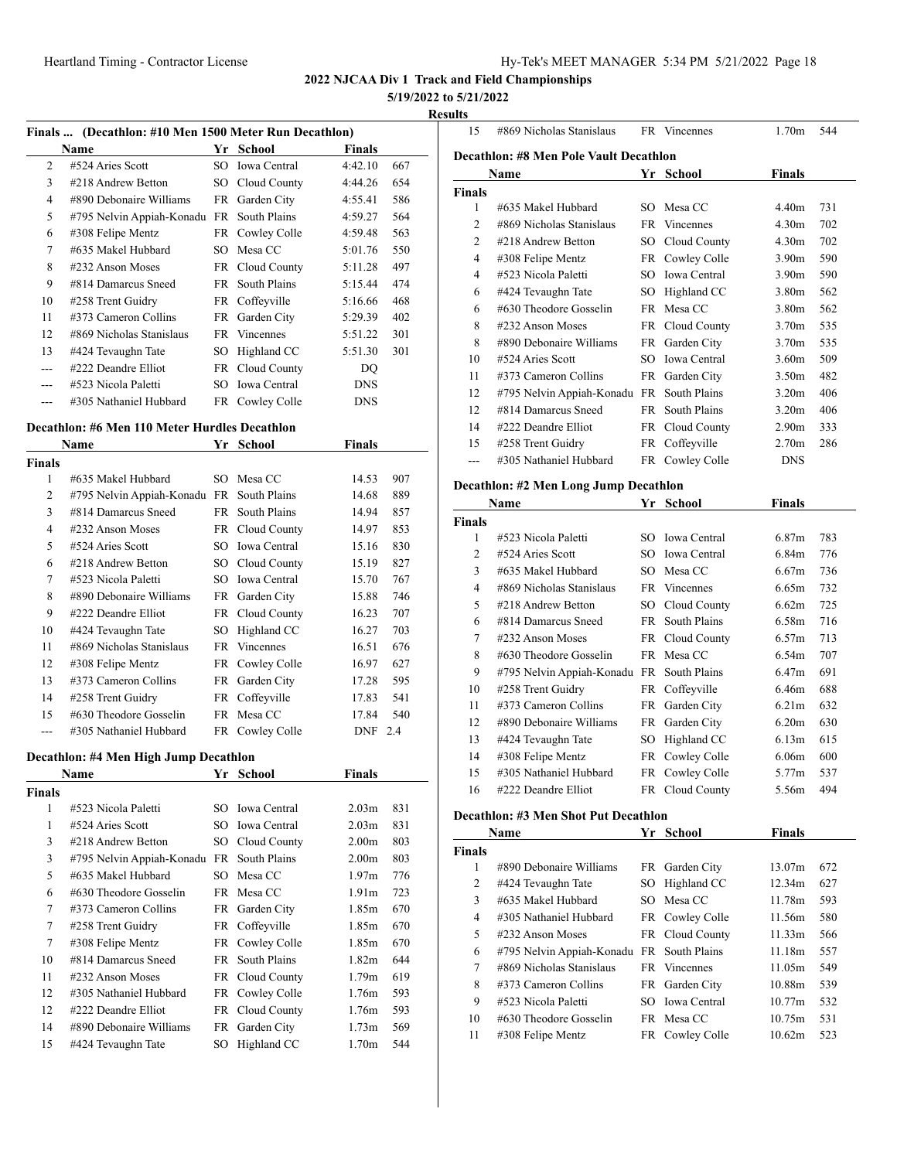#### **5/19/2022 to 5/21/2022**

#### **Results**

| Finals  (Decathlon: #10 Men 1500 Meter Run Decathlon) |                           |     |                     |               |     |
|-------------------------------------------------------|---------------------------|-----|---------------------|---------------|-----|
|                                                       | Name                      | Yr  | <b>School</b>       | <b>Finals</b> |     |
| 2                                                     | #524 Aries Scott          | SO. | <b>Iowa</b> Central | 4:42.10       | 667 |
| 3                                                     | #218 Andrew Betton        |     | SO Cloud County     | 4:44.26       | 654 |
| 4                                                     | #890 Debonaire Williams   | FR  | Garden City         | 4:55.41       | 586 |
| 5                                                     | #795 Nelvin Appiah-Konadu | FR. | South Plains        | 4:59.27       | 564 |
| 6                                                     | #308 Felipe Mentz         |     | FR Cowley Colle     | 4:59.48       | 563 |
| 7                                                     | #635 Makel Hubbard        | SO. | Mesa CC             | 5:01.76       | 550 |
| 8                                                     | #232 Anson Moses          |     | FR Cloud County     | 5:11.28       | 497 |
| 9                                                     | #814 Damarcus Sneed       | FR. | South Plains        | 5:15.44       | 474 |
| 10                                                    | #258 Trent Guidry         |     | FR Coffeyville      | 5:16.66       | 468 |
| 11                                                    | #373 Cameron Collins      |     | FR Garden City      | 5:29.39       | 402 |
| 12                                                    | #869 Nicholas Stanislaus  |     | FR Vincennes        | 5:51.22       | 301 |
| 13                                                    | #424 Tevaughn Tate        | SO  | Highland CC         | 5:51.30       | 301 |
| ---                                                   | #222 Deandre Elliot       | FR. | Cloud County        | DQ            |     |
|                                                       | #523 Nicola Paletti       | SO. | Iowa Central        | <b>DNS</b>    |     |
|                                                       | #305 Nathaniel Hubbard    |     | FR Cowley Colle     | <b>DNS</b>    |     |

#### **Decathlon: #6 Men 110 Meter Hurdles Decathlon**

|               | Name                      | Yr  | School              | Finals     |     |
|---------------|---------------------------|-----|---------------------|------------|-----|
| <b>Finals</b> |                           |     |                     |            |     |
| 1             | #635 Makel Hubbard        | SO. | Mesa CC             | 14.53      | 907 |
| 2             | #795 Nelvin Appiah-Konadu | FR  | South Plains        | 14.68      | 889 |
| 3             | #814 Damarcus Sneed       | FR. | South Plains        | 14.94      | 857 |
| 4             | $\#232$ Anson Moses       |     | FR Cloud County     | 14.97      | 853 |
| 5             | #524 Aries Scott          | SO. | <b>Iowa</b> Central | 15.16      | 830 |
| 6             | #218 Andrew Betton        |     | SO Cloud County     | 15.19      | 827 |
| 7             | #523 Nicola Paletti       | SO. | <b>Iowa Central</b> | 15.70      | 767 |
| 8             | #890 Debonaire Williams   | FR. | Garden City         | 15.88      | 746 |
| 9             | #222 Deandre Elliot       | FR  | Cloud County        | 16.23      | 707 |
| 10            | #424 Tevaughn Tate        | SO  | Highland CC         | 16.27      | 703 |
| 11            | #869 Nicholas Stanislaus  | FR. | <b>Vincennes</b>    | 16.51      | 676 |
| 12            | #308 Felipe Mentz         | FR  | Cowley Colle        | 16.97      | 627 |
| 13            | $\#373$ Cameron Collins   | FR  | Garden City         | 17.28      | 595 |
| 14            | #258 Trent Guidry         | FR  | Coffeyville         | 17.83      | 541 |
| 15            | #630 Theodore Gosselin    |     | FR Mesa CC          | 17.84      | 540 |
| ---           | #305 Nathaniel Hubbard    | FR  | Cowley Colle        | <b>DNF</b> | 2.4 |

#### **Decathlon: #4 Men High Jump Decathlon**

|               | <b>Name</b>               | Yr  | School              | <b>Finals</b>     |     |
|---------------|---------------------------|-----|---------------------|-------------------|-----|
| <b>Finals</b> |                           |     |                     |                   |     |
| 1             | #523 Nicola Paletti       | SO. | <b>Iowa</b> Central | 2.03 <sub>m</sub> | 831 |
| 1             | #524 Aries Scott          |     | SO Iowa Central     | 2.03 <sub>m</sub> | 831 |
| 3             | #218 Andrew Betton        |     | SO Cloud County     | 2.00 <sub>m</sub> | 803 |
| 3             | #795 Nelvin Appiah-Konadu | FR. | South Plains        | 2.00 <sub>m</sub> | 803 |
| 5             | #635 Makel Hubbard        | SO. | Mesa CC             | 1.97 <sub>m</sub> | 776 |
| 6             | #630 Theodore Gosselin    |     | FR Mesa CC          | 1.91 <sub>m</sub> | 723 |
| 7             | #373 Cameron Collins      |     | FR Garden City      | 1.85m             | 670 |
| 7             | #258 Trent Guidry         |     | FR Coffeyville      | 1.85m             | 670 |
| 7             | #308 Felipe Mentz         |     | FR Cowley Colle     | 1.85m             | 670 |
| 10            | #814 Damarcus Sneed       | FR. | South Plains        | 1.82 <sub>m</sub> | 644 |
| 11            | #232 Anson Moses          |     | FR Cloud County     | 1.79 <sub>m</sub> | 619 |
| 12            | #305 Nathaniel Hubbard    |     | FR Cowley Colle     | 1.76m             | 593 |
| 12            | #222 Deandre Elliot       |     | FR Cloud County     | 1.76m             | 593 |
| 14            | #890 Debonaire Williams   | FR  | Garden City         | 1.73 <sub>m</sub> | 569 |
| 15            | #424 Tevaughn Tate        | SO  | Highland CC         | 1.70 <sub>m</sub> | 544 |

| 15     | #869 Nicholas Stanislaus                      |                 | FR Vincennes        | 1.70m             | 544 |
|--------|-----------------------------------------------|-----------------|---------------------|-------------------|-----|
|        | <b>Decathlon: #8 Men Pole Vault Decathlon</b> |                 |                     |                   |     |
|        | Name                                          |                 | Yr School           | <b>Finals</b>     |     |
| Finals |                                               |                 |                     |                   |     |
| 1      | #635 Makel Hubbard                            | SO.             | Mesa CC             | 4.40m             | 731 |
| 2      | #869 Nicholas Stanislaus                      | FR              | Vincennes           | 4.30 <sub>m</sub> | 702 |
| 2      | #218 Andrew Betton                            | SO -            | Cloud County        | 4.30 <sub>m</sub> | 702 |
| 4      | #308 Felipe Mentz                             |                 | FR Cowley Colle     | 3.90 <sub>m</sub> | 590 |
| 4      | #523 Nicola Paletti                           | SO.             | <b>Iowa Central</b> | 3.90 <sub>m</sub> | 590 |
| 6      | #424 Tevaughn Tate                            | SO              | Highland CC         | 3.80m             | 562 |
| 6      | #630 Theodore Gosselin                        | <b>FR</b>       | Mesa CC             | 3.80m             | 562 |
| 8      | #232 Anson Moses                              |                 | FR Cloud County     | 3.70m             | 535 |
| 8      | #890 Debonaire Williams                       |                 | FR Garden City      | 3.70 <sub>m</sub> | 535 |
| 10     | #524 Aries Scott                              | SO <sub>2</sub> | <b>Iowa Central</b> | 3.60m             | 509 |
| 11     | #373 Cameron Collins                          |                 | FR Garden City      | 3.50 <sub>m</sub> | 482 |
| 12     | #795 Nelvin Appiah-Konadu                     | FR              | South Plains        | 3.20 <sub>m</sub> | 406 |
| 12     | #814 Damarcus Sneed                           | FR.             | South Plains        | 3.20 <sub>m</sub> | 406 |
| 14     | #222 Deandre Elliot                           | FR              | Cloud County        | 2.90 <sub>m</sub> | 333 |
| 15     | #258 Trent Guidry                             |                 | FR Coffeyville      | 2.70 <sub>m</sub> | 286 |
|        | #305 Nathaniel Hubbard                        |                 | FR Cowley Colle     | <b>DNS</b>        |     |
|        |                                               |                 |                     |                   |     |

#### **Decathlon: #2 Men Long Jump Decathlon**

|               | Name                      | Yr  | <b>School</b>       | <b>Finals</b>     |     |
|---------------|---------------------------|-----|---------------------|-------------------|-----|
| <b>Finals</b> |                           |     |                     |                   |     |
| 1             | #523 Nicola Paletti       | SO. | <b>Iowa Central</b> | 6.87m             | 783 |
| 2             | #524 Aries Scott          | SO. | <b>Iowa Central</b> | 6.84m             | 776 |
| 3             | #635 Makel Hubbard        | SO. | Mesa CC             | 6.67m             | 736 |
| 4             | #869 Nicholas Stanislaus  | FR  | <b>Vincennes</b>    | 6.65m             | 732 |
| 5             | #218 Andrew Betton        | SО  | Cloud County        | 6.62m             | 725 |
| 6             | #814 Damarcus Sneed       | FR  | South Plains        | 6.58m             | 716 |
| 7             | #232 Anson Moses          |     | FR Cloud County     | 6.57m             | 713 |
| 8             | #630 Theodore Gosselin    |     | FR Mesa CC          | 6.54m             | 707 |
| 9             | #795 Nelvin Appiah-Konadu |     | FR South Plains     | 6.47m             | 691 |
| 10            | #258 Trent Guidry         | FR  | Coffeyville         | 6.46m             | 688 |
| 11            | #373 Cameron Collins      | FR  | Garden City         | 6.21 <sub>m</sub> | 632 |
| 12            | #890 Debonaire Williams   | FR  | Garden City         | 6.20 <sub>m</sub> | 630 |
| 13            | #424 Tevaughn Tate        | SО  | Highland CC         | 6.13m             | 615 |
| 14            | #308 Felipe Mentz         | FR  | Cowley Colle        | 6.06 <sub>m</sub> | 600 |
| 15            | #305 Nathaniel Hubbard    | FR  | Cowley Colle        | 5.77m             | 537 |
| 16            | #222 Deandre Elliot       | FR  | Cloud County        | 5.56m             | 494 |

#### **Decathlon: #3 Men Shot Put Decathlon**

|               | Name                      | Yr School       | <b>Finals</b>      |     |
|---------------|---------------------------|-----------------|--------------------|-----|
| <b>Finals</b> |                           |                 |                    |     |
| 1             | #890 Debonaire Williams   | FR Garden City  | 13.07m             | 672 |
| 2             | #424 Tevaughn Tate        | SO Highland CC  | 12.34m             | 627 |
| 3             | #635 Makel Hubbard        | SO Mesa CC      | 11.78m             | 593 |
| 4             | #305 Nathaniel Hubbard    | FR Cowley Colle | 11.56m             | 580 |
| 5             | $\#232$ Anson Moses       | FR Cloud County | 11.33m             | 566 |
| 6             | #795 Nelvin Appiah-Konadu | FR South Plains | 11.18m             | 557 |
| 7             | #869 Nicholas Stanislaus  | FR Vincennes    | 11.05m             | 549 |
| 8             | #373 Cameron Collins      | FR Garden City  | 10.88 <sub>m</sub> | 539 |
| 9             | #523 Nicola Paletti       | SO Iowa Central | 10.77m             | 532 |
| 10            | $\#630$ Theodore Gosselin | FR Mesa CC      | 10.75m             | 531 |
| 11            | #308 Felipe Mentz         | FR Cowley Colle | 10.62m             | 523 |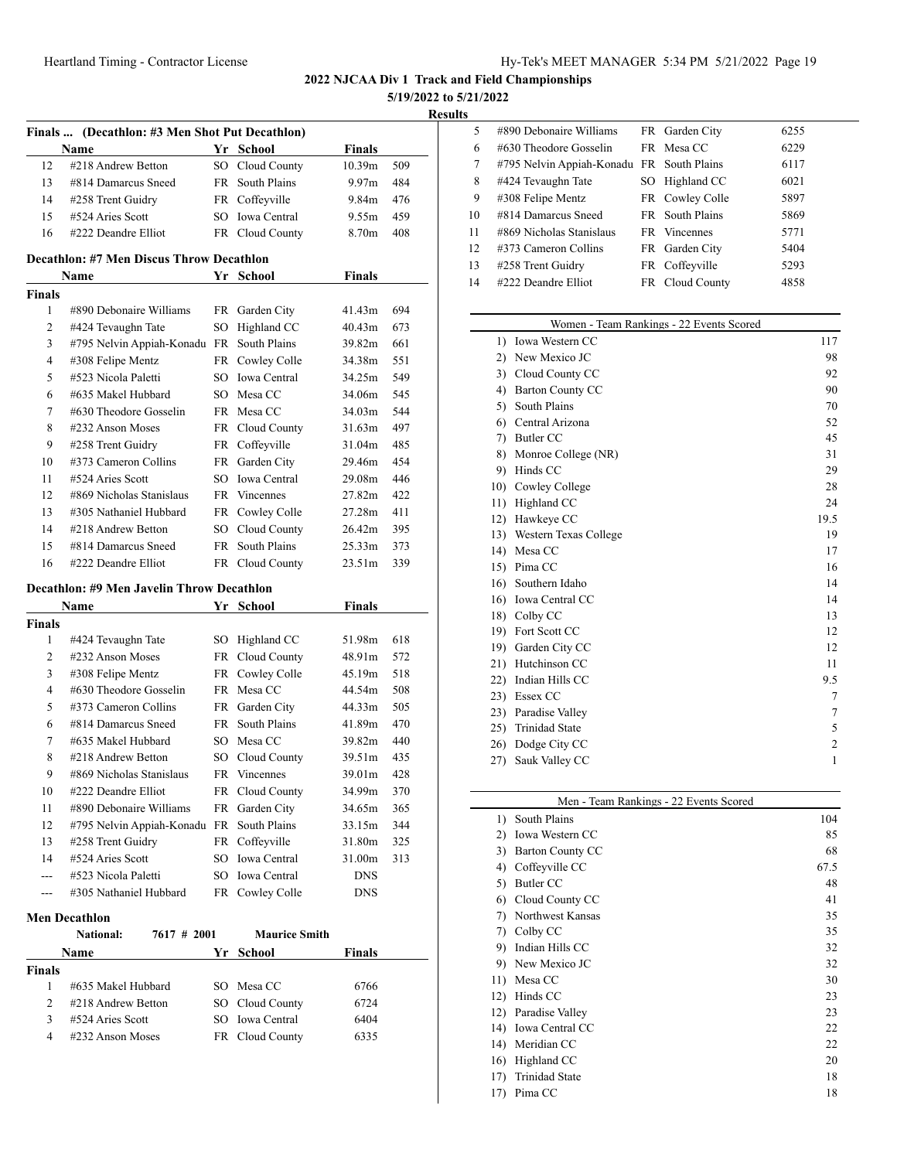**5/19/2022 to 5/21/2022**

| Results |
|---------|
|         |

|                    | Finals  (Decathlon: #3 Men Shot Put Decathlon)   |      |                                    |                    |     |
|--------------------|--------------------------------------------------|------|------------------------------------|--------------------|-----|
|                    | Name                                             |      | Yr School                          | <b>Finals</b>      |     |
| 12                 | #218 Andrew Betton                               |      | SO Cloud County                    | 10.39 <sub>m</sub> | 509 |
| 13                 | #814 Damarcus Sneed                              | FR - | South Plains                       | 9.97 <sub>m</sub>  | 484 |
| 14                 | #258 Trent Guidry                                |      | FR Coffeyville                     | 9.84m              | 476 |
| 15                 | #524 Aries Scott                                 |      | SO Iowa Central                    | 9.55m              | 459 |
| 16                 | #222 Deandre Elliot                              |      | FR Cloud County                    | 8.70m              | 408 |
|                    | <b>Decathlon: #7 Men Discus Throw Decathlon</b>  |      |                                    |                    |     |
|                    | Name                                             |      | Yr School                          | Finals             |     |
| <b>Finals</b>      |                                                  |      |                                    |                    |     |
| 1                  | #890 Debonaire Williams                          |      | FR Garden City                     | 41.43m             | 694 |
| 2                  | #424 Tevaughn Tate                               | SO   | Highland CC                        | 40.43m             | 673 |
| 3                  | #795 Nelvin Appiah-Konadu FR                     |      | South Plains                       | 39.82m             | 661 |
| $\overline{4}$     | #308 Felipe Mentz                                |      | FR Cowley Colle                    | 34.38m             | 551 |
| 5                  | #523 Nicola Paletti                              |      | SO Iowa Central                    | 34.25m             | 549 |
| 6                  | #635 Makel Hubbard                               |      | SO Mesa CC                         | 34.06m             | 545 |
| 7                  | #630 Theodore Gosselin                           |      | FR Mesa CC                         | 34.03m             | 544 |
| 8                  | #232 Anson Moses                                 |      | FR Cloud County                    | 31.63m             | 497 |
| 9                  | #258 Trent Guidry                                |      | FR Coffeyville                     | 31.04m             | 485 |
| 10                 | #373 Cameron Collins                             |      | FR Garden City                     | 29.46m             | 454 |
| 11                 | #524 Aries Scott                                 |      | SO Iowa Central                    | 29.08m             | 446 |
| 12                 | #869 Nicholas Stanislaus                         |      | FR Vincennes                       | 27.82m             | 422 |
| 13                 | #305 Nathaniel Hubbard                           |      | FR Cowley Colle                    | 27.28m             | 411 |
| 14                 | #218 Andrew Betton                               |      | SO Cloud County                    | 26.42m             | 395 |
| 15                 | #814 Damarcus Sneed                              | FR   | South Plains                       | 25.33m             | 373 |
| 16                 | #222 Deandre Elliot                              |      | FR Cloud County                    | 23.51m             | 339 |
|                    |                                                  |      |                                    |                    |     |
|                    | Decathlon: #9 Men Javelin Throw Decathlon        |      |                                    |                    |     |
|                    | Name                                             |      | Yr School                          | <b>Finals</b>      |     |
| <b>Finals</b>      |                                                  |      |                                    |                    |     |
| $\mathbf{1}$       | #424 Tevaughn Tate                               |      | SO Highland CC                     | 51.98m             | 618 |
| $\overline{c}$     | #232 Anson Moses                                 |      | FR Cloud County                    | 48.91m             | 572 |
| 3                  | #308 Felipe Mentz                                |      | FR Cowley Colle                    | 45.19m             | 518 |
| $\overline{4}$     |                                                  |      |                                    |                    |     |
|                    | #630 Theodore Gosselin                           |      | FR Mesa CC                         | 44.54m             | 508 |
| 5                  | #373 Cameron Collins                             |      | FR Garden City                     | 44.33m             | 505 |
| 6                  | #814 Damarcus Sneed                              | FR - | South Plains                       | 41.89m             | 470 |
| 7                  | #635 Makel Hubbard                               | SO.  | Mesa CC                            | 39.82m             | 440 |
| 8                  | #218 Andrew Betton                               |      | SO Cloud County                    | 39.51m             | 435 |
| 9                  | #869 Nicholas Stanislaus                         | FR   | Vincennes                          | 39.01m             | 428 |
| 10                 | #222 Deandre Elliot                              |      | FR Cloud County                    | 34.99m             | 370 |
| 11                 | #890 Debonaire Williams                          |      | FR Garden City                     | 34.65m             | 365 |
| 12                 | #795 Nelvin Appiah-Konadu FR South Plains        |      |                                    | 33.15m             | 344 |
| 13                 |                                                  |      | FR Coffeyville                     | 31.80m             | 325 |
| 14                 | #258 Trent Guidry<br>#524 Aries Scott            |      | SO Iowa Central                    | 31.00m             | 313 |
| $- - -$            | #523 Nicola Paletti                              |      | SO Iowa Central                    | <b>DNS</b>         |     |
| $---$              | #305 Nathaniel Hubbard                           |      | FR Cowley Colle                    | DNS                |     |
|                    |                                                  |      |                                    |                    |     |
|                    | <b>Men Decathlon</b><br>National:<br>7617 # 2001 |      | <b>Maurice Smith</b>               |                    |     |
|                    | <b>Name</b>                                      |      | Yr School                          | Finals             |     |
|                    |                                                  |      |                                    |                    |     |
| <b>Finals</b><br>1 | #635 Makel Hubbard                               |      | SO Mesa CC                         | 6766               |     |
| 2                  |                                                  |      |                                    |                    |     |
| 3                  | #218 Andrew Betton<br>#524 Aries Scott           |      | SO Cloud County<br>SO Iowa Central | 6724<br>6404       |     |

| ×. |                                           |                 |      |
|----|-------------------------------------------|-----------------|------|
| 5  | #890 Debonaire Williams                   | FR Garden City  | 6255 |
| 6  | #630 Theodore Gosselin                    | FR Mesa CC      | 6229 |
| 7  | #795 Nelvin Appiah-Konadu FR South Plains |                 | 6117 |
| 8  | #424 Tevaughn Tate                        | SO Highland CC  | 6021 |
| 9  | #308 Felipe Mentz                         | FR Cowley Colle | 5897 |
| 10 | #814 Damarcus Sneed                       | FR South Plains | 5869 |
| 11 | #869 Nicholas Stanislaus                  | FR Vincennes    | 5771 |
| 12 | #373 Cameron Collins                      | FR Garden City  | 5404 |
| 13 | #258 Trent Guidry                         | FR Coffeyville  | 5293 |
| 14 | #222 Deandre Elliot                       | FR Cloud County | 4858 |
|    |                                           |                 |      |

|                  | Women - Team Rankings - 22 Events Scored |      |
|------------------|------------------------------------------|------|
| $\left  \right $ | Iowa Western CC                          | 117  |
| 2)               | New Mexico JC                            | 98   |
| 3)               | Cloud County CC                          | 92   |
| 4)               | <b>Barton County CC</b>                  | 90   |
| 5)               | South Plains                             | 70   |
| 6)               | Central Arizona                          | 52   |
| 7)               | <b>Butler CC</b>                         | 45   |
| 8)               | Monroe College (NR)                      | 31   |
| 9)               | Hinds CC                                 | 29   |
| 10)              | Cowley College                           | 28   |
|                  | 11) Highland CC                          | 24   |
| 12)              | Hawkeye CC                               | 19.5 |
|                  | 13) Western Texas College                | 19   |
|                  | 14) Mesa CC                              | 17   |
| 15)              | Pima CC                                  | 16   |
| 16)              | Southern Idaho                           | 14   |
| 16)              | Iowa Central CC                          | 14   |
|                  | 18) Colby CC                             | 13   |
| 19)              | Fort Scott CC                            | 12   |
| 19)              | Garden City CC                           | 12   |
|                  | 21) Hutchinson CC                        | 11   |
| 22)              | Indian Hills CC                          | 9.5  |
|                  | 23) Essex CC                             | 7    |
| 23)              | Paradise Valley                          | 7    |
| 25)              | <b>Trinidad State</b>                    | 5    |
| 26)              | Dodge City CC                            | 2    |
| 27)              | Sauk Valley CC                           | 1    |
|                  |                                          |      |

| Men - Team Rankings - 22 Events Scored |                  |      |  |  |
|----------------------------------------|------------------|------|--|--|
| 1)                                     | South Plains     | 104  |  |  |
| 2)                                     | Iowa Western CC  | 85   |  |  |
| 3)                                     | Barton County CC | 68   |  |  |
| 4)                                     | Coffeyville CC   | 67.5 |  |  |
| 5)                                     | Butler CC        | 48   |  |  |
| 6)                                     | Cloud County CC  | 41   |  |  |
| 7)                                     | Northwest Kansas | 35   |  |  |
| 7)                                     | Colby CC         | 35   |  |  |
| 9)                                     | Indian Hills CC  | 32   |  |  |
| 9)                                     | New Mexico JC    | 32   |  |  |
| 11)                                    | Mesa CC          | 30   |  |  |
| 12)                                    | Hinds CC         | 23   |  |  |
| 12)                                    | Paradise Valley  | 23   |  |  |
| 14)                                    | Iowa Central CC  | 22   |  |  |
| 14)                                    | Meridian CC      | 22   |  |  |
| 16)                                    | Highland CC      | 20   |  |  |
| 17)                                    | Trinidad State   | 18   |  |  |
| 17)                                    | Pima CC          | 18   |  |  |
|                                        |                  |      |  |  |